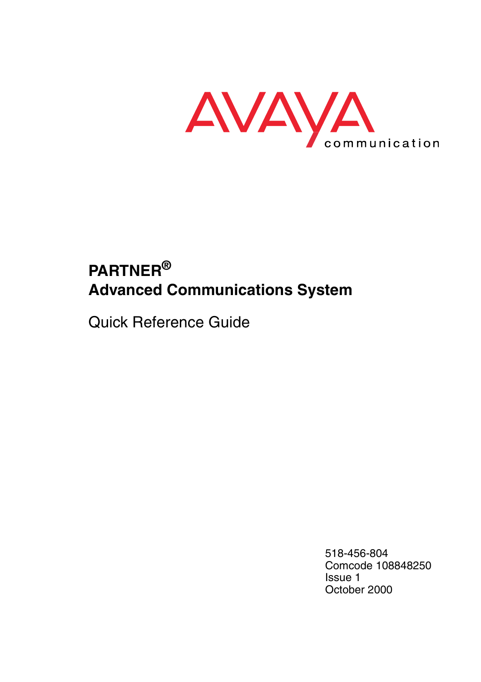

## **PARTNER® Advanced Communications System**

Quick Reference Guide

518-456-804 Comcode 108848250 Issue 1 October 2000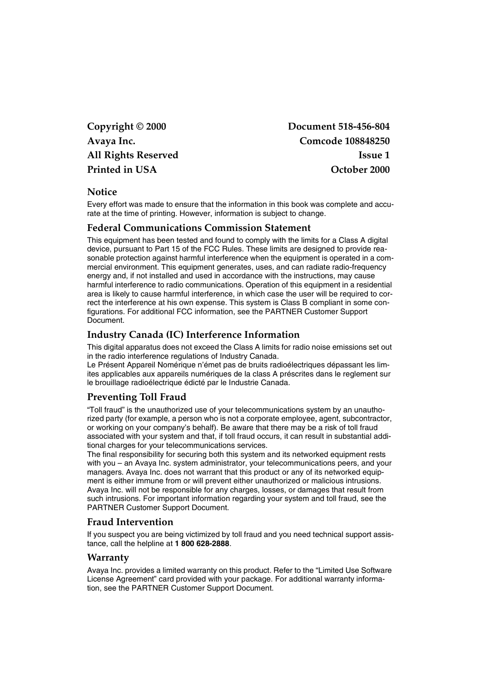**Copyright © 2000 Document 518-456-804 Avaya Inc. Comcode 108848250** All Rights Reserved **Issue 1 Printed in USA** October 2000

#### **Notice**

Every effort was made to ensure that the information in this book was complete and accurate at the time of printing. However, information is subject to change.

#### **Federal Communications Commission Statement**

This equipment has been tested and found to comply with the limits for a Class A digital device, pursuant to Part 15 of the FCC Rules. These limits are designed to provide reasonable protection against harmful interference when the equipment is operated in a commercial environment. This equipment generates, uses, and can radiate radio-frequency energy and, if not installed and used in accordance with the instructions, may cause harmful interference to radio communications. Operation of this equipment in a residential area is likely to cause harmful interference, in which case the user will be required to correct the interference at his own expense. This system is Class B compliant in some configurations. For additional FCC information, see the PARTNER Customer Support Document.

#### **Industry Canada (IC) Interference Information**

This digital apparatus does not exceed the Class A limits for radio noise emissions set out in the radio interference regulations of Industry Canada.

Le Présent Appareil Nomérique n'émet pas de bruits radioélectriques dépassant les limites applicables aux appareils numériques de la class A préscrites dans le reglement sur le brouillage radioélectrique édicté par le Industrie Canada.

#### **Preventing Toll Fraud**

"Toll fraud" is the unauthorized use of your telecommunications system by an unauthorized party (for example, a person who is not a corporate employee, agent, subcontractor, or working on your company's behalf). Be aware that there may be a risk of toll fraud associated with your system and that, if toll fraud occurs, it can result in substantial additional charges for your telecommunications services.

The final responsibility for securing both this system and its networked equipment rests with you — an Avaya Inc. system administrator, your telecommunications peers, and your managers. Avaya Inc. does not warrant that this product or any of its networked equipment is either immune from or will prevent either unauthorized or malicious intrusions. Avaya Inc. will not be responsible for any charges, losses, or damages that result from such intrusions. For important information regarding your system and toll fraud, see the PARTNER Customer Support Document.

#### **Fraud Intervention**

If you suspect you are being victimized by toll fraud and you need technical support assistance, call the helpline at **1 800 628-2888**.

#### **Warranty**

Avaya Inc. provides a limited warranty on this product. Refer to the "Limited Use Software License Agreement" card provided with your package. For additional warranty information, see the PARTNER Customer Support Document.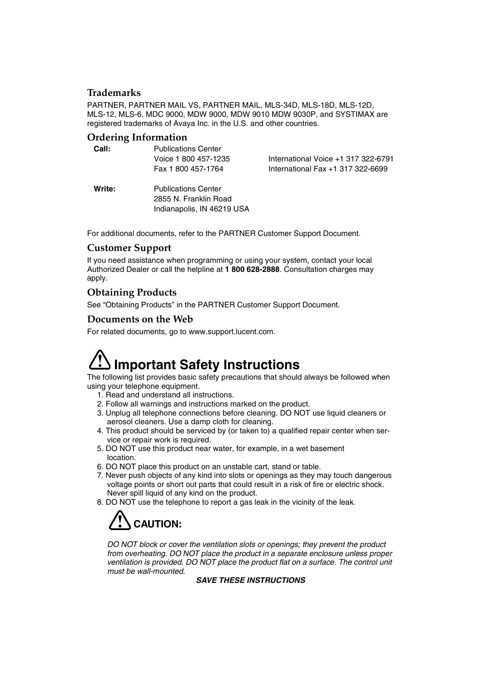#### **Trademarks**

PARTNER, PARTNER MAIL VS, PARTNER MAIL, MLS-34D, MLS-18D, MLS-12D, MLS-12, MLS-6, MDC 9000, MDW 9000, MDW 9010 MDW 9030P, and SYSTIMAX are registered trademarks of Avaya Inc. in the U.S. and other countries.

#### **Ordering Information**

| Call:  | <b>Publications Center</b><br>Voice 1 800 457-1235<br>Fax 1 800 457-1764          | International Voice +1 317 322-6791<br>International Fax +1 317 322-6699 |
|--------|-----------------------------------------------------------------------------------|--------------------------------------------------------------------------|
| Write: | <b>Publications Center</b><br>2855 N. Franklin Road<br>Indianapolis, IN 46219 USA |                                                                          |

For additional documents, refer to the PARTNER Customer Support Document.

#### **Customer Support**

If you need assistance when programming or using your system, contact your local Authorized Dealer or call the helpline at **1 800 628-2888**. Consultation charges may apply.

#### **Obtaining Products**

See "Obtaining Products" in the PARTNER Customer Support Document.

#### **Documents on the Web**

For related documents, go to www.support.lucent.com.

# **Important Safety Instructions**

The following list provides basic safety precautions that should always be followed when using your telephone equipment.

- 1. Read and understand all instructions.
- 2. Follow all warnings and instructions marked on the product.
- 3. Unplug all telephone connections before cleaning. DO NOT use liquid cleaners or aerosol cleaners. Use a damp cloth for cleaning.
- 4. This product should be serviced by (or taken to) a qualified repair center when service or repair work is required.
- 5. DO NOT use this product near water, for example, in a wet basement location.
- 6. DO NOT place this product on an unstable cart, stand or table.
- 7. Never push objects of any kind into slots or openings as they may touch dangerous voltage points or short out parts that could result in a risk of fire or electric shock. Never spill liquid of any kind on the product.
- 8. DO NOT use the telephone to report a gas leak in the vicinity of the leak.



*DO NOT block or cover the ventilation slots or openings; they prevent the product from overheating. DO NOT place the product in a separate enclosure unless proper*  ventilation is provided. DO NOT place the product flat on a surface. The control unit *must be wall-mounted.*

*SAVE THESE INSTRUCTIONS*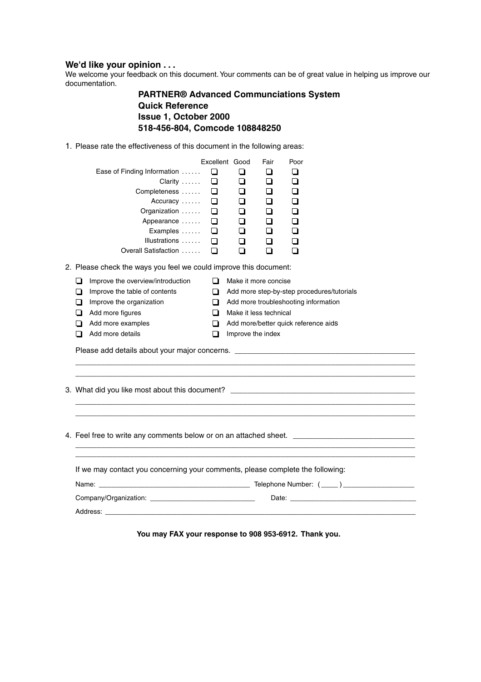#### **We'd like your opinion . . .**

We welcome your feedback on this document. Your comments can be of great value in helping us improve our We welcome documentation.

#### **PARTNER® Advanced Communciations System Quick Reference Issue 1, October 2000 518-456-804, Comcode 108848250**

1. Please rate the effectiveness of this document in the following areas:

|                                                                                                                                                                                                                                              |                                            | Excellent Good                                                             | Fair                                      | Poor                                                                                                                       |  |
|----------------------------------------------------------------------------------------------------------------------------------------------------------------------------------------------------------------------------------------------|--------------------------------------------|----------------------------------------------------------------------------|-------------------------------------------|----------------------------------------------------------------------------------------------------------------------------|--|
| Ease of Finding Information<br>Clarity $\square$<br>Completeness $\square$<br>Accuracy $\Box$<br>Organization<br>Appearance<br>Examples<br>Illustrations<br>Overall Satisfaction                                                             | ◻<br>$\Box$<br>$\Box$<br>- 0<br>□<br>□     | ◻<br>◻<br>u<br>▫<br>▫<br>▫<br>▫<br>◻<br>◻                                  | ப<br>❏<br>o<br>▫<br>❏<br>◻<br>❏<br>◻<br>◻ | ப<br>Ú<br>⊔<br>ப<br>◻<br>◻<br>❏<br>◻<br>◘                                                                                  |  |
| 2. Please check the ways you feel we could improve this document:                                                                                                                                                                            |                                            |                                                                            |                                           |                                                                                                                            |  |
| Improve the overview/introduction<br>H<br>Improve the table of contents<br>n<br>Improve the organization<br>ப<br>Add more figures<br>l 1<br>Add more examples<br>n<br>Add more details<br>□<br>Please add details about your major concerns. | $\Box$<br>□<br>$\mathbf{I}$<br>$\Box$<br>n | $\Box$ Make it more concise<br>Make it less technical<br>Improve the index |                                           | Add more step-by-step procedures/tutorials<br>Add more troubleshooting information<br>Add more/better quick reference aids |  |
| 3. What did you like most about this document?                                                                                                                                                                                               |                                            |                                                                            |                                           |                                                                                                                            |  |
| 4. Feel free to write any comments below or on an attached sheet.                                                                                                                                                                            |                                            |                                                                            |                                           |                                                                                                                            |  |
| If we may contact you concerning your comments, please complete the following:                                                                                                                                                               |                                            |                                                                            |                                           |                                                                                                                            |  |
|                                                                                                                                                                                                                                              |                                            |                                                                            |                                           |                                                                                                                            |  |
| Company/Organization:                                                                                                                                                                                                                        |                                            |                                                                            |                                           |                                                                                                                            |  |
| Address:                                                                                                                                                                                                                                     |                                            |                                                                            |                                           |                                                                                                                            |  |

**You may FAX your response to 908 953-6912. Thank you.**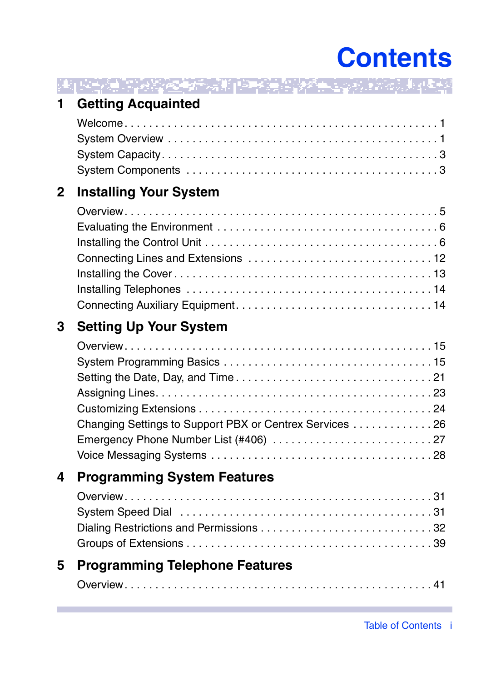# **Contents**

جانبون والمتبار

| <b>Installing Your System</b><br>2<br><b>Setting Up Your System</b><br>3<br>Changing Settings to Support PBX or Centrex Services  26<br>4<br><b>Programming System Features</b><br><b>Programming Telephone Features</b><br>5<br><b>Table of Contents</b> |                                         |
|-----------------------------------------------------------------------------------------------------------------------------------------------------------------------------------------------------------------------------------------------------------|-----------------------------------------|
|                                                                                                                                                                                                                                                           |                                         |
|                                                                                                                                                                                                                                                           |                                         |
|                                                                                                                                                                                                                                                           |                                         |
|                                                                                                                                                                                                                                                           |                                         |
|                                                                                                                                                                                                                                                           |                                         |
|                                                                                                                                                                                                                                                           |                                         |
|                                                                                                                                                                                                                                                           |                                         |
|                                                                                                                                                                                                                                                           |                                         |
|                                                                                                                                                                                                                                                           |                                         |
|                                                                                                                                                                                                                                                           |                                         |
|                                                                                                                                                                                                                                                           |                                         |
|                                                                                                                                                                                                                                                           |                                         |
|                                                                                                                                                                                                                                                           |                                         |
|                                                                                                                                                                                                                                                           |                                         |
|                                                                                                                                                                                                                                                           |                                         |
|                                                                                                                                                                                                                                                           |                                         |
|                                                                                                                                                                                                                                                           |                                         |
|                                                                                                                                                                                                                                                           |                                         |
|                                                                                                                                                                                                                                                           |                                         |
|                                                                                                                                                                                                                                                           |                                         |
|                                                                                                                                                                                                                                                           |                                         |
|                                                                                                                                                                                                                                                           | Dialing Restrictions and Permissions 32 |
|                                                                                                                                                                                                                                                           |                                         |
|                                                                                                                                                                                                                                                           |                                         |
|                                                                                                                                                                                                                                                           |                                         |
|                                                                                                                                                                                                                                                           |                                         |
|                                                                                                                                                                                                                                                           |                                         |
|                                                                                                                                                                                                                                                           |                                         |
|                                                                                                                                                                                                                                                           |                                         |
|                                                                                                                                                                                                                                                           |                                         |
|                                                                                                                                                                                                                                                           |                                         |
|                                                                                                                                                                                                                                                           |                                         |

[Welcome. . . . . . . . . . . . . . . . . . . . . . . . . . . . . . . . . . . . . . . . . . . . . . . . . . . 1](#page-7-1) [System Overview . . . . . . . . . . . . . . . . . . . . . . . . . . . . . . . . . . . . . . . . . . . . 1](#page-7-2)

**[1 Getting Acquainted](#page-7-0)**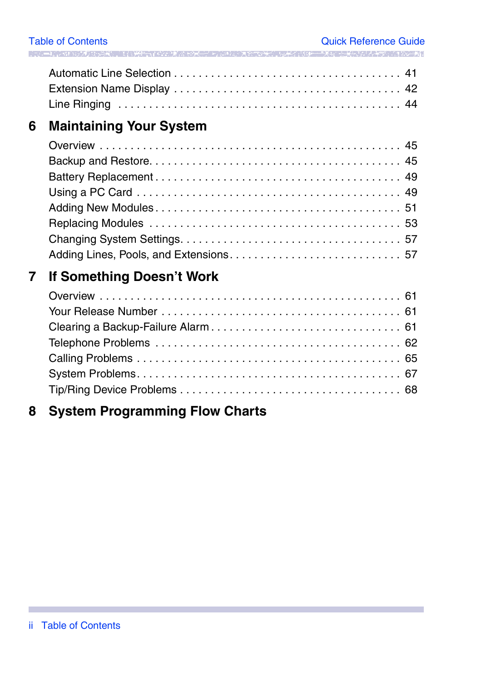经部份帐 一美丽 法某事的过去年我的复数 经基础

### **[6 Maintaining Your System](#page-51-0)**

### **[7 If Something Doesn't Work](#page-67-0)**

### **[8 System Programming Flow Charts](#page-75-0)**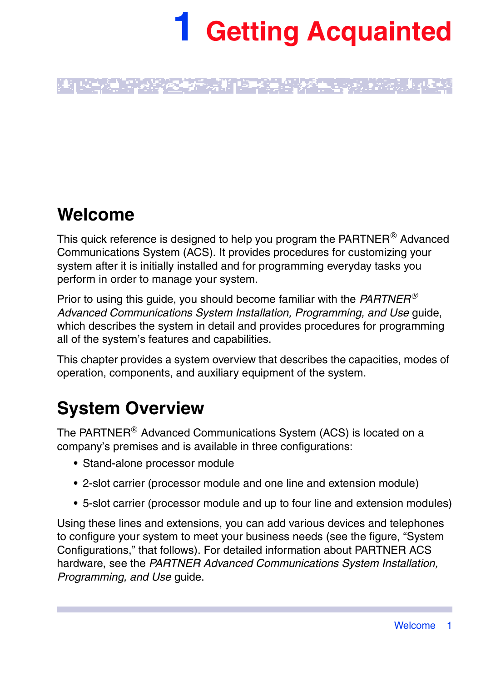# <span id="page-7-0"></span>**1 Getting Acquainted**

# <span id="page-7-1"></span>**Welcome**

This quick reference is designed to help you program the PARTNER $^{\circledR}$  Advanced Communications System (ACS). It provides procedures for customizing your system after it is initially installed and for programming everyday tasks you perform in order to manage your system.

Prior to using this guide, you should become familiar with the *PARTNER Advanced Communications System Installation, Programming, and Use* guide, which describes the system in detail and provides procedures for programming all of the system's features and capabilities.

This chapter provides a system overview that describes the capacities, modes of operation, components, and auxiliary equipment of the system.

# <span id="page-7-2"></span>**System Overview**

The PARTNER<sup>®</sup> Advanced Communications System (ACS) is located on a company's premises and is available in three configurations:

- Stand-alone processor module
- 2-slot carrier (processor module and one line and extension module)
- 5-slot carrier (processor module and up to four line and extension modules)

Using these lines and extensions, you can add various devices and telephones to configure your system to meet your business needs (see the figure, ["System](#page-8-0)  [Configurations,"](#page-8-0) that follows). For detailed information about PARTNER ACS hardware, see the *PARTNER Advanced Communications System Installation, Programming, and Use* guide.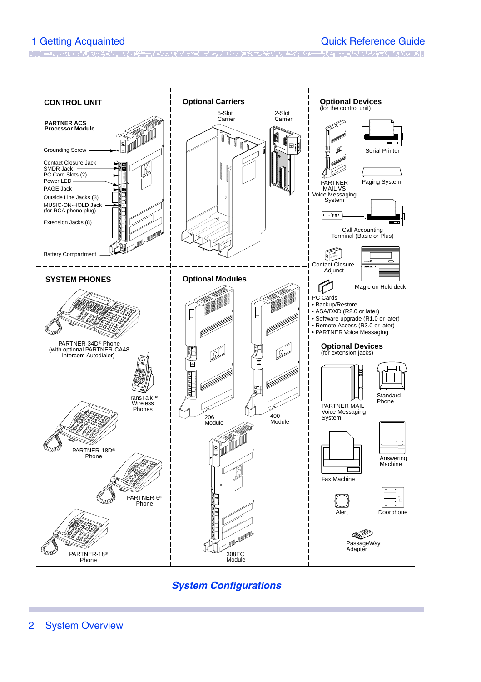化单元基本 **PERMIT AND STATISTICS** 化光带 计文件线 经无关票 石灰的复数形式 医交换性视觉的 on the



#### <span id="page-8-0"></span>*System Configurations*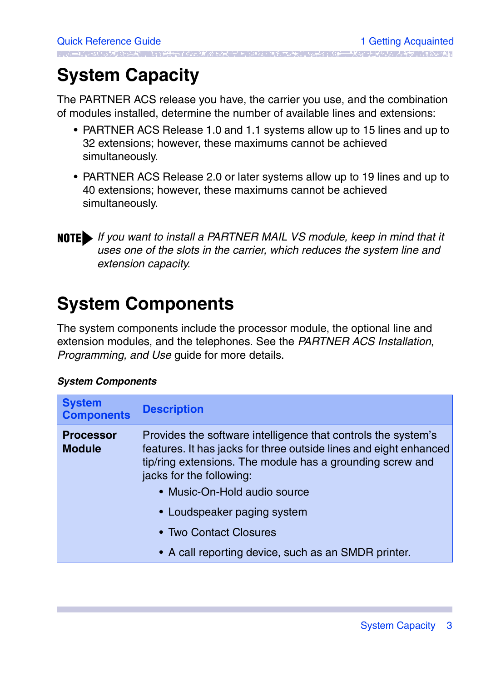# <span id="page-9-0"></span>**System Capacity**

The PARTNER ACS release you have, the carrier you use, and the combination of modules installed, determine the number of available lines and extensions:

- PARTNER ACS Release 1.0 and 1.1 systems allow up to 15 lines and up to 32 extensions; however, these maximums cannot be achieved simultaneously.
- PARTNER ACS Release 2.0 or later systems allow up to 19 lines and up to 40 extensions; however, these maximums cannot be achieved simultaneously.

## <span id="page-9-1"></span>**System Components**

The system components include the processor module, the optional line and extension modules, and the telephones. See the *PARTNER ACS Installation*, *Programming, and Use* guide for more details.

| <b>Components</b>                 |                                                                                                                                                                                                                                                                                                                                                                             |
|-----------------------------------|-----------------------------------------------------------------------------------------------------------------------------------------------------------------------------------------------------------------------------------------------------------------------------------------------------------------------------------------------------------------------------|
| <b>Processor</b><br><b>Module</b> | Provides the software intelligence that controls the system's<br>features. It has jacks for three outside lines and eight enhanced<br>tip/ring extensions. The module has a grounding screw and<br>jacks for the following:<br>• Music-On-Hold audio source<br>• Loudspeaker paging system<br>• Two Contact Closures<br>• A call reporting device, such as an SMDR printer. |

#### *System Components*

*If you want to install a PARTNER MAIL VS module, keep in mind that it uses one of the slots in the carrier, which reduces the system line and extension capacity.*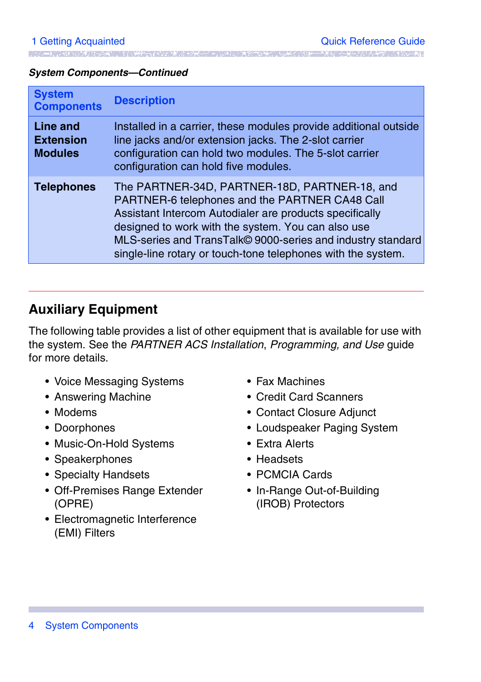ブラルーリン ちげゅうしりきょう de X

#### *System Components–Continued*

| <b>System</b><br><b>Components</b>             | <b>Description</b>                                                                                                                                                                                                                                                                                                                              |
|------------------------------------------------|-------------------------------------------------------------------------------------------------------------------------------------------------------------------------------------------------------------------------------------------------------------------------------------------------------------------------------------------------|
| Line and<br><b>Extension</b><br><b>Modules</b> | Installed in a carrier, these modules provide additional outside<br>line jacks and/or extension jacks. The 2-slot carrier<br>configuration can hold two modules. The 5-slot carrier<br>configuration can hold five modules.                                                                                                                     |
| <b>Telephones</b>                              | The PARTNER-34D, PARTNER-18D, PARTNER-18, and<br>PARTNER-6 telephones and the PARTNER CA48 Call<br>Assistant Intercom Autodialer are products specifically<br>designed to work with the system. You can also use<br>MLS-series and TransTalk© 9000-series and industry standard<br>single-line rotary or touch-tone telephones with the system. |

### **Auxiliary Equipment**

The following table provides a list of other equipment that is available for use with the system. See the *PARTNER ACS Installation*, *Programming, and Use* guide for more details.

- Voice Messaging Systems Fax Machines
- 
- 
- 
- Music-On-Hold Systems Extra Alerts
- Speakerphones Headsets
- Specialty Handsets PCMCIA Cards
- Off-Premises Range Extender (OPRE)
- Electromagnetic Interference (EMI) Filters
- 
- Answering Machine Credit Card Scanners
- Modems Contact Closure Adjunct
- Doorphones Loudspeaker Paging System
	-
	-
	-
	- In-Range Out-of-Building (IROB) Protectors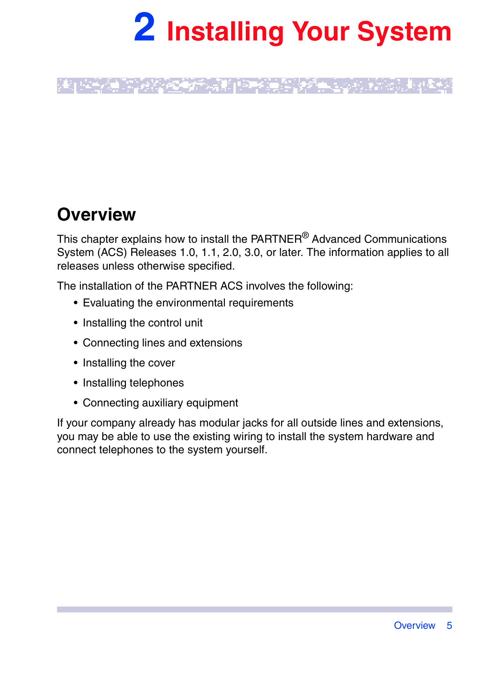# <span id="page-11-0"></span>**2 Installing Your System**

# <span id="page-11-1"></span>**Overview**

This chapter explains how to install the PARTNER<sup>®</sup> Advanced Communications System (ACS) Releases 1.0, 1.1, 2.0, 3.0, or later. The information applies to all releases unless otherwise specified.

The installation of the PARTNER ACS involves the following:

- Evaluating the environmental requirements
- Installing the control unit
- Connecting lines and extensions
- Installing the cover
- Installing telephones
- Connecting auxiliary equipment

If your company already has modular jacks for all outside lines and extensions, you may be able to use the existing wiring to install the system hardware and connect telephones to the system yourself.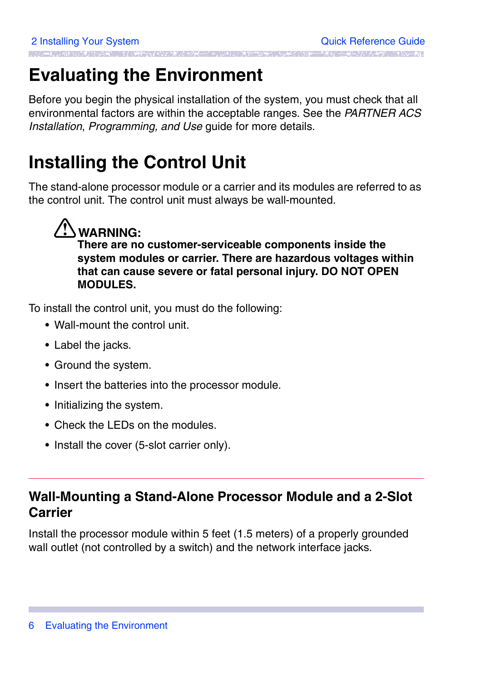# <span id="page-12-0"></span>**Evaluating the Environment**

Before you begin the physical installation of the system, you must check that all environmental factors are within the acceptable ranges. See the *PARTNER ACS Installation*, *Programming, and Use* guide for more details.

# <span id="page-12-1"></span>**Installing the Control Unit**

The stand-alone processor module or a carrier and its modules are referred to as the control unit. The control unit must always be wall-mounted.

# **WARNING:**

**There are no customer-serviceable components inside the system modules or carrier. There are hazardous voltages within that can cause severe or fatal personal injury. DO NOT OPEN MODULES.**

To install the control unit, you must do the following:

- Wall-mount the control unit.
- Label the jacks.
- Ground the system.
- Insert the batteries into the processor module.
- Initializing the system.
- Check the LEDs on the modules.
- Install the cover (5-slot carrier only).

### **Wall-Mounting a Stand-Alone Processor Module and a 2-Slot Carrier**

Install the processor module within 5 feet (1.5 meters) of a properly grounded wall outlet (not controlled by a switch) and the network interface jacks.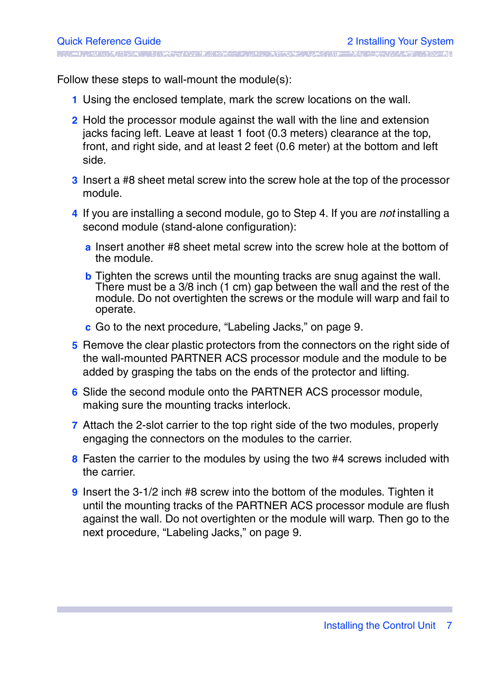Follow these steps to wall-mount the module(s):

- **1** Using the enclosed template, mark the screw locations on the wall.
- **2** Hold the processor module against the wall with the line and extension jacks facing left. Leave at least 1 foot (0.3 meters) clearance at the top, front, and right side, and at least 2 feet (0.6 meter) at the bottom and left side.
- **3** Insert a #8 sheet metal screw into the screw hole at the top of the processor module.
- **4** If you are installing a second module, go to Step 4. If you are *not* installing a second module (stand-alone configuration):
	- **a** Insert another #8 sheet metal screw into the screw hole at the bottom of the module.
	- **b** Tighten the screws until the mounting tracks are snug against the wall. There must be a 3/8 inch (1 cm) gap between the wall and the rest of the module. Do not overtighten the screws or the module will warp and fail to operate.
	- **c** Go to the next procedure, ["Labeling Jacks," on page 9.](#page-15-0)
- **5** Remove the clear plastic protectors from the connectors on the right side of the wall-mounted PARTNER ACS processor module and the module to be added by grasping the tabs on the ends of the protector and lifting.
- **6** Slide the second module onto the PARTNER ACS processor module, making sure the mounting tracks interlock.
- **7** Attach the 2-slot carrier to the top right side of the two modules, properly engaging the connectors on the modules to the carrier.
- **8** Fasten the carrier to the modules by using the two #4 screws included with the carrier.
- **9** Insert the 3-1/2 inch #8 screw into the bottom of the modules. Tighten it until the mounting tracks of the PARTNER ACS processor module are flush against the wall. Do not overtighten or the module will warp. Then go to the next procedure, ["Labeling Jacks," on page 9](#page-15-0).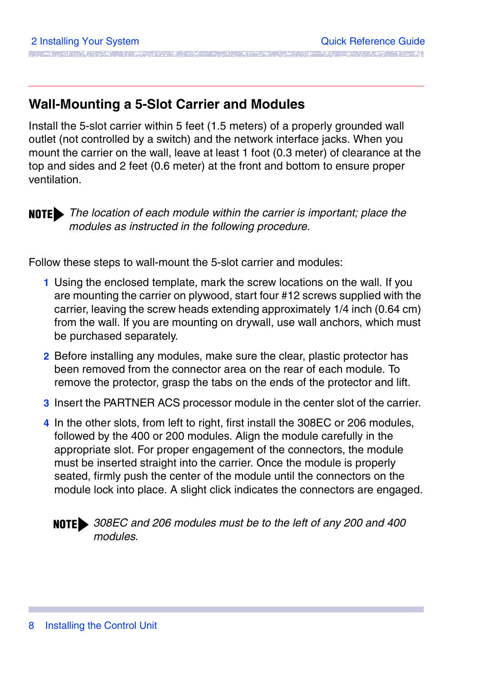### **Wall-Mounting a 5-Slot Carrier and Modules**

Install the 5-slot carrier within 5 feet (1.5 meters) of a properly grounded wall outlet (not controlled by a switch) and the network interface jacks. When you mount the carrier on the wall, leave at least 1 foot (0.3 meter) of clearance at the top and sides and 2 feet (0.6 meter) at the front and bottom to ensure proper ventilation.



*The location of each module within the carrier is important; place the modules as instructed in the following procedure.*

Follow these steps to wall-mount the 5-slot carrier and modules:

- **1** Using the enclosed template, mark the screw locations on the wall. If you are mounting the carrier on plywood, start four #12 screws supplied with the carrier, leaving the screw heads extending approximately 1/4 inch (0.64 cm) from the wall. If you are mounting on drywall, use wall anchors, which must be purchased separately.
- **2** Before installing any modules, make sure the clear, plastic protector has been removed from the connector area on the rear of each module. To remove the protector, grasp the tabs on the ends of the protector and lift.
- **3** Insert the PARTNER ACS processor module in the center slot of the carrier.
- **4** In the other slots, from left to right, first install the 308EC or 206 modules, followed by the 400 or 200 modules. Align the module carefully in the appropriate slot. For proper engagement of the connectors, the module must be inserted straight into the carrier. Once the module is properly seated, firmly push the center of the module until the connectors on the module lock into place. A slight click indicates the connectors are engaged.

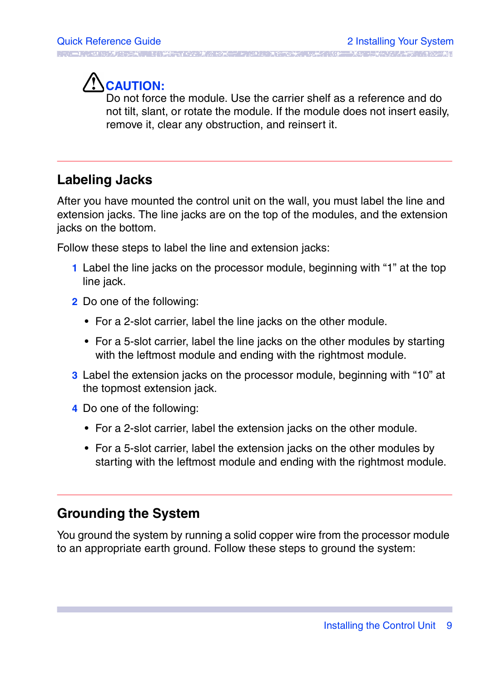# **CAUTION:**

Do not force the module. Use the carrier shelf as a reference and do not tilt, slant, or rotate the module. If the module does not insert easily, remove it, clear any obstruction, and reinsert it.

### <span id="page-15-0"></span>**Labeling Jacks**

After you have mounted the control unit on the wall, you must label the line and extension jacks. The line jacks are on the top of the modules, and the extension jacks on the bottom.

Follow these steps to label the line and extension jacks:

- **1** Label the line jacks on the processor module, beginning with "1" at the top line jack.
- **2** Do one of the following:
	- For a 2-slot carrier, label the line jacks on the other module.
	- For a 5-slot carrier, label the line jacks on the other modules by starting with the leftmost module and ending with the rightmost module.
- **3** Label the extension jacks on the processor module, beginning with "10" at the topmost extension jack.
- **4** Do one of the following:
	- For a 2-slot carrier, label the extension jacks on the other module.
	- For a 5-slot carrier, label the extension jacks on the other modules by starting with the leftmost module and ending with the rightmost module.

### **Grounding the System**

You ground the system by running a solid copper wire from the processor module to an appropriate earth ground. Follow these steps to ground the system: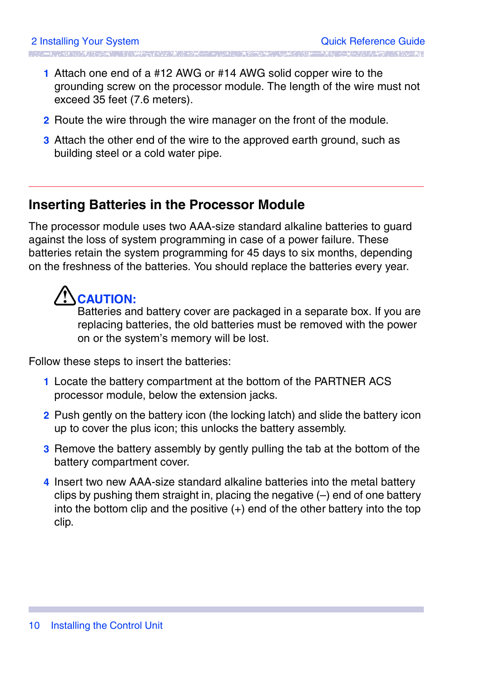- **1** Attach one end of a #12 AWG or #14 AWG solid copper wire to the grounding screw on the processor module. The length of the wire must not exceed 35 feet (7.6 meters).
- **2** Route the wire through the wire manager on the front of the module.
- **3** Attach the other end of the wire to the approved earth ground, such as building steel or a cold water pipe.

### **Inserting Batteries in the Processor Module**

The processor module uses two AAA-size standard alkaline batteries to guard against the loss of system programming in case of a power failure. These batteries retain the system programming for 45 days to six months, depending on the freshness of the batteries. You should replace the batteries every year.

# **CAUTION:**

Batteries and battery cover are packaged in a separate box. If you are replacing batteries, the old batteries must be removed with the power on or the system's memory will be lost.

Follow these steps to insert the batteries:

- **1** Locate the battery compartment at the bottom of the PARTNER ACS processor module, below the extension jacks.
- **2** Push gently on the battery icon (the locking latch) and slide the battery icon up to cover the plus icon; this unlocks the battery assembly.
- **3** Remove the battery assembly by gently pulling the tab at the bottom of the battery compartment cover.
- **4** Insert two new AAA-size standard alkaline batteries into the metal battery clips by pushing them straight in, placing the negative (—) end of one battery into the bottom clip and the positive (+) end of the other battery into the top clip.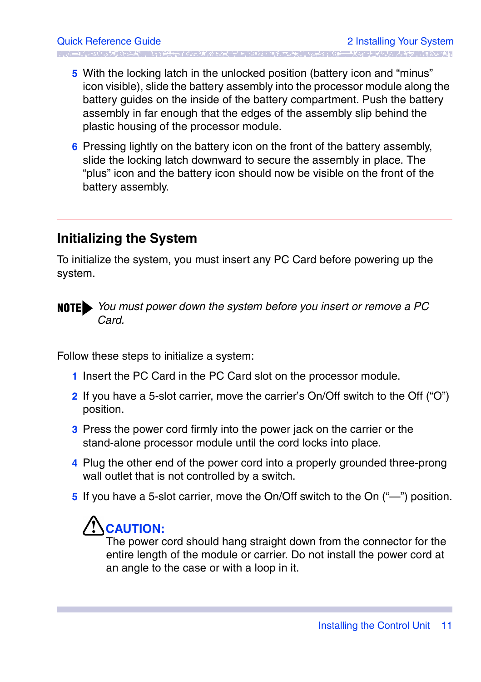- **5** With the locking latch in the unlocked position (battery icon and "minus" icon visible), slide the battery assembly into the processor module along the battery guides on the inside of the battery compartment. Push the battery assembly in far enough that the edges of the assembly slip behind the plastic housing of the processor module.
- **6** Pressing lightly on the battery icon on the front of the battery assembly, slide the locking latch downward to secure the assembly in place. The "plus" icon and the battery icon should now be visible on the front of the battery assembly.

### **Initializing the System**

To initialize the system, you must insert any PC Card before powering up the system.

#### *You must power down the system before you insert or remove a PC Card.*

Follow these steps to initialize a system:

- **1** Insert the PC Card in the PC Card slot on the processor module.
- **2** If you have a 5-slot carrier, move the carrier's On/Off switch to the Off ("O") position.
- **3** Press the power cord firmly into the power jack on the carrier or the stand-alone processor module until the cord locks into place.
- **4** Plug the other end of the power cord into a properly grounded three-prong wall outlet that is not controlled by a switch.
- **5** If you have a 5-slot carrier, move the On/Off switch to the On ("–") position.

# **CAUTION:**

The power cord should hang straight down from the connector for the entire length of the module or carrier. Do not install the power cord at an angle to the case or with a loop in it.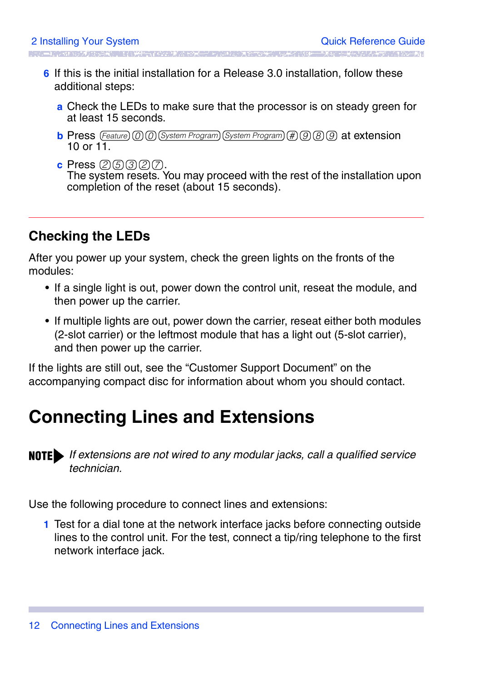- **6** If this is the initial installation for a Release 3.0 installation, follow these additional steps:
	- **a** Check the LEDs to make sure that the processor is on steady green for at least 15 seconds.
	- **b** Press  $[Feature]$   $[0]$   $[0]$   $[System Program]$   $[System Program]$   $[4]$   $[9]$   $[8]$   $[9]$  at extension 10 or  $11$ .
	- **c** Press  $(2632)$ .<br>The system resets. You may proceed with the rest of the installation upon completion of the reset (about 15 seconds).

### **Checking the LEDs**

After you power up your system, check the green lights on the fronts of the modules:

- If a single light is out, power down the control unit, reseat the module, and then power up the carrier.
- If multiple lights are out, power down the carrier, reseat either both modules (2-slot carrier) or the leftmost module that has a light out (5-slot carrier), and then power up the carrier.

If the lights are still out, see the "Customer Support Document" on the accompanying compact disc for information about whom you should contact.

## <span id="page-18-0"></span>**Connecting Lines and Extensions**



*If extensions are not wired to any modular jacks, call a qualified service technician.*

Use the following procedure to connect lines and extensions:

**1** Test for a dial tone at the network interface jacks before connecting outside lines to the control unit. For the test, connect a tip/ring telephone to the first network interface jack.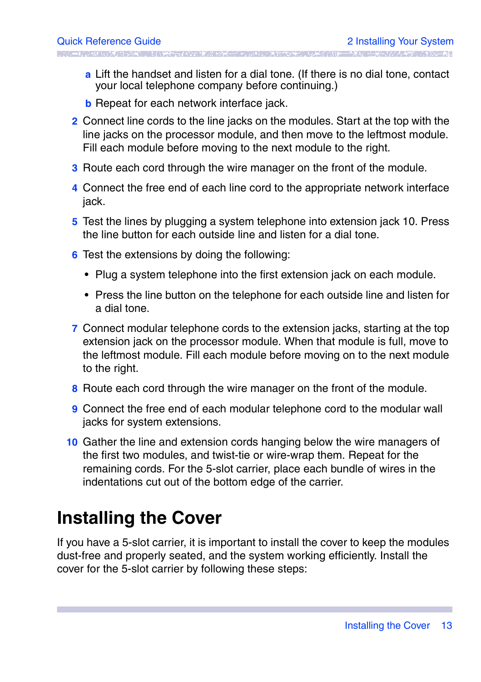- **a** Lift the handset and listen for a dial tone. (If there is no dial tone, contact your local telephone company before continuing.)
- **b** Repeat for each network interface jack.
- **2** Connect line cords to the line jacks on the modules. Start at the top with the line jacks on the processor module, and then move to the leftmost module. Fill each module before moving to the next module to the right.
- **3** Route each cord through the wire manager on the front of the module.
- **4** Connect the free end of each line cord to the appropriate network interface jack.
- **5** Test the lines by plugging a system telephone into extension jack 10. Press the line button for each outside line and listen for a dial tone.
- **6** Test the extensions by doing the following:
	- Plug a system telephone into the first extension jack on each module.
	- Press the line button on the telephone for each outside line and listen for a dial tone.
- **7** Connect modular telephone cords to the extension jacks, starting at the top extension jack on the processor module. When that module is full, move to the leftmost module. Fill each module before moving on to the next module to the right.
- **8** Route each cord through the wire manager on the front of the module.
- **9** Connect the free end of each modular telephone cord to the modular wall jacks for system extensions.
- **10** Gather the line and extension cords hanging below the wire managers of the first two modules, and twist-tie or wire-wrap them. Repeat for the remaining cords. For the 5-slot carrier, place each bundle of wires in the indentations cut out of the bottom edge of the carrier.

## <span id="page-19-0"></span>**Installing the Cover**

If you have a 5-slot carrier, it is important to install the cover to keep the modules dust-free and properly seated, and the system working efficiently. Install the cover for the 5-slot carrier by following these steps: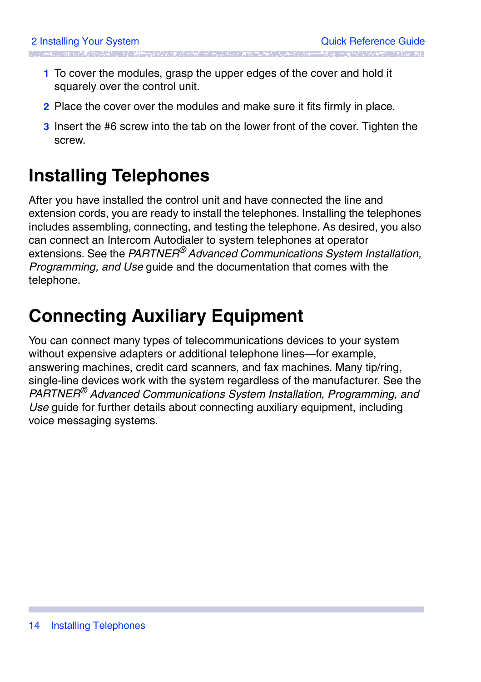- **1** To cover the modules, grasp the upper edges of the cover and hold it squarely over the control unit.
- **2** Place the cover over the modules and make sure it fits firmly in place.
- **3** Insert the #6 screw into the tab on the lower front of the cover. Tighten the screw.

# <span id="page-20-0"></span>**Installing Telephones**

After you have installed the control unit and have connected the line and extension cords, you are ready to install the telephones. Installing the telephones includes assembling, connecting, and testing the telephone. As desired, you also can connect an Intercom Autodialer to system telephones at operator extensions. See the *PARTNER® Advanced Communications System Installation, Programming, and Use* guide and the documentation that comes with the telephone.

# <span id="page-20-1"></span>**Connecting Auxiliary Equipment**

You can connect many types of telecommunications devices to your system without expensive adapters or additional telephone lines–for example, answering machines, credit card scanners, and fax machines. Many tip/ring, single-line devices work with the system regardless of the manufacturer. See the *PARTNER® Advanced Communications System Installation, Programming, and Use* guide for further details about connecting auxiliary equipment, including voice messaging systems.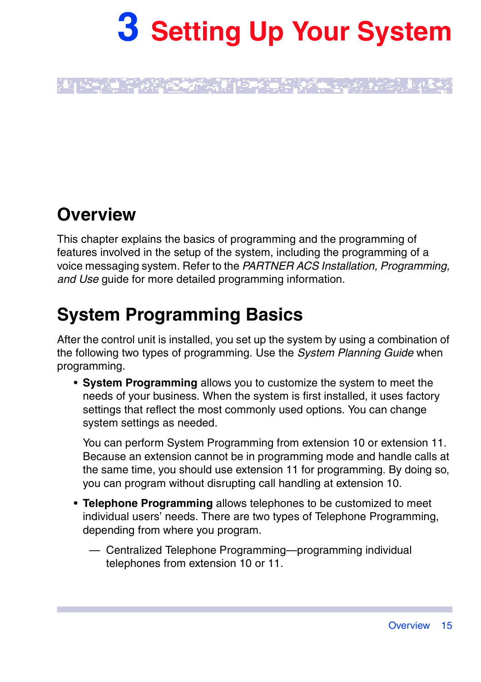# <span id="page-21-0"></span>**3 Setting Up Your System**

# <span id="page-21-1"></span>**Overview**

This chapter explains the basics of programming and the programming of features involved in the setup of the system, including the programming of a voice messaging system. Refer to the *PARTNER ACS Installation, Programming, and Use* guide for more detailed programming information.

**Come in** 

# <span id="page-21-2"></span>**System Programming Basics**

After the control unit is installed, you set up the system by using a combination of the following two types of programming. Use the *System Planning Guide* when programming.

• **System Programming** allows you to customize the system to meet the needs of your business. When the system is first installed, it uses factory settings that reflect the most commonly used options. You can change system settings as needed.

You can perform System Programming from extension 10 or extension 11. Because an extension cannot be in programming mode and handle calls at the same time, you should use extension 11 for programming. By doing so, you can program without disrupting call handling at extension 10.

- **Telephone Programming** allows telephones to be customized to meet individual users' needs. There are two types of Telephone Programming, depending from where you program.
	- Centralized Telephone Programming–programming individual telephones from extension 10 or 11.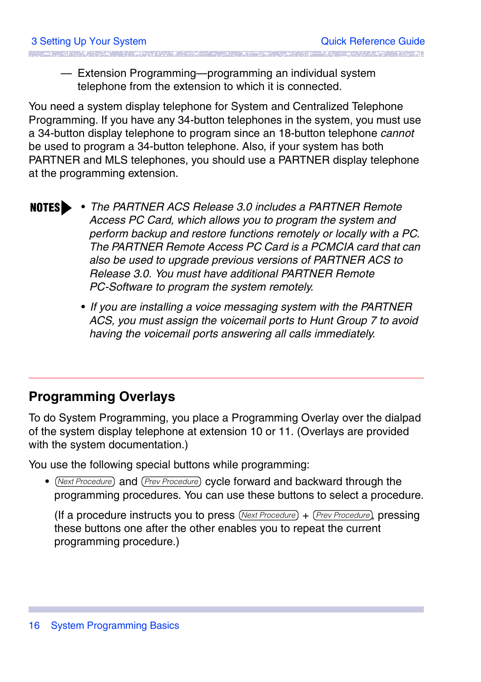– Extension Programming–programming an individual system telephone from the extension to which it is connected.

You need a system display telephone for System and Centralized Telephone Programming. If you have any 34-button telephones in the system, you must use a 34-button display telephone to program since an 18-button telephone *cannot*  be used to program a 34-button telephone. Also, if your system has both PARTNER and MLS telephones, you should use a PARTNER display telephone at the programming extension.

- *The PARTNER ACS Release 3.0 includes a PARTNER Remote Access PC Card, which allows you to program the system and perform backup and restore functions remotely or locally with a PC. The PARTNER Remote Access PC Card is a PCMCIA card that can also be used to upgrade previous versions of PARTNER ACS to Release 3.0. You must have additional PARTNER Remote PC-Software to program the system remotely.*
	- *If you are installing a voice messaging system with the PARTNER ACS, you must assign the voicemail ports to Hunt Group 7 to avoid having the voicemail ports answering all calls immediately.*

### **Programming Overlays**

To do System Programming, you place a Programming Overlay over the dialpad of the system display telephone at extension 10 or 11. (Overlays are provided with the system documentation.)

You use the following special buttons while programming:

• (Next Procedure) and (Prev Procedure) cycle forward and backward through the programming procedures. You can use these buttons to select a procedure.

(If a procedure instructs you to press  $(Next Proceedure) + (Prev Procedure)$ , pressing these buttons one after the other enables you to repeat the current programming procedure.)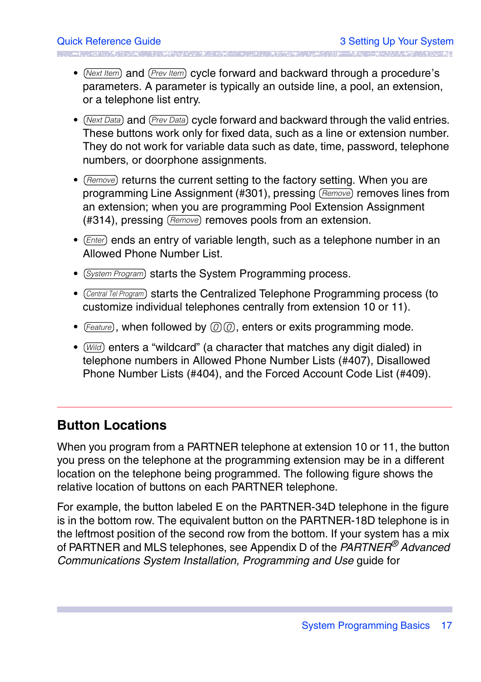- (Next Item) and (Prev Item) cycle forward and backward through a procedure's parameters. A parameter is typically an outside line, a pool, an extension, or a telephone list entry.
- $(Next Data)$  and  $(Prev Data)$  cycle forward and backward through the valid entries. These buttons work only for fixed data, such as a line or extension number. They do not work for variable data such as date, time, password, telephone numbers, or doorphone assignments.
- $F_{\text{H}e\text{move}}$  returns the current setting to the factory setting. When you are programming Line Assignment (#301), pressing (Remove) removes lines from an extension; when you are programming Pool Extension Assignment  $(#314)$ , pressing  $F_{\text{remove}}$  removes pools from an extension.
- $(Enter)$  ends an entry of variable length, such as a telephone number in an Allowed Phone Number List.
- (System Program) starts the System Programming process.
- (Central Tel Program) starts the Centralized Telephone Programming process (to customize individual telephones centrally from extension 10 or 11).
- $(Feature)$ , when followed by  $(0)(0)$ , enters or exits programming mode.
- $\bullet$  (Wild) enters a "wildcard" (a character that matches any digit dialed) in telephone numbers in Allowed Phone Number Lists (#407), Disallowed Phone Number Lists (#404), and the Forced Account Code List (#409).

### **Button Locations**

When you program from a PARTNER telephone at extension 10 or 11, the button you press on the telephone at the programming extension may be in a different location on the telephone being programmed. The following figure shows the relative location of buttons on each PARTNER telephone.

For example, the button labeled E on the PARTNER-34D telephone in the figure is in the bottom row. The equivalent button on the PARTNER-18D telephone is in the leftmost position of the second row from the bottom. If your system has a mix of PARTNER and MLS telephones, see Appendix D of the *PARTNER® Advanced Communications System Installation, Programming and Use* guide for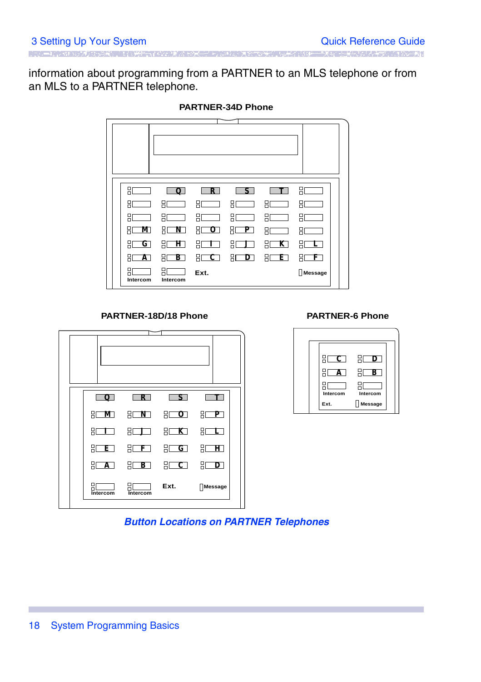·<br>《《史<del>》:"美好"上书的</del>《文学<del>》等</del>5年《清代史》

information about programming from a PARTNER to an MLS telephone or from an MLS to a PARTNER telephone.

| 뮤<br>뮤               | 밁                   | R <sub>1</sub><br>肛  | $\Box$ s<br>肛  | 밁                 | 몸<br>뮤         |  |
|----------------------|---------------------|----------------------|----------------|-------------------|----------------|--|
| 뮤<br>НI<br>M         | ПI<br>H N           | $H^{\perp}$<br>$H_0$ | H<br>$F[-P]$   | ЯD<br>뭐           | ЯI<br>HD.      |  |
| 밁<br>- GI<br>뮤<br>ΆI | ПI<br>H<br>ЯI<br>ВI | 肛<br>┑<br>F C        | 出 丁<br>肛<br>DТ | 肛<br>K<br>肛<br>EΤ | ЯI<br>ЯC<br>F. |  |
| о<br>Intercom        | 믐<br>Intercom       | Ext.                 |                |                   | Message        |  |

#### **PARTNER-34D Phone**

#### **PARTNER-18D/18 Phone**

|          | ę        | ⊟S                 |         |
|----------|----------|--------------------|---------|
| $H$ $M$  | F[N]     | $H_0$              | 肛<br>P  |
| HI.      | 80 Jul   | H K                | 肛       |
| H E      | F F      | H[G]               | H       |
| HTA      | 肛<br>B   | 肛<br>$\mathcal{C}$ | 80<br>D |
| Intercom | Intercom | Ext.               | Message |

#### **PARTNER-6 Phone**



*Button Locations on PARTNER Telephones*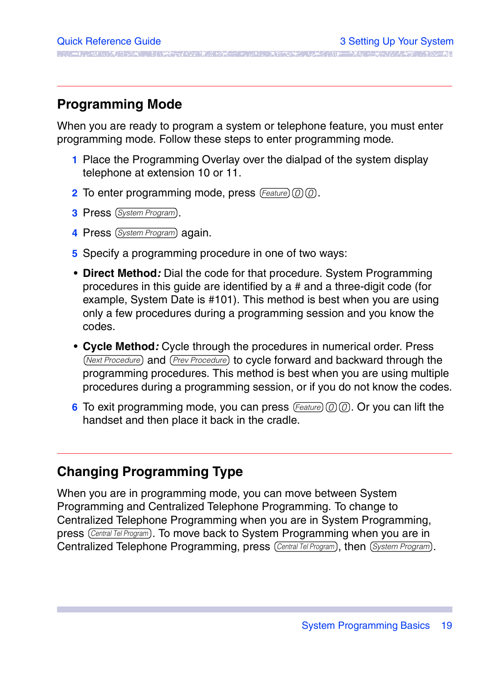### **Programming Mode**

When you are ready to program a system or telephone feature, you must enter programming mode. Follow these steps to enter programming mode.

- **1** Place the Programming Overlay over the dialpad of the system display telephone at extension 10 or 11.
- **2** To enter programming mode, press  $[Feature] \oslash \oslash$ .
- **3** Press (System Program).
- 4 Press (System Program) again.
- **5** Specify a programming procedure in one of two ways:
- **Direct Method***:* Dial the code for that procedure. System Programming procedures in this guide are identified by a # and a three-digit code (for example, System Date is #101). This method is best when you are using only a few procedures during a programming session and you know the codes.
- Cycle Method: Cycle through the procedures in numerical order. Press (Next Procedure) and (Prev Procedure) to cycle forward and backward through the programming procedures. This method is best when you are using multiple procedures during a programming session, or if you do not know the codes.
- **6** To exit programming mode, you can press  $\sqrt{P_{\text{feature}}}$   $\textcircled{O}$ . Or you can lift the handset and then place it back in the cradle.

### **Changing Programming Type**

When you are in programming mode, you can move between System Programming and Centralized Telephone Programming. To change to Centralized Telephone Programming when you are in System Programming, press (Central Tel Program). To move back to System Programming when you are in Centralized Telephone Programming, press (Central Tel Program), then (System Program).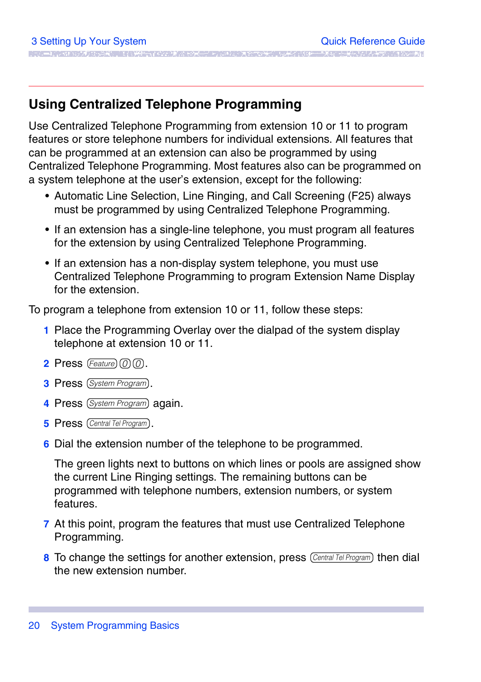### **Using Centralized Telephone Programming**

Use Centralized Telephone Programming from extension 10 or 11 to program features or store telephone numbers for individual extensions. All features that can be programmed at an extension can also be programmed by using Centralized Telephone Programming. Most features also can be programmed on a system telephone at the user's extension, except for the following:

- Automatic Line Selection, Line Ringing, and Call Screening (F25) always must be programmed by using Centralized Telephone Programming.
- If an extension has a single-line telephone, you must program all features for the extension by using Centralized Telephone Programming.
- If an extension has a non-display system telephone, you must use Centralized Telephone Programming to program Extension Name Display for the extension.

To program a telephone from extension 10 or 11, follow these steps:

- **1** Place the Programming Overlay over the dialpad of the system display telephone at extension 10 or 11.
- **2** Press  $(Feature)$  $(0)$  $(0)$ .
- **3** Press (System Program).
- 4 Press (System Program) again.
- **5** Press (Central Tel Program).
- **6** Dial the extension number of the telephone to be programmed.

The green lights next to buttons on which lines or pools are assigned show the current Line Ringing settings. The remaining buttons can be programmed with telephone numbers, extension numbers, or system features.

- **7** At this point, program the features that must use Centralized Telephone Programming.
- 8 To change the settings for another extension, press Central Tel Program) then dial the new extension number.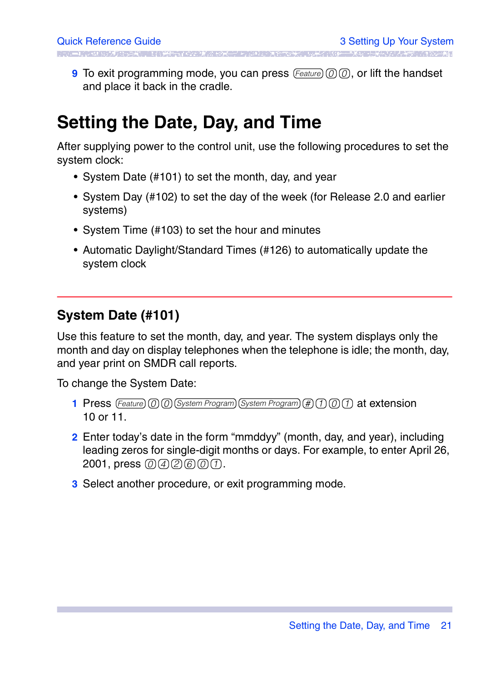**9** To exit programming mode, you can press  $\sqrt{P}$  (Feature)  $\textcircled{0}$  (0), or lift the handset and place it back in the cradle.

## <span id="page-27-0"></span>**Setting the Date, Day, and Time**

After supplying power to the control unit, use the following procedures to set the system clock:

- System Date (#101) to set the month, day, and year
- System Day (#102) to set the day of the week (for Release 2.0 and earlier systems)
- System Time (#103) to set the hour and minutes
- Automatic Daylight/Standard Times (#126) to automatically update the system clock

### **System Date (#101)**

Use this feature to set the month, day, and year. The system displays only the month and day on display telephones when the telephone is idle; the month, day, and year print on SMDR call reports.

To change the System Date:

- **1** Press  $[Feature]$   $[0]$   $[0]$  (System Program) (System Program)  $[#]$   $[1]$   $[0]$   $[1]$  at extension 10 or 11.
- **2** Enter today's date in the form "mmddyy" (month, day, and year), including leading zeros for single-digit months or days. For example, to enter April 26, **2001, press**  $(0)$  (4) (2) (6) (0) (1).
- **3** Select another procedure, or exit programming mode.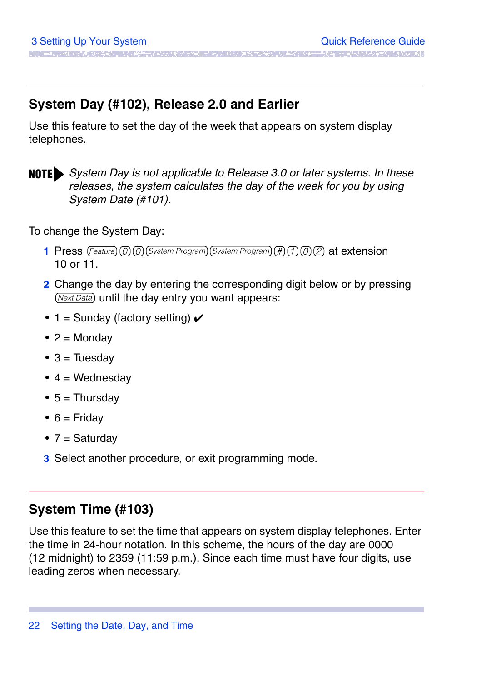### **System Day (#102), Release 2.0 and Earlier**

Use this feature to set the day of the week that appears on system display telephones.

*System Day is not applicable to Release 3.0 or later systems. In these releases, the system calculates the day of the week for you by using System Date (#101).*

To change the System Day:

- **1** Press  $[Feature]$   $(0)$   $(0)$  (System Program) (System Program)  $(\#)(1)$   $(0)$   $(2)$  at extension 10 or 11.
- **2** Change the day by entering the corresponding digit below or by pressing  $(Next Data)$  until the day entry you want appears:
- 1 = Sunday (factory setting)  $\checkmark$
- $\bullet$  2 = Monday
- $3 = Tuesday$
- $\bullet$  4 = Wednesdav
- $5 = Thursdav$
- $6 =$  Friday
- $7 =$  Saturday
- **3** Select another procedure, or exit programming mode.

### **System Time (#103)**

Use this feature to set the time that appears on system display telephones. Enter the time in 24-hour notation. In this scheme, the hours of the day are 0000 (12 midnight) to 2359 (11:59 p.m.). Since each time must have four digits, use leading zeros when necessary.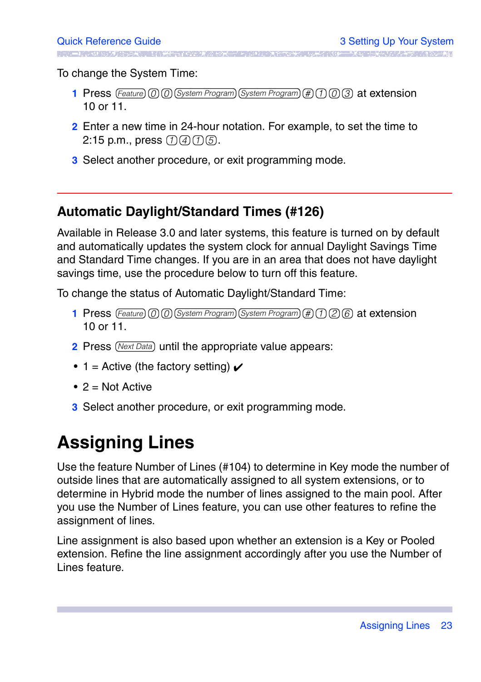To change the System Time:

- **1** Press  $[Feature]$   $[0]$   $[0]$   $[System Program]$   $[System Program]$   $[4]$   $[7]$   $[0]$   $[3]$  at extension 10 or 11.
- **2** Enter a new time in 24-hour notation. For example, to set the time to 2:15 p.m., press  $(1)(4)(1)(5)$ .
- **3** Select another procedure, or exit programming mode.

### **Automatic Daylight/Standard Times (#126)**

Available in Release 3.0 and later systems, this feature is turned on by default and automatically updates the system clock for annual Daylight Savings Time and Standard Time changes. If you are in an area that does not have daylight savings time, use the procedure below to turn off this feature.

To change the status of Automatic Daylight/Standard Time:

- **1** Press  $[Feature]$   $[0]$   $[0]$  (System Program) (System Program)  $[#]$   $[1]$   $[2]$   $[6]$  at extension 10 or 11.
- **2** Press (Next Data) until the appropriate value appears:
- 1 = Active (the factory setting)  $\checkmark$
- $\bullet$  2 = Not Active
- **3** Select another procedure, or exit programming mode.

# <span id="page-29-0"></span>**Assigning Lines**

Use the feature Number of Lines (#104) to determine in Key mode the number of outside lines that are automatically assigned to all system extensions, or to determine in Hybrid mode the number of lines assigned to the main pool. After you use the Number of Lines feature, you can use other features to refine the assignment of lines.

Line assignment is also based upon whether an extension is a Key or Pooled extension. Refine the line assignment accordingly after you use the Number of Lines feature.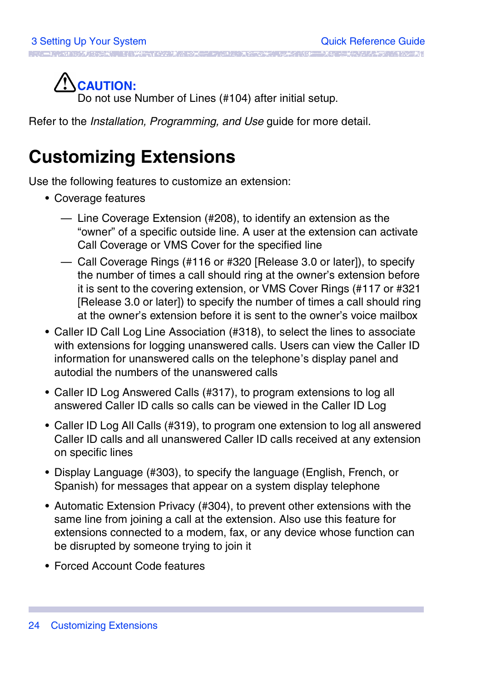# **CAUTION:**

Do not use Number of Lines (#104) after initial setup.

Refer to the *Installation, Programming, and Use* guide for more detail.

# <span id="page-30-0"></span>**Customizing Extensions**

Use the following features to customize an extension:

- Coverage features
	- Line Coverage Extension (#208), to identify an extension as the "owner" of a specific outside line. A user at the extension can activate Call Coverage or VMS Cover for the specified line
	- Call Coverage Rings (#116 or #320 [Release 3.0 or later]), to specify the number of times a call should ring at the owner's extension before it is sent to the covering extension, or VMS Cover Rings (#117 or #321 [Release 3.0 or later]) to specify the number of times a call should ring at the owner's extension before it is sent to the owner's voice mailbox
- Caller ID Call Log Line Association (#318), to select the lines to associate with extensions for logging unanswered calls. Users can view the Caller ID information for unanswered calls on the telephone's display panel and autodial the numbers of the unanswered calls
- Caller ID Log Answered Calls (#317), to program extensions to log all answered Caller ID calls so calls can be viewed in the Caller ID Log
- Caller ID Log All Calls (#319), to program one extension to log all answered Caller ID calls and all unanswered Caller ID calls received at any extension on specific lines
- Display Language (#303), to specify the language (English, French, or Spanish) for messages that appear on a system display telephone
- Automatic Extension Privacy (#304), to prevent other extensions with the same line from joining a call at the extension. Also use this feature for extensions connected to a modem, fax, or any device whose function can be disrupted by someone trying to join it
- Forced Account Code features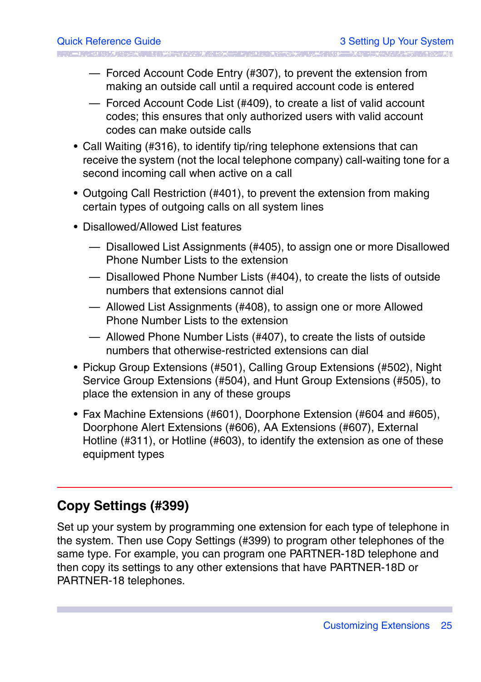- Forced Account Code Entry (#307), to prevent the extension from making an outside call until a required account code is entered
- Forced Account Code List (#409), to create a list of valid account codes; this ensures that only authorized users with valid account codes can make outside calls
- Call Waiting (#316), to identify tip/ring telephone extensions that can receive the system (not the local telephone company) call-waiting tone for a second incoming call when active on a call
- Outgoing Call Restriction (#401), to prevent the extension from making certain types of outgoing calls on all system lines
- Disallowed/Allowed List features
	- Disallowed List Assignments (#405), to assign one or more Disallowed Phone Number Lists to the extension
	- Disallowed Phone Number Lists (#404), to create the lists of outside numbers that extensions cannot dial
	- Allowed List Assignments (#408), to assign one or more Allowed Phone Number Lists to the extension
	- Allowed Phone Number Lists (#407), to create the lists of outside numbers that otherwise-restricted extensions can dial
- Pickup Group Extensions (#501), Calling Group Extensions (#502), Night Service Group Extensions (#504), and Hunt Group Extensions (#505), to place the extension in any of these groups
- Fax Machine Extensions (#601), Doorphone Extension (#604 and #605), Doorphone Alert Extensions (#606), AA Extensions (#607), External Hotline (#311), or Hotline (#603), to identify the extension as one of these equipment types

### **Copy Settings (#399)**

Set up your system by programming one extension for each type of telephone in the system. Then use Copy Settings (#399) to program other telephones of the same type. For example, you can program one PARTNER-18D telephone and then copy its settings to any other extensions that have PARTNER-18D or PARTNER-18 telephones.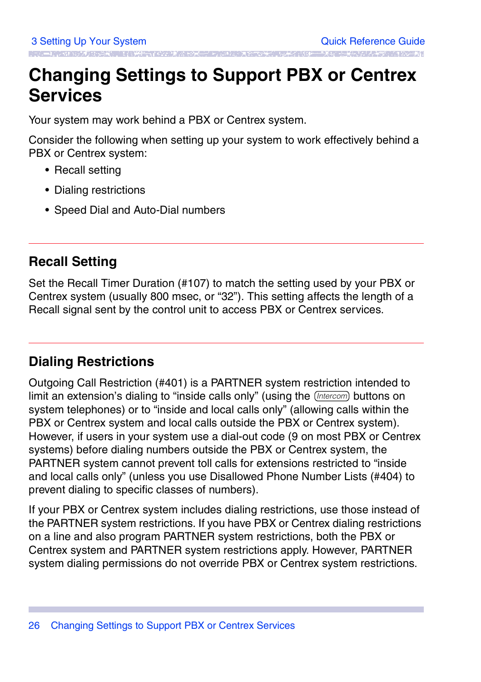# <span id="page-32-0"></span>**Changing Settings to Support PBX or Centrex Services**

Your system may work behind a PBX or Centrex system.

Consider the following when setting up your system to work effectively behind a PBX or Centrex system:

- Recall setting
- Dialing restrictions
- Speed Dial and Auto-Dial numbers

### **Recall Setting**

Set the Recall Timer Duration (#107) to match the setting used by your PBX or Centrex system (usually 800 msec, or "32"). This setting affects the length of a Recall signal sent by the control unit to access PBX or Centrex services.

### **Dialing Restrictions**

Outgoing Call Restriction (#401) is a PARTNER system restriction intended to limit an extension's dialing to "inside calls only" (using the *(Intercom*) buttons on system telephones) or to "inside and local calls only" (allowing calls within the PBX or Centrex system and local calls outside the PBX or Centrex system). However, if users in your system use a dial-out code (9 on most PBX or Centrex systems) before dialing numbers outside the PBX or Centrex system, the PARTNER system cannot prevent toll calls for extensions restricted to "inside and local calls only" (unless you use Disallowed Phone Number Lists (#404) to prevent dialing to specific classes of numbers).

If your PBX or Centrex system includes dialing restrictions, use those instead of the PARTNER system restrictions. If you have PBX or Centrex dialing restrictions on a line and also program PARTNER system restrictions, both the PBX or Centrex system and PARTNER system restrictions apply. However, PARTNER system dialing permissions do not override PBX or Centrex system restrictions.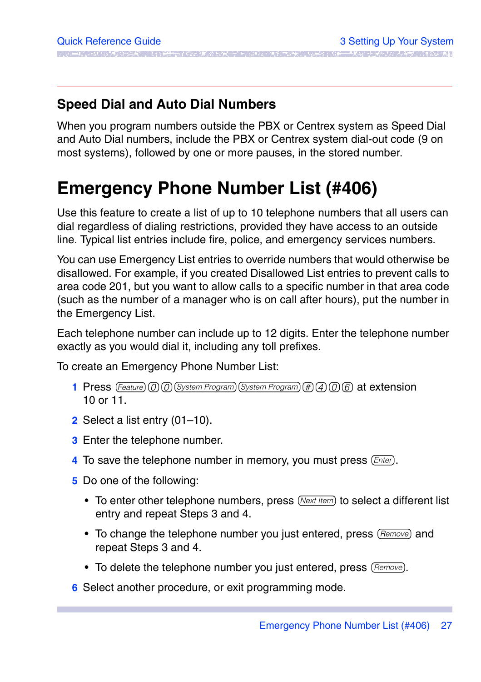### **Speed Dial and Auto Dial Numbers**

When you program numbers outside the PBX or Centrex system as Speed Dial and Auto Dial numbers, include the PBX or Centrex system dial-out code (9 on most systems), followed by one or more pauses, in the stored number.

# <span id="page-33-0"></span>**Emergency Phone Number List (#406)**

Use this feature to create a list of up to 10 telephone numbers that all users can dial regardless of dialing restrictions, provided they have access to an outside line. Typical list entries include fire, police, and emergency services numbers.

You can use Emergency List entries to override numbers that would otherwise be disallowed. For example, if you created Disallowed List entries to prevent calls to area code 201, but you want to allow calls to a specific number in that area code (such as the number of a manager who is on call after hours), put the number in the Emergency List.

Each telephone number can include up to 12 digits. Enter the telephone number exactly as you would dial it, including any toll prefixes.

To create an Emergency Phone Number List:

- **1** Press  $[Feature]$   $[0]$   $[0]$  (System Program) (System Program)  $[#](4)$   $[0]$   $[6]$  at extension 10 or 11.
- **2** Select a list entry (01—10).
- **3** Enter the telephone number.
- **4** To save the telephone number in memory, you must press (*Enter*).
- **5** Do one of the following:
	- To enter other telephone numbers, press  $(Next item)$  to select a different list entry and repeat Steps 3 and 4.
	- To change the telephone number you just entered, press  $(Fenove)$  and repeat Steps 3 and 4.
	- To delete the telephone number you just entered, press  $\sqrt{Remove}$ .
- **6** Select another procedure, or exit programming mode.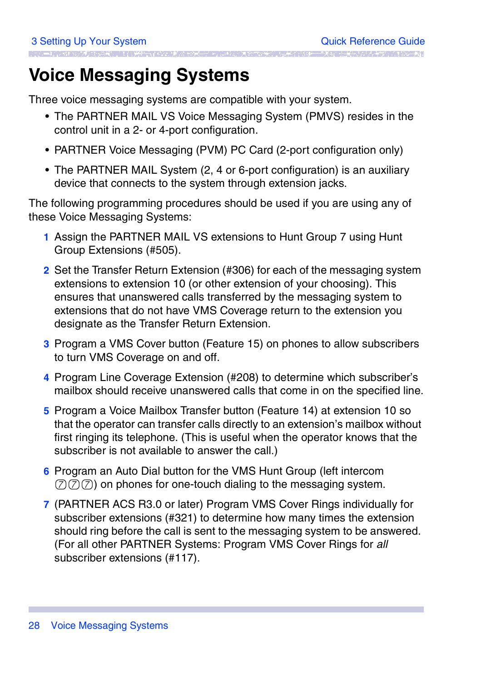# <span id="page-34-0"></span>**Voice Messaging Systems**

Three voice messaging systems are compatible with your system.

- The PARTNER MAIL VS Voice Messaging System (PMVS) resides in the control unit in a 2- or 4-port configuration.
- PARTNER Voice Messaging (PVM) PC Card (2-port configuration only)
- The PARTNER MAIL System (2, 4 or 6-port configuration) is an auxiliary device that connects to the system through extension jacks.

The following programming procedures should be used if you are using any of these Voice Messaging Systems:

- **1** Assign the PARTNER MAIL VS extensions to Hunt Group 7 using Hunt Group Extensions (#505).
- **2** Set the Transfer Return Extension (#306) for each of the messaging system extensions to extension 10 (or other extension of your choosing). This ensures that unanswered calls transferred by the messaging system to extensions that do not have VMS Coverage return to the extension you designate as the Transfer Return Extension.
- **3** Program a VMS Cover button (Feature 15) on phones to allow subscribers to turn VMS Coverage on and off.
- **4** Program Line Coverage Extension (#208) to determine which subscriber's mailbox should receive unanswered calls that come in on the specified line.
- **5** Program a Voice Mailbox Transfer button (Feature 14) at extension 10 so that the operator can transfer calls directly to an extension's mailbox without first ringing its telephone. (This is useful when the operator knows that the subscriber is not available to answer the call.)
- **6** Program an Auto Dial button for the VMS Hunt Group (left intercom  $(7)(7)(7)$  on phones for one-touch dialing to the messaging system.
- **7** (PARTNER ACS R3.0 or later) Program VMS Cover Rings individually for subscriber extensions (#321) to determine how many times the extension should ring before the call is sent to the messaging system to be answered. (For all other PARTNER Systems: Program VMS Cover Rings for *all* subscriber extensions (#117).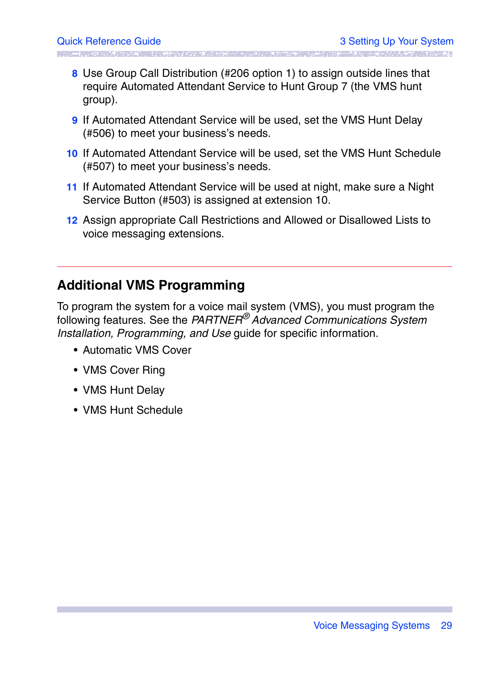- **8** Use Group Call Distribution (#206 option 1) to assign outside lines that require Automated Attendant Service to Hunt Group 7 (the VMS hunt group).
- **9** If Automated Attendant Service will be used, set the VMS Hunt Delay (#506) to meet your business's needs.
- **10** If Automated Attendant Service will be used, set the VMS Hunt Schedule (#507) to meet your business's needs.
- **11** If Automated Attendant Service will be used at night, make sure a Night Service Button (#503) is assigned at extension 10.
- **12** Assign appropriate Call Restrictions and Allowed or Disallowed Lists to voice messaging extensions.

### **Additional VMS Programming**

To program the system for a voice mail system (VMS), you must program the following features. See the *PARTNER® Advanced Communications System Installation, Programming, and Use* guide for specific information.

- Automatic VMS Cover
- VMS Cover Ring
- VMS Hunt Delay
- VMS Hunt Schedule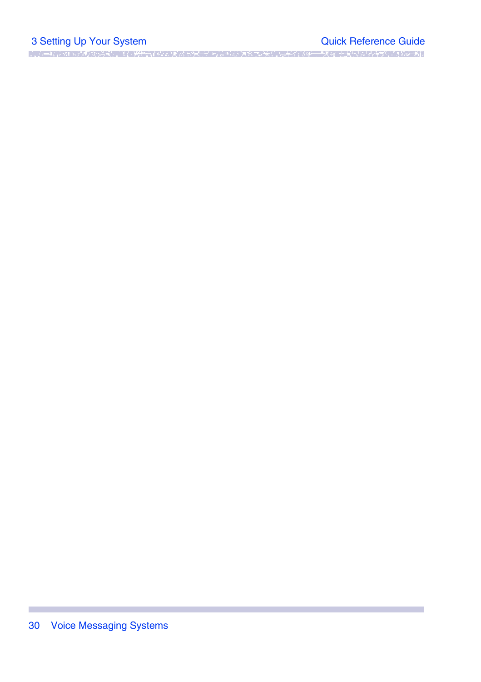**3 Setting Up Your System Control of the System Control of the System Control of the System Control of the System Control of the System Control of the System Control of the System Control of the System Control of the Syste** 

r.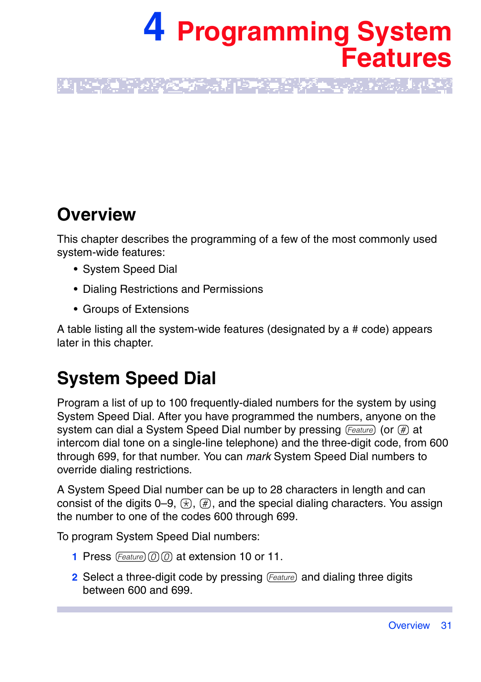## **4 Programming System Features**

### **Overview**

This chapter describes the programming of a few of the most commonly used system-wide features:

- System Speed Dial
- Dialing Restrictions and Permissions
- Groups of Extensions

A table listing all the system-wide features (designated by a # code) appears later in this chapter.

### **System Speed Dial**

Program a list of up to 100 frequently-dialed numbers for the system by using System Speed Dial. After you have programmed the numbers, anyone on the system can dial a System Speed Dial number by pressing (Feature) (or  $(F)$  at intercom dial tone on a single-line telephone) and the three-digit code, from 600 through 699, for that number. You can *mark* System Speed Dial numbers to override dialing restrictions.

A System Speed Dial number can be up to 28 characters in length and can consist of the digits 0–9,  $(\overline{x})$ ,  $(\overline{x})$ , and the special dialing characters. You assign the number to one of the codes 600 through 699.

To program System Speed Dial numbers:

- **1** Press  $F$ *Feature*  $[0]$   $[0]$  at extension 10 or 11.
- **2** Select a three-digit code by pressing  $F$  *Feature*) and dialing three digits between 600 and 699.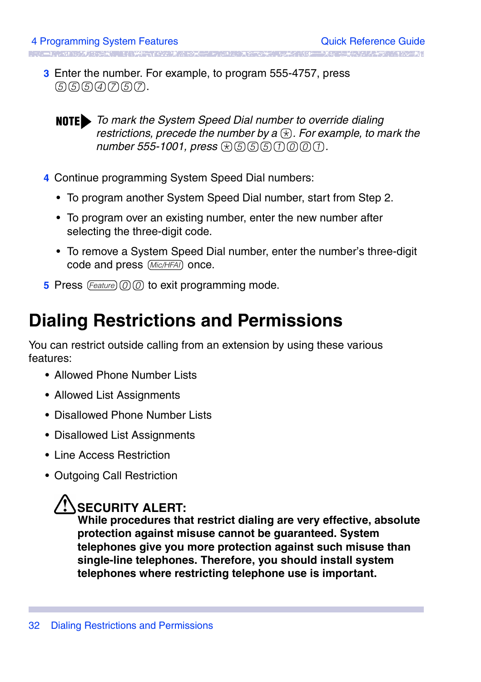**3** Enter the number. For example, to program 555-4757, press 65597567.

*To mark the System Speed Dial number to override dialing restrictions, precede the number by a* \**. For example, to mark the*   $number 555-1001, press (*) (5) (5) (7) (0) (7).$ 

- **4** Continue programming System Speed Dial numbers:
	- To program another System Speed Dial number, start from Step 2.
	- To program over an existing number, enter the new number after selecting the three-digit code.
	- To remove a System Speed Dial number, enter the number's three-digit  $code$  and press  $(Mic/HFAI)$  once.
- **5** Press Feature  $\textcircled{0}$  to exit programming mode.

### **Dialing Restrictions and Permissions**

You can restrict outside calling from an extension by using these various features:

- Allowed Phone Number Lists
- Allowed List Assignments
- Disallowed Phone Number Lists
- Disallowed List Assignments
- Line Access Restriction
- Outgoing Call Restriction

## **SECURITY ALERT:**

**While procedures that restrict dialing are very effective, absolute protection against misuse cannot be guaranteed. System telephones give you more protection against such misuse than single-line telephones. Therefore, you should install system telephones where restricting telephone use is important.**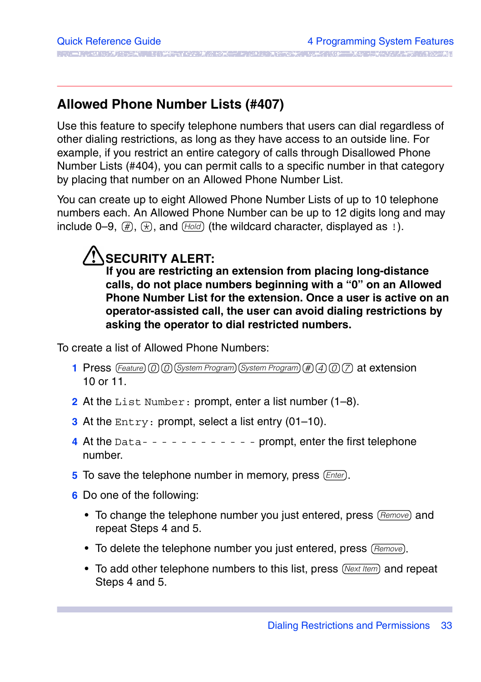#### **Allowed Phone Number Lists (#407)**

Use this feature to specify telephone numbers that users can dial regardless of other dialing restrictions, as long as they have access to an outside line. For example, if you restrict an entire category of calls through Disallowed Phone Number Lists (#404), you can permit calls to a specific number in that category by placing that number on an Allowed Phone Number List.

You can create up to eight Allowed Phone Number Lists of up to 10 telephone numbers each. An Allowed Phone Number can be up to 12 digits long and may include 0–9,  $(\mathcal{F})$ ,  $(\mathcal{F})$ , and  $(Hold)$  (the wildcard character, displayed as !).

### **SECURITY ALERT:**

**If you are restricting an extension from placing long-distance calls, do not place numbers beginning with a "0" on an Allowed Phone Number List for the extension. Once a user is active on an operator-assisted call, the user can avoid dialing restrictions by asking the operator to dial restricted numbers.**

To create a list of Allowed Phone Numbers:

- **1** Press  $(Feature)$   $(0)$   $(0)$  (System Program) (System Program)  $(H)(A)$   $(0)$   $(7)$  at extension 10 or 11.
- **2** At the List Number: prompt, enter a list number (1—8).
- **3** At the Entry: prompt, select a list entry (01—10).
- **4** At the Data- - - - - - prompt, enter the first telephone number.
- **5** To save the telephone number in memory, press (*Enter*).
- **6** Do one of the following:
	- To change the telephone number you just entered, press  $(Fenove)$  and repeat Steps 4 and 5.
	- To delete the telephone number you just entered, press  $(\textit{Remove})$ .
	- To add other telephone numbers to this list, press  $(Next{ term})$  and repeat Steps 4 and 5.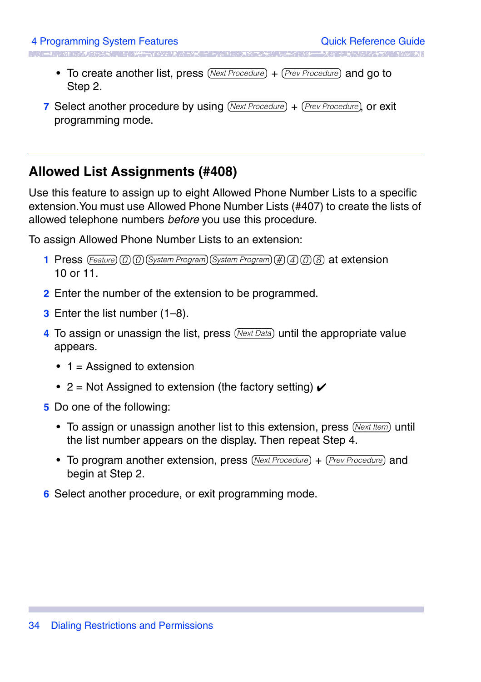- 2010年1月12日の1月12日に発言し
	- To create another list, press  $(Next$  Procedure) + (Prev Procedure) and go to Step 2.
	- **7** Select another procedure by using  $(Next$  Procedure) +  $(Prev$  Procedure), or exit programming mode.

#### **Allowed List Assignments (#408)**

Use this feature to assign up to eight Allowed Phone Number Lists to a specific extension.You must use Allowed Phone Number Lists (#407) to create the lists of allowed telephone numbers *before* you use this procedure.

To assign Allowed Phone Number Lists to an extension:

- **1** Press  $[Feature]$   $(0)$   $(0)$  (System Program) (System Program)  $(\#)(4)$   $(0)$   $(8)$  at extension 10 or 11*.*
- **2** Enter the number of the extension to be programmed.
- **3** Enter the list number (1—8).
- **4** To assign or unassign the list, press  $(Next Data)$  until the appropriate value appears.
	- $\bullet$  1 = Assigned to extension
	- 2 = Not Assigned to extension (the factory setting)  $\checkmark$
- **5** Do one of the following:
	- To assign or unassign another list to this extension, press  $(Next item)$  until the list number appears on the display. Then repeat Step 4.
	- To program another extension, press  $(Next{ Procedure}) + (Prev Procedure)$  and begin at Step 2.
- **6** Select another procedure, or exit programming mode.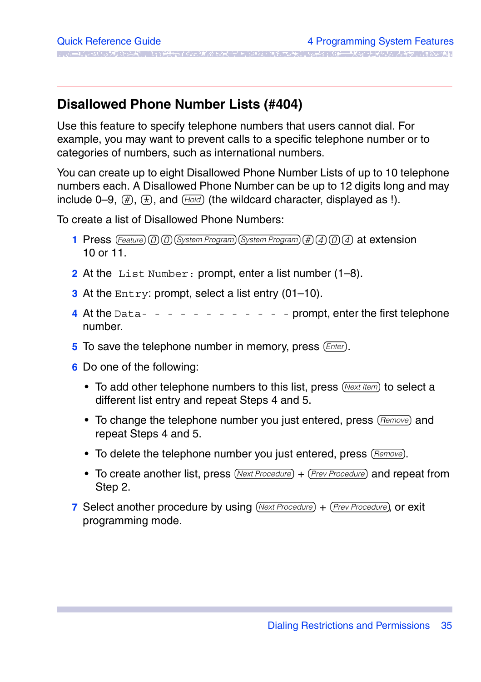#### **Disallowed Phone Number Lists (#404)**

Use this feature to specify telephone numbers that users cannot dial. For example, you may want to prevent calls to a specific telephone number or to categories of numbers, such as international numbers.

You can create up to eight Disallowed Phone Number Lists of up to 10 telephone numbers each. A Disallowed Phone Number can be up to 12 digits long and may include 0–9,  $(\frac{1}{2}, \frac{1}{2})$ , and  $(Hold)$  (the wildcard character, displayed as !).

To create a list of Disallowed Phone Numbers:

- **1** Press  $[Feature]$   $[0]$   $[0]$  (System Program) (System Program)  $[#](4)$   $[0]$   $[4]$  at extension 10 or 11.
- **2** At the List Number: prompt, enter a list number (1—8).
- **3** At the Entry: prompt, select a list entry (01-10).
- **4** At the Data------------ prompt, enter the first telephone number.
- **5** To save the telephone number in memory, press  $(Enter)$ .
- **6** Do one of the following:
	- To add other telephone numbers to this list, press  $(Next$  *liem*) to select a different list entry and repeat Steps 4 and 5.
	- To change the telephone number you just entered, press  $(Fenove)$  and repeat Steps 4 and 5.
	- To delete the telephone number you just entered, press  $(\overline{Remove})$ .
	- To create another list, press  $(Next$  Procedure) +  $(Prev$  Procedure) and repeat from Step 2.
- **7** Select another procedure by using  $(Next$  Procedure) +  $(Prev$  Procedure), or exit programming mode.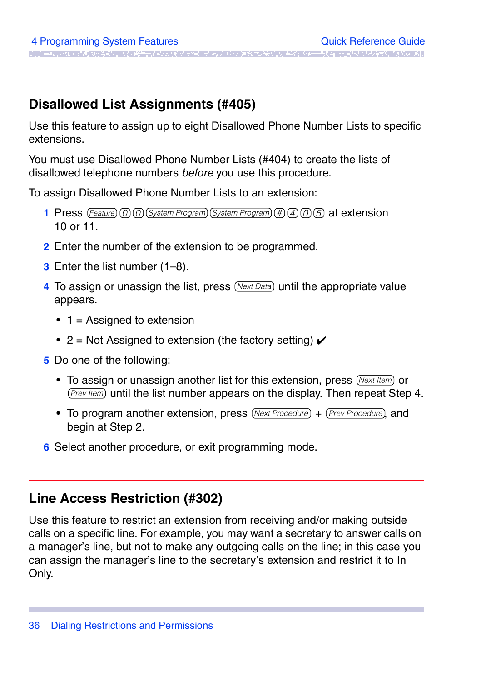#### **Disallowed List Assignments (#405)**

Use this feature to assign up to eight Disallowed Phone Number Lists to specific extensions.

You must use Disallowed Phone Number Lists (#404) to create the lists of disallowed telephone numbers *before* you use this procedure.

To assign Disallowed Phone Number Lists to an extension:

- **1** Press (Feature) (0) (0) (System Program) (System Program) (#) (4) (0) (5) at extension 10 or 11.
- **2** Enter the number of the extension to be programmed.
- **3** Enter the list number (1—8).
- **4** To assign or unassign the list, press  $(Next Data)$  until the appropriate value appears.
	- $\bullet$  1 = Assigned to extension
	- 2 = Not Assigned to extension (the factory setting)  $\checkmark$
- **5** Do one of the following:
	- To assign or unassign another list for this extension, press  $(Next item)$  or (Prev Item) until the list number appears on the display. Then repeat Step 4.
	- To program another extension, press  $(Next Proceedure) + (Prev Procedure)$  and begin at Step 2.
- **6** Select another procedure, or exit programming mode.

#### **Line Access Restriction (#302)**

Use this feature to restrict an extension from receiving and/or making outside calls on a specific line. For example, you may want a secretary to answer calls on a manager's line, but not to make any outgoing calls on the line; in this case you can assign the manager's line to the secretary's extension and restrict it to In Only.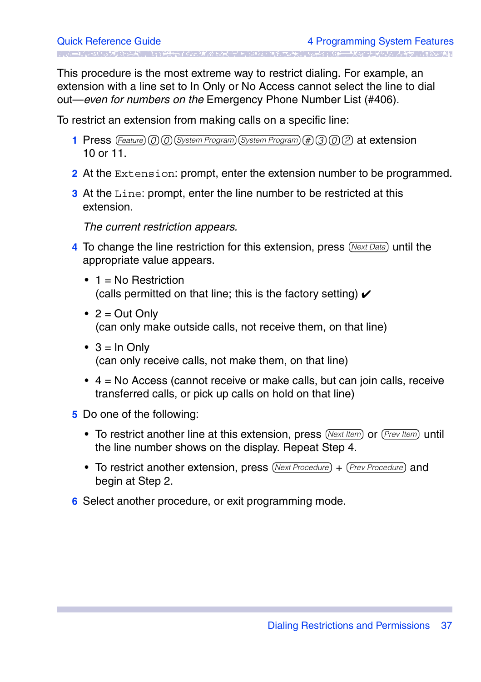This procedure is the most extreme way to restrict dialing. For example, an extension with a line set to In Only or No Access cannot select the line to dial out–*even for numbers on the* Emergency Phone Number List (#406).

To restrict an extension from making calls on a specific line:

- **1** Press  $[Feature]$   $[0]$   $[0]$  (System Program)  $[System$   $Program$   $[4]$   $[3]$   $[0]$   $[2]$  at extension 10 or 11.
- **2** At the Extension: prompt, enter the extension number to be programmed.
- **3** At the Line: prompt, enter the line number to be restricted at this extension.

*The current restriction appears.*

- **4** To change the line restriction for this extension, press  $(Next{ Data})$  until the appropriate value appears.
	- $\bullet$  1 = No Restriction (calls permitted on that line; this is the factory setting)  $\checkmark$
	- $\bullet$  2 = Out Only (can only make outside calls, not receive them, on that line)
	- $\bullet$  3 = In Only (can only receive calls, not make them, on that line)
	- 4 = No Access (cannot receive or make calls, but can join calls, receive transferred calls, or pick up calls on hold on that line)
- **5** Do one of the following:
	- To restrict another line at this extension, press  $(Next item)$  or  $(Prov item)$  until the line number shows on the display. Repeat Step 4.
	- To restrict another extension, press  $(Next Proceedure) + (Prev Procedure)$  and begin at Step 2.
- **6** Select another procedure, or exit programming mode.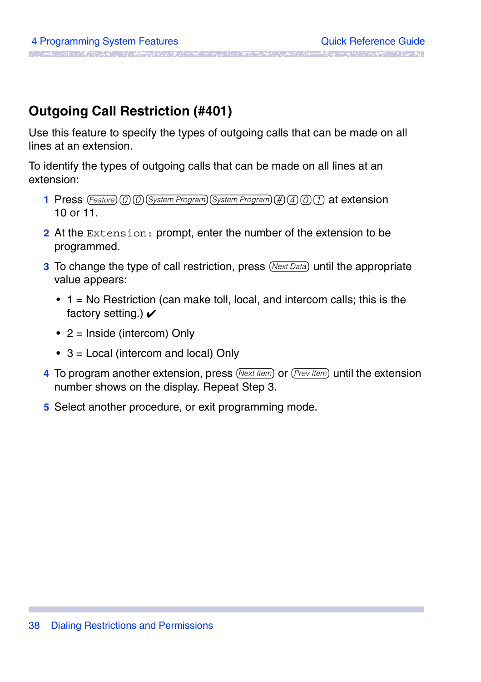#### **Outgoing Call Restriction (#401)**

Use this feature to specify the types of outgoing calls that can be made on all lines at an extension.

To identify the types of outgoing calls that can be made on all lines at an extension:

- **1** Press  $(Feature)$   $(0)$   $(0)$  (System Program) (System Program)  $(H)(A)$   $(0)$   $(1)$  at extension 10 or 11.
- **2** At the Extension: prompt, enter the number of the extension to be programmed.
- **3** To change the type of call restriction, press  $\overline{(Next Data)}$  until the appropriate value appears:
	- $\bullet$  1 = No Restriction (can make toll, local, and intercom calls; this is the factory setting.)  $\boldsymbol{v}$
	- $2 =$  Inside (intercom) Only
	- $\bullet$  3 = Local (intercom and local) Only
- **4** To program another extension, press  $(Next item)$  or  $(Prev item)$  until the extension number shows on the display. Repeat Step 3.
- **5** Select another procedure, or exit programming mode.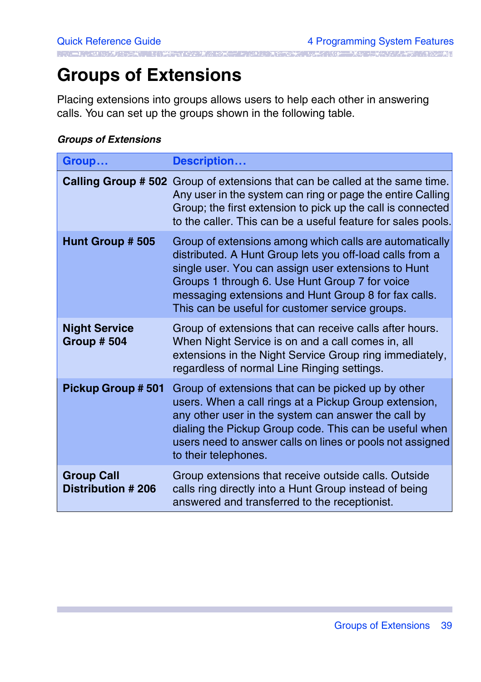### **Groups of Extensions**

Placing extensions into groups allows users to help each other in answering calls. You can set up the groups shown in the following table.

#### *Groups of Extensions*

| Group                                      | <b>Description</b>                                                                                                                                                                                                                                                                                                                      |
|--------------------------------------------|-----------------------------------------------------------------------------------------------------------------------------------------------------------------------------------------------------------------------------------------------------------------------------------------------------------------------------------------|
|                                            | <b>Calling Group # 502</b> Group of extensions that can be called at the same time.<br>Any user in the system can ring or page the entire Calling<br>Group; the first extension to pick up the call is connected<br>to the caller. This can be a useful feature for sales pools.                                                        |
| Hunt Group # 505                           | Group of extensions among which calls are automatically<br>distributed. A Hunt Group lets you off-load calls from a<br>single user. You can assign user extensions to Hunt<br>Groups 1 through 6. Use Hunt Group 7 for voice<br>messaging extensions and Hunt Group 8 for fax calls.<br>This can be useful for customer service groups. |
| <b>Night Service</b><br><b>Group # 504</b> | Group of extensions that can receive calls after hours.<br>When Night Service is on and a call comes in, all<br>extensions in the Night Service Group ring immediately,<br>regardless of normal Line Ringing settings.                                                                                                                  |
| <b>Pickup Group #501</b>                   | Group of extensions that can be picked up by other<br>users. When a call rings at a Pickup Group extension,<br>any other user in the system can answer the call by<br>dialing the Pickup Group code. This can be useful when<br>users need to answer calls on lines or pools not assigned<br>to their telephones.                       |
| <b>Group Call</b><br>Distribution # 206    | Group extensions that receive outside calls. Outside<br>calls ring directly into a Hunt Group instead of being<br>answered and transferred to the receptionist.                                                                                                                                                                         |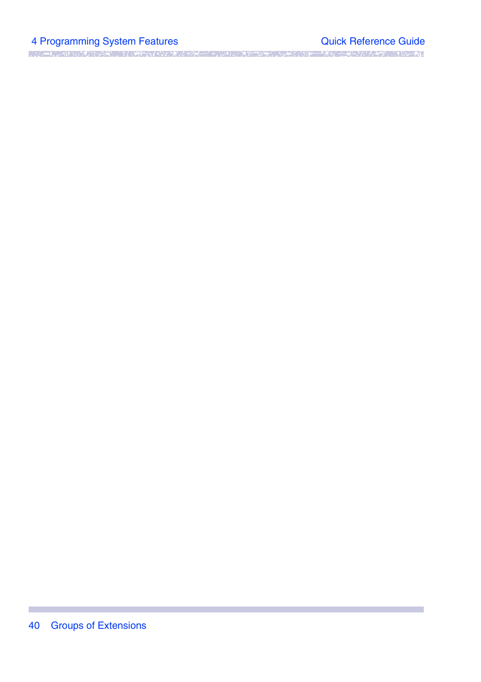#### Quick Reference Guide

4 Programming System Features

r.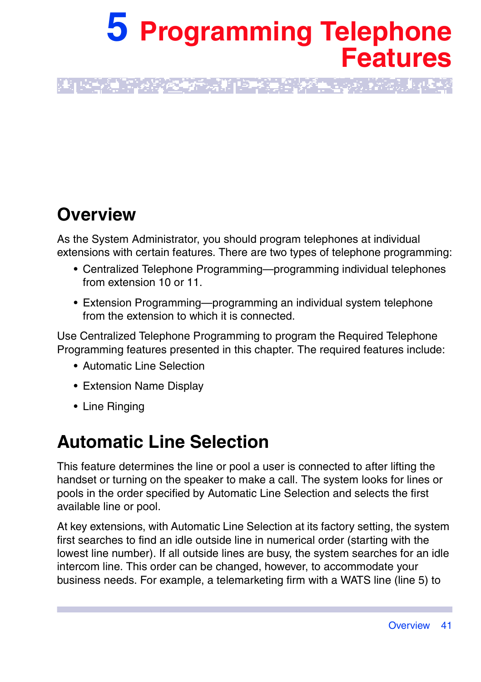## **5 Programming Telephone Features**

### **Overview**

As the System Administrator, you should program telephones at individual extensions with certain features. There are two types of telephone programming:

- Centralized Telephone Programming–programming individual telephones from extension 10 or 11.
- Extension Programming–programming an individual system telephone from the extension to which it is connected.

Use Centralized Telephone Programming to program the Required Telephone Programming features presented in this chapter. The required features include:

- Automatic Line Selection
- Extension Name Display
- Line Ringing

### **Automatic Line Selection**

This feature determines the line or pool a user is connected to after lifting the handset or turning on the speaker to make a call. The system looks for lines or pools in the order specified by Automatic Line Selection and selects the first available line or pool.

At key extensions, with Automatic Line Selection at its factory setting, the system first searches to find an idle outside line in numerical order (starting with the lowest line number). If all outside lines are busy, the system searches for an idle intercom line. This order can be changed, however, to accommodate your business needs. For example, a telemarketing firm with a WATS line (line 5) to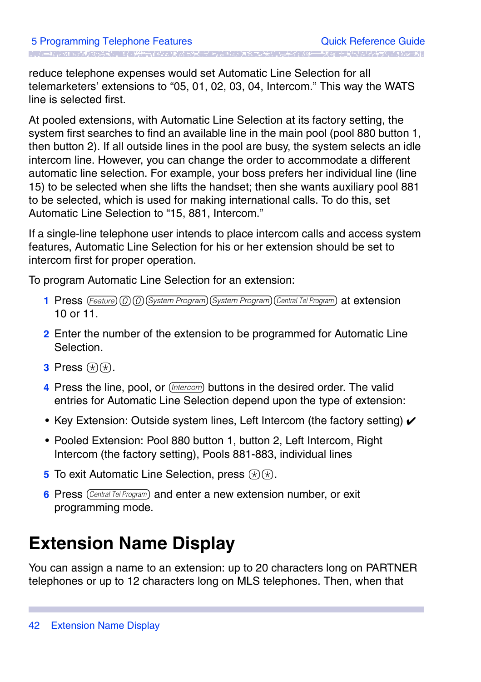reduce telephone expenses would set Automatic Line Selection for all telemarketers' extensions to "05, 01, 02, 03, 04, Intercom." This way the WATS line is selected first.

At pooled extensions, with Automatic Line Selection at its factory setting, the system first searches to find an available line in the main pool (pool 880 button 1, then button 2). If all outside lines in the pool are busy, the system selects an idle intercom line. However, you can change the order to accommodate a different automatic line selection. For example, your boss prefers her individual line (line 15) to be selected when she lifts the handset; then she wants auxiliary pool 881 to be selected, which is used for making international calls. To do this, set Automatic Line Selection to "15, 881, Intercom."

If a single-line telephone user intends to place intercom calls and access system features, Automatic Line Selection for his or her extension should be set to intercom first for proper operation.

To program Automatic Line Selection for an extension:

- **1** Press (Feature) (0) (0) (System Program) (System Program) (Central Tel Program) at extension 10 or 11.
- **2** Enter the number of the extension to be programmed for Automatic Line Selection.
- **3** Press  $\mathbb{R}$ .
- **4** Press the line, pool, or *(Intercom)* buttons in the desired order. The valid entries for Automatic Line Selection depend upon the type of extension:
- Key Extension: Outside system lines, Left Intercom (the factory setting)  $\checkmark$
- Pooled Extension: Pool 880 button 1, button 2, Left Intercom, Right Intercom (the factory setting), Pools 881-883, individual lines
- **5** To exit Automatic Line Selection, press  $\mathbb{R}(\mathbb{R})$ .
- **6** Press (Central Tel Program) and enter a new extension number, or exit programming mode.

### **Extension Name Display**

You can assign a name to an extension: up to 20 characters long on PARTNER telephones or up to 12 characters long on MLS telephones. Then, when that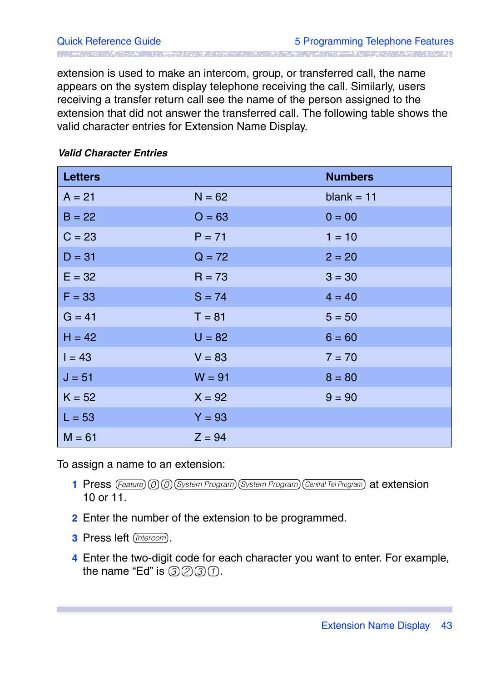extension is used to make an intercom, group, or transferred call, the name appears on the system display telephone receiving the call. Similarly, users receiving a transfer return call see the name of the person assigned to the extension that did not answer the transferred call. The following table shows the valid character entries for Extension Name Display.

| <b>Letters</b> |          | <b>Numbers</b> |
|----------------|----------|----------------|
| $A = 21$       | $N = 62$ | blank = $11$   |
| $B = 22$       | $O = 63$ | $0 = 00$       |
| $C = 23$       | $P = 71$ | $1 = 10$       |
| $D = 31$       | $Q = 72$ | $2 = 20$       |
| $E = 32$       | $R = 73$ | $3 = 30$       |
| $F = 33$       | $S = 74$ | $4 = 40$       |
| $G = 41$       | $T = 81$ | $5 = 50$       |
| $H = 42$       | $U = 82$ | $6 = 60$       |
| $I = 43$       | $V = 83$ | $7 = 70$       |
| $J = 51$       | $W = 91$ | $8 = 80$       |
| $K = 52$       | $X = 92$ | $9 = 90$       |
| $L = 53$       | $Y = 93$ |                |
| $M = 61$       | $Z = 94$ |                |

#### *Valid Character Entries*

To assign a name to an extension:

- 1 Press (Feature) (0) (0) (System Program) (System Program) (Central Tel Program) at extension 10 or 11.
- **2** Enter the number of the extension to be programmed.
- **3** Press left (Intercom).
- **4** Enter the two-digit code for each character you want to enter. For example, the name "Ed" is  $\mathcal{3Q} \mathcal{3Q} \mathcal{1}$ .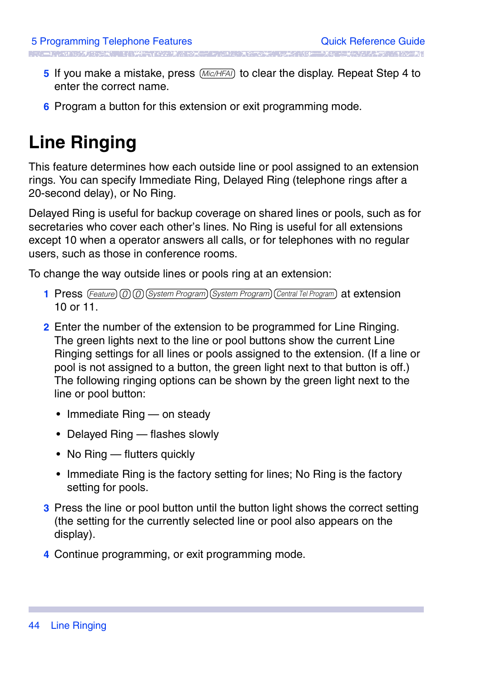- 5 If you make a mistake, press  $(Mic/HFA)$  to clear the display. Repeat Step 4 to enter the correct name.
- **6** Program a button for this extension or exit programming mode.

### **Line Ringing**

This feature determines how each outside line or pool assigned to an extension rings. You can specify Immediate Ring, Delayed Ring (telephone rings after a 20-second delay), or No Ring.

Delayed Ring is useful for backup coverage on shared lines or pools, such as for secretaries who cover each other's lines. No Ring is useful for all extensions except 10 when a operator answers all calls, or for telephones with no regular users, such as those in conference rooms.

To change the way outside lines or pools ring at an extension:

- 1 Press (Feature) (0) (0) (System Program) (System Program) (Central Tel Program) at extension 10 or 11.
- **2** Enter the number of the extension to be programmed for Line Ringing. The green lights next to the line or pool buttons show the current Line Ringing settings for all lines or pools assigned to the extension. (If a line or pool is not assigned to a button, the green light next to that button is off.) The following ringing options can be shown by the green light next to the line or pool button:
	- Immediate Ring on steady
	- Delayed Ring flashes slowly
	- No Ring flutters quickly
	- Immediate Ring is the factory setting for lines; No Ring is the factory setting for pools.
- **3** Press the line or pool button until the button light shows the correct setting (the setting for the currently selected line or pool also appears on the display).
- **4** Continue programming, or exit programming mode.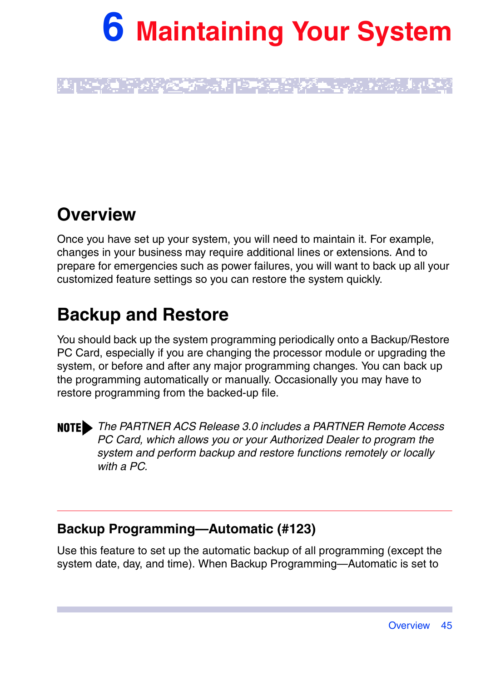# **6 Maintaining Your System**

### **Overview**

Once you have set up your system, you will need to maintain it. For example, changes in your business may require additional lines or extensions. And to prepare for emergencies such as power failures, you will want to back up all your customized feature settings so you can restore the system quickly.

### **Backup and Restore**

You should back up the system programming periodically onto a Backup/Restore PC Card, especially if you are changing the processor module or upgrading the system, or before and after any major programming changes. You can back up the programming automatically or manually. Occasionally you may have to restore programming from the backed-up file.

*The PARTNER ACS Release 3.0 includes a PARTNER Remote Access PC Card, which allows you or your Authorized Dealer to program the system and perform backup and restore functions remotely or locally with a PC.* 

#### **Backup Programming–Automatic (#123)**

Use this feature to set up the automatic backup of all programming (except the system date, day, and time). When Backup Programming–Automatic is set to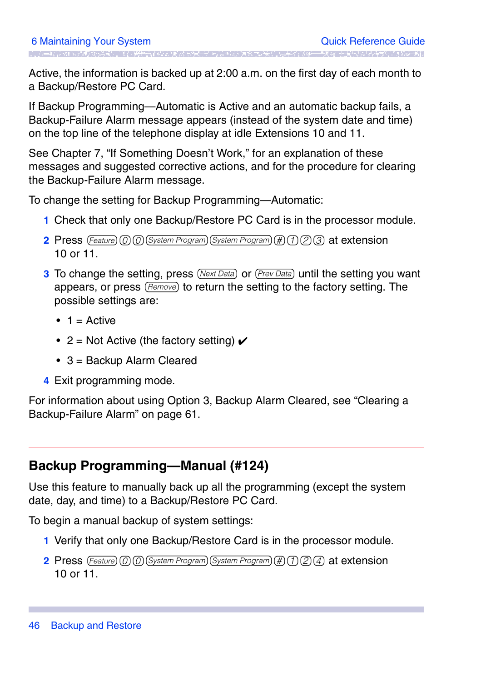Active, the information is backed up at 2:00 a.m. on the first day of each month to a Backup/Restore PC Card.

If Backup Programming–Automatic is Active and an automatic backup fails, a Backup-Failure Alarm message appears (instead of the system date and time) on the top line of the telephone display at idle Extensions 10 and 11.

See Chapter 7, ["If Something Doesn't Work,"](#page-67-0) for an explanation of these messages and suggested corrective actions, and for the procedure for clearing the Backup-Failure Alarm message.

To change the setting for Backup Programming–Automatic:

- **1** Check that only one Backup/Restore PC Card is in the processor module.
- **2** Press  $(Feature)$  (0) (0) (System Program) (System Program) (#) (1) (2) (3) at extension 10 or 11.
- **3** To change the setting, press (Next Data) or (Prev Data) until the setting you want appears, or press  $\overline{(Remove)}$  to return the setting to the factory setting. The possible settings are:
	- $1 =$  Active
	- 2 = Not Active (the factory setting)  $\checkmark$
	- 3 = Backup Alarm Cleared
- **4** Exit programming mode.

For information about using Option 3, Backup Alarm Cleared, see ["Clearing a](#page-67-1)  [Backup-Failure Alarm" on page 61](#page-67-1).

#### **Backup Programming–Manual (#124)**

Use this feature to manually back up all the programming (except the system date, day, and time) to a Backup/Restore PC Card.

To begin a manual backup of system settings:

- **1** Verify that only one Backup/Restore Card is in the processor module.
- **2** Press  $[Feature]$   $[0]$   $[0]$  (System Program) (System Program)  $[#]$   $[1]$   $[2]$   $[4]$  at extension 10 or 11.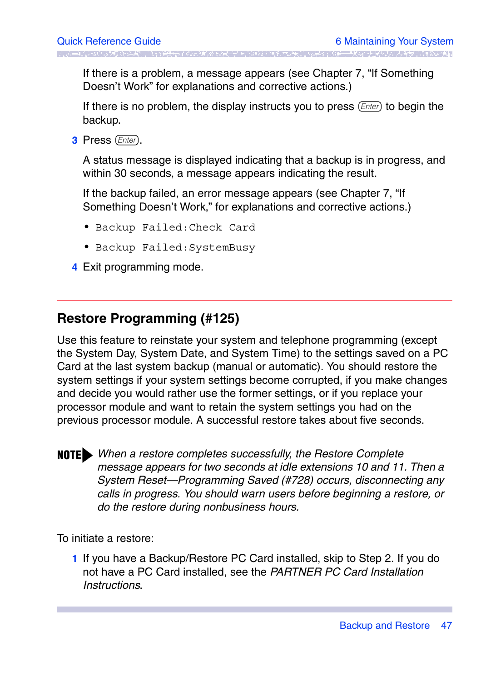If there is a problem, a message appears (see Chapter 7, ["If Something](#page-67-0)  [Doesn't Work"](#page-67-0) for explanations and corrective actions.)

If there is no problem, the display instructs you to press  $(Enter)$  to begin the backup.

**3** Press (*Enter*).

A status message is displayed indicating that a backup is in progress, and within 30 seconds, a message appears indicating the result.

If the backup failed, an error message appears (see Chapter 7, ["If](#page-67-0)  [Something Doesn't Work,"](#page-67-0) for explanations and corrective actions.)

- Backup Failed:Check Card
- Backup Failed:SystemBusy
- **4** Exit programming mode.

#### **Restore Programming (#125)**

Use this feature to reinstate your system and telephone programming (except the System Day, System Date, and System Time) to the settings saved on a PC Card at the last system backup (manual or automatic). You should restore the system settings if your system settings become corrupted, if you make changes and decide you would rather use the former settings, or if you replace your processor module and want to retain the system settings you had on the previous processor module. A successful restore takes about five seconds.

*When a restore completes successfully, the Restore Complete message appears for two seconds at idle extensions 10 and 11. Then a System Reset–Programming Saved (#728) occurs, disconnecting any calls in progress. You should warn users before beginning a restore, or do the restore during nonbusiness hours.*

To initiate a restore:

**1** If you have a Backup/Restore PC Card installed, skip to Step 2. If you do not have a PC Card installed, see the *PARTNER PC Card Installation Instructions*.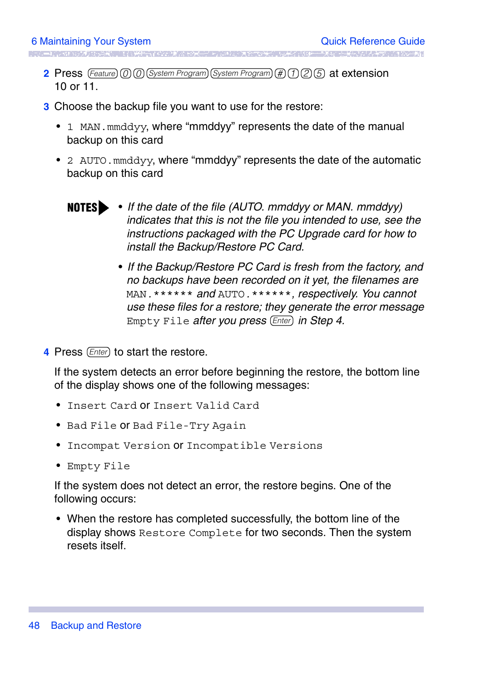- **2** Press  $(Feature)$   $(0)$   $(0)$  (System Program) (System Program)  $(H)(7)$   $(2)$   $(5)$  at extension 10 or 11.
- **3** Choose the backup file you want to use for the restore:
	- 1 MAN.mmddyy, where "mmddyy" represents the date of the manual backup on this card
	- 2 AUTO.mmddyy, where "mmddyy" represents the date of the automatic backup on this card
		- *If the date of the file (AUTO. mmddyy or MAN. mmddyy) indicates that this is not the file you intended to use, see the instructions packaged with the PC Upgrade card for how to install the Backup/Restore PC Card.*
			- *If the Backup/Restore PC Card is fresh from the factory, and no backups have been recorded on it yet, the filenames are*  MAN*.*\*\*\*\*\*\* *and* AUTO*.*\*\*\*\*\*\**, respectively. You cannot use these files for a restore; they generate the error message*  Empty File *after you press* (*Enter*) in Step 4.
- **4** Press (*Enter*) to start the restore.

If the system detects an error before beginning the restore, the bottom line of the display shows one of the following messages:

- Insert Card or Insert Valid Card
- Bad File or Bad File-Try Again
- Incompat Version or Incompatible Versions
- Empty File

If the system does not detect an error, the restore begins. One of the following occurs:

• When the restore has completed successfully, the bottom line of the display shows Restore Complete for two seconds. Then the system resets itself.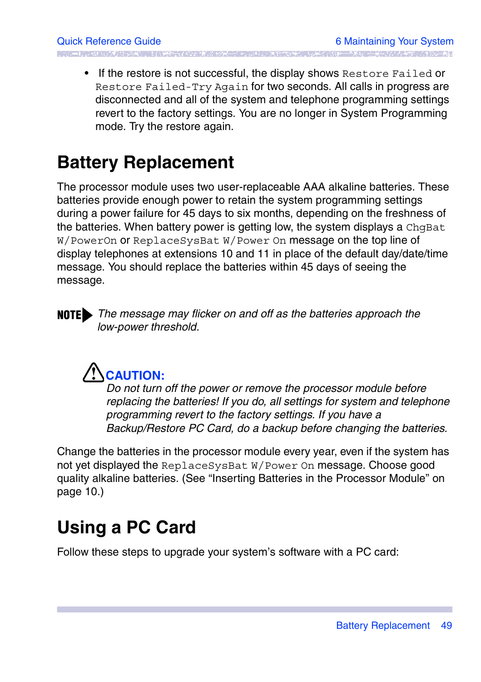• If the restore is not successful, the display shows Restore Failed or Restore Failed-Try Again for two seconds. All calls in progress are disconnected and all of the system and telephone programming settings revert to the factory settings. You are no longer in System Programming mode. Try the restore again.

### **Battery Replacement**

The processor module uses two user-replaceable AAA alkaline batteries. These batteries provide enough power to retain the system programming settings during a power failure for 45 days to six months, depending on the freshness of the batteries. When battery power is getting low, the system displays a ChgBat W/PowerOn or ReplaceSysBat W/Power On message on the top line of display telephones at extensions 10 and 11 in place of the default day/date/time message. You should replace the batteries within 45 days of seeing the message.

*The message may flicker on and off as the batteries approach the low-power threshold.* 



*Do not turn off the power or remove the processor module before replacing the batteries! If you do, all settings for system and telephone programming revert to the factory settings. If you have a Backup/Restore PC Card, do a backup before changing the batteries.* 

Change the batteries in the processor module every year, even if the system has not yet displayed the ReplaceSysBat W/Power On message. Choose good quality alkaline batteries. (See ["Inserting Batteries in the Processor Module" on](#page-16-0)  [page 10](#page-16-0).)

### <span id="page-55-0"></span>**Using a PC Card**

Follow these steps to upgrade your system's software with a PC card: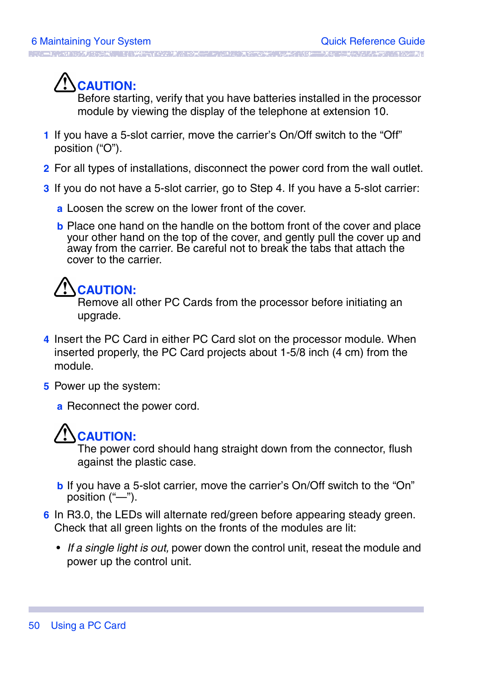### **CAUTION:**

Before starting, verify that you have batteries installed in the processor module by viewing the display of the telephone at extension 10.

- **1** If you have a 5-slot carrier, move the carrier's On/Off switch to the "Off" position ("O").
- **2** For all types of installations, disconnect the power cord from the wall outlet.
- **3** If you do not have a 5-slot carrier, go to Step 4. If you have a 5-slot carrier:
	- **a** Loosen the screw on the lower front of the cover.
	- **b** Place one hand on the handle on the bottom front of the cover and place your other hand on the top of the cover, and gently pull the cover up and away from the carrier. Be careful not to break the tabs that attach the cover to the carrier.

## **CAUTION:**

Remove all other PC Cards from the processor before initiating an upgrade.

- **4** Insert the PC Card in either PC Card slot on the processor module. When inserted properly, the PC Card projects about 1-5/8 inch (4 cm) from the module.
- **5** Power up the system:
	- **a** Reconnect the power cord.

#### **CAUTION:**

The power cord should hang straight down from the connector, flush against the plastic case.

- **b** If you have a 5-slot carrier, move the carrier's On/Off switch to the "On" position  $"—"$ ).
- **6** In R3.0, the LEDs will alternate red/green before appearing steady green. Check that all green lights on the fronts of the modules are lit:
	- *If a single light is out,* power down the control unit, reseat the module and power up the control unit.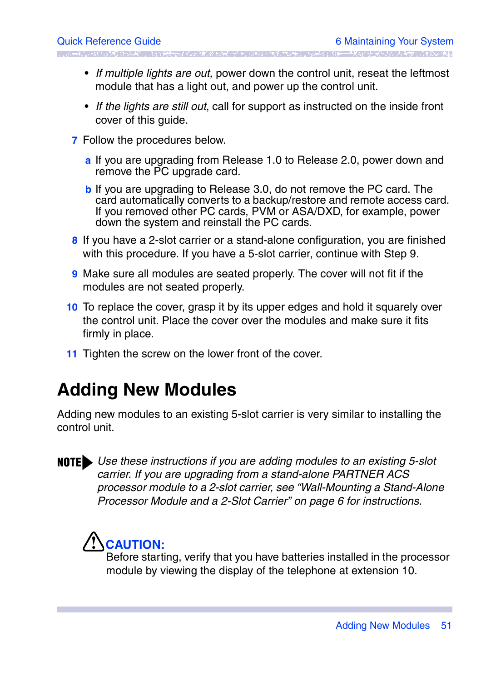- *If multiple lights are out,* power down the control unit, reseat the leftmost module that has a light out, and power up the control unit.
- *If the lights are still out*, call for support as instructed on the inside front cover of this guide.
- **7** Follow the procedures below.
	- **a** If you are upgrading from Release 1.0 to Release 2.0, power down and remove the PC upgrade card.
	- **b** If you are upgrading to Release 3.0, do not remove the PC card. The card automatically converts to a backup/restore and remote access card. If you removed other PC cards, PVM or ASA/DXD, for example, power down the system and reinstall the PC cards.
- **8** If you have a 2-slot carrier or a stand-alone configuration, you are finished with this procedure. If you have a 5-slot carrier, continue with Step 9.
- **9** Make sure all modules are seated properly. The cover will not fit if the modules are not seated properly.
- **10** To replace the cover, grasp it by its upper edges and hold it squarely over the control unit. Place the cover over the modules and make sure it fits firmly in place.
- **11** Tighten the screw on the lower front of the cover.

#### **Adding New Modules**

Adding new modules to an existing 5-slot carrier is very similar to installing the control unit.

*Use these instructions if you are adding modules to an existing 5-slot carrier. If you are upgrading from a stand-alone PARTNER ACS processor module to a 2-slot carrier, see ["Wall-Mounting a Stand-Alone](#page-12-0)  [Processor Module and a 2-Slot Carrier" on page 6](#page-12-0) for instructions.*

### **CAUTION:**

Before starting, verify that you have batteries installed in the processor module by viewing the display of the telephone at extension 10.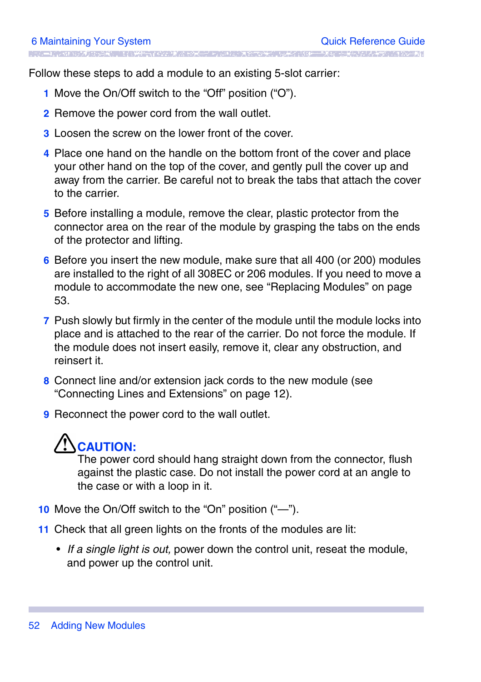Follow these steps to add a module to an existing 5-slot carrier:

- **1** Move the On/Off switch to the "Off" position ("O").
- **2** Remove the power cord from the wall outlet.
- **3** Loosen the screw on the lower front of the cover.
- **4** Place one hand on the handle on the bottom front of the cover and place your other hand on the top of the cover, and gently pull the cover up and away from the carrier. Be careful not to break the tabs that attach the cover to the carrier.
- **5** Before installing a module, remove the clear, plastic protector from the connector area on the rear of the module by grasping the tabs on the ends of the protector and lifting.
- **6** Before you insert the new module, make sure that all 400 (or 200) modules are installed to the right of all 308EC or 206 modules. If you need to move a module to accommodate the new one, see ["Replacing Modules" on page](#page-59-0)  [53.](#page-59-0)
- **7** Push slowly but firmly in the center of the module until the module locks into place and is attached to the rear of the carrier. Do not force the module. If the module does not insert easily, remove it, clear any obstruction, and reinsert it.
- **8** Connect line and/or extension jack cords to the new module (see ["Connecting Lines and Extensions" on page 12\)](#page-18-0).
- **9** Reconnect the power cord to the wall outlet.

### **CAUTION:**

The power cord should hang straight down from the connector, flush against the plastic case. Do not install the power cord at an angle to the case or with a loop in it.

- **10** Move the On/Off switch to the "On" position ("-").
- **11** Check that all green lights on the fronts of the modules are lit:
	- *If a single light is out,* power down the control unit, reseat the module, and power up the control unit.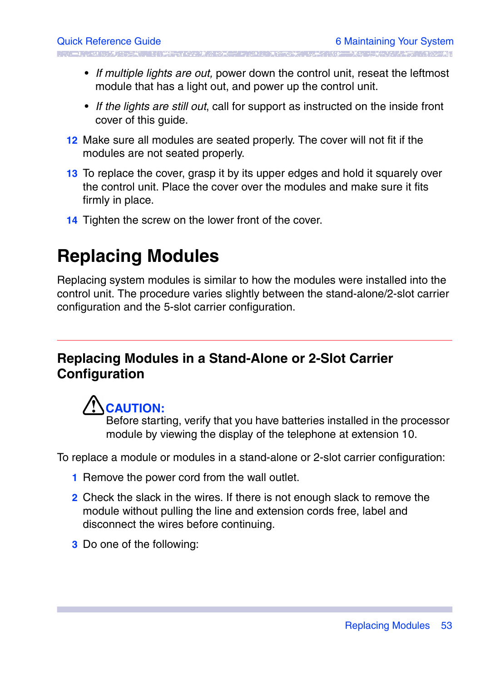- *If multiple lights are out,* power down the control unit, reseat the leftmost module that has a light out, and power up the control unit.
- *If the lights are still out*, call for support as instructed on the inside front cover of this guide.
- **12** Make sure all modules are seated properly. The cover will not fit if the modules are not seated properly.
- **13** To replace the cover, grasp it by its upper edges and hold it squarely over the control unit. Place the cover over the modules and make sure it fits firmly in place.
- **14** Tighten the screw on the lower front of the cover.

#### <span id="page-59-0"></span>**Replacing Modules**

Replacing system modules is similar to how the modules were installed into the control unit. The procedure varies slightly between the stand-alone/2-slot carrier configuration and the 5-slot carrier configuration.

#### **Replacing Modules in a Stand-Alone or 2-Slot Carrier Configuration**

### **CAUTION:**

Before starting, verify that you have batteries installed in the processor module by viewing the display of the telephone at extension 10.

To replace a module or modules in a stand-alone or 2-slot carrier configuration:

- **1** Remove the power cord from the wall outlet.
- **2** Check the slack in the wires. If there is not enough slack to remove the module without pulling the line and extension cords free, label and disconnect the wires before continuing.
- **3** Do one of the following: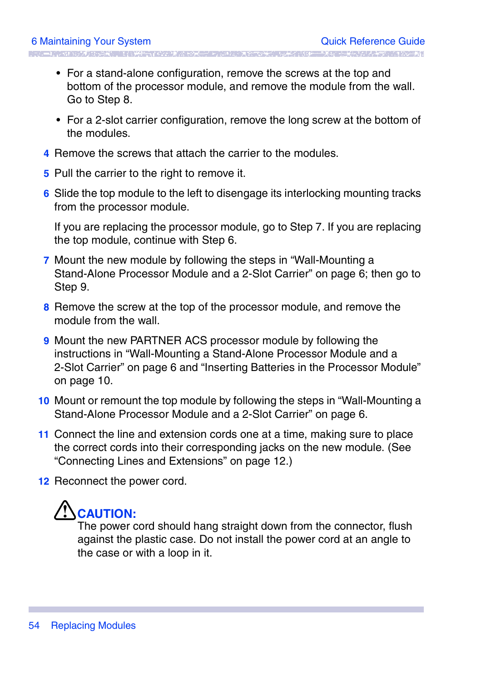- For a stand-alone configuration, remove the screws at the top and bottom of the processor module, and remove the module from the wall. Go to Step 8.
- For a 2-slot carrier configuration, remove the long screw at the bottom of the modules.
- **4** Remove the screws that attach the carrier to the modules.
- **5** Pull the carrier to the right to remove it.
- **6** Slide the top module to the left to disengage its interlocking mounting tracks from the processor module.

If you are replacing the processor module, go to Step 7. If you are replacing the top module, continue with Step 6.

- **7** Mount the new module by following the steps in ["Wall-Mounting a](#page-12-0)  [Stand-Alone Processor Module and a 2-Slot Carrier" on page 6;](#page-12-0) then go to Step 9.
- **8** Remove the screw at the top of the processor module, and remove the module from the wall.
- **9** Mount the new PARTNER ACS processor module by following the instructions in ["Wall-Mounting a Stand-Alone Processor Module and a](#page-12-0)  [2-Slot Carrier" on page 6](#page-12-0) and ["Inserting Batteries in the Processor Module"](#page-16-0)  [on page 10.](#page-16-0)
- **10** Mount or remount the top module by following the steps in ["Wall-Mounting a](#page-12-0)  [Stand-Alone Processor Module and a 2-Slot Carrier" on page 6.](#page-12-0)
- **11** Connect the line and extension cords one at a time, making sure to place the correct cords into their corresponding jacks on the new module. (See ["Connecting Lines and Extensions" on page 12.](#page-18-0))
- **12** Reconnect the power cord.

## **CAUTION:**

The power cord should hang straight down from the connector, flush against the plastic case. Do not install the power cord at an angle to the case or with a loop in it.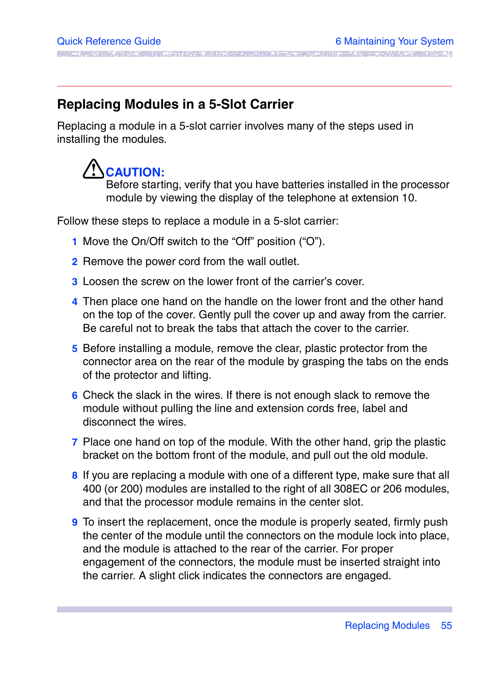#### **Replacing Modules in a 5-Slot Carrier**

Replacing a module in a 5-slot carrier involves many of the steps used in installing the modules.

### **TO CAUTION:**

Before starting, verify that you have batteries installed in the processor module by viewing the display of the telephone at extension 10.

Follow these steps to replace a module in a 5-slot carrier:

- **1** Move the On/Off switch to the "Off" position ("O").
- **2** Remove the power cord from the wall outlet.
- **3** Loosen the screw on the lower front of the carrier's cover.
- **4** Then place one hand on the handle on the lower front and the other hand on the top of the cover. Gently pull the cover up and away from the carrier. Be careful not to break the tabs that attach the cover to the carrier.
- **5** Before installing a module, remove the clear, plastic protector from the connector area on the rear of the module by grasping the tabs on the ends of the protector and lifting.
- **6** Check the slack in the wires. If there is not enough slack to remove the module without pulling the line and extension cords free, label and disconnect the wires.
- **7** Place one hand on top of the module. With the other hand, grip the plastic bracket on the bottom front of the module, and pull out the old module.
- **8** If you are replacing a module with one of a different type, make sure that all 400 (or 200) modules are installed to the right of all 308EC or 206 modules, and that the processor module remains in the center slot.
- **9** To insert the replacement, once the module is properly seated, firmly push the center of the module until the connectors on the module lock into place, and the module is attached to the rear of the carrier. For proper engagement of the connectors, the module must be inserted straight into the carrier. A slight click indicates the connectors are engaged.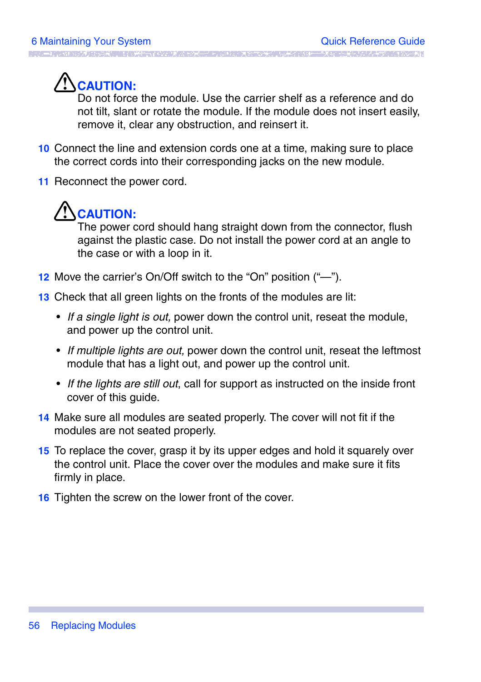### **CAUTION:**

Do not force the module. Use the carrier shelf as a reference and do not tilt, slant or rotate the module. If the module does not insert easily, remove it, clear any obstruction, and reinsert it.

- **10** Connect the line and extension cords one at a time, making sure to place the correct cords into their corresponding jacks on the new module.
- **11** Reconnect the power cord.

### **CAUTION:**

The power cord should hang straight down from the connector, flush against the plastic case. Do not install the power cord at an angle to the case or with a loop in it.

- **12** Move the carrier's On/Off switch to the "On" position ("-").
- **13** Check that all green lights on the fronts of the modules are lit:
	- *If a single light is out,* power down the control unit, reseat the module, and power up the control unit.
	- *If multiple lights are out,* power down the control unit, reseat the leftmost module that has a light out, and power up the control unit.
	- *If the lights are still out*, call for support as instructed on the inside front cover of this guide.
- **14** Make sure all modules are seated properly. The cover will not fit if the modules are not seated properly.
- **15** To replace the cover, grasp it by its upper edges and hold it squarely over the control unit. Place the cover over the modules and make sure it fits firmly in place.
- **16** Tighten the screw on the lower front of the cover.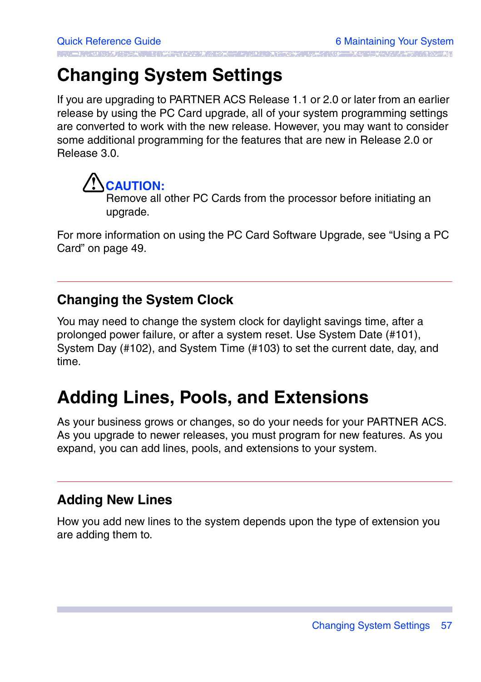## **Changing System Settings**

If you are upgrading to PARTNER ACS Release 1.1 or 2.0 or later from an earlier release by using the PC Card upgrade, all of your system programming settings are converted to work with the new release. However, you may want to consider some additional programming for the features that are new in Release 2.0 or Release 3.0.

## **NCAUTION:**

Remove all other PC Cards from the processor before initiating an upgrade.

For more information on using the PC Card Software Upgrade, see ["Using a PC](#page-55-0)  [Card" on page 49.](#page-55-0)

#### **Changing the System Clock**

You may need to change the system clock for daylight savings time, after a prolonged power failure, or after a system reset. Use System Date (#101), System Day (#102), and System Time (#103) to set the current date, day, and time.

### **Adding Lines, Pools, and Extensions**

As your business grows or changes, so do your needs for your PARTNER ACS. As you upgrade to newer releases, you must program for new features. As you expand, you can add lines, pools, and extensions to your system.

#### **Adding New Lines**

How you add new lines to the system depends upon the type of extension you are adding them to.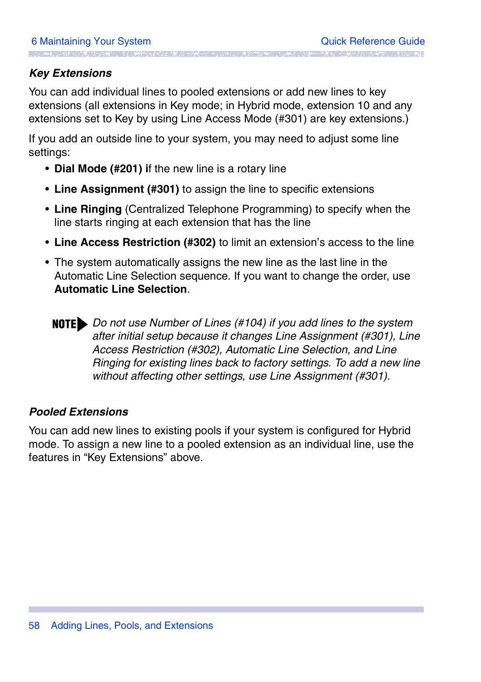#### *Key Extensions*

You can add individual lines to pooled extensions or add new lines to key extensions (all extensions in Key mode; in Hybrid mode, extension 10 and any extensions set to Key by using Line Access Mode (#301) are key extensions.)

If you add an outside line to your system, you may need to adjust some line settings:

- **Dial Mode (#201) i**f the new line is a rotary line
- **Line Assignment (#301)** to assign the line to specific extensions
- **Line Ringing** (Centralized Telephone Programming) to specify when the line starts ringing at each extension that has the line
- **Line Access Restriction (#302)** to limit an extension's access to the line
- The system automatically assigns the new line as the last line in the Automatic Line Selection sequence. If you want to change the order, use **Automatic Line Selection**.
	- *Do not use Number of Lines (#104) if you add lines to the system after initial setup because it changes Line Assignment (#301), Line Access Restriction (#302), Automatic Line Selection, and Line Ringing for existing lines back to factory settings. To add a new line without affecting other settings, use Line Assignment (#301).*

#### *Pooled Extensions*

You can add new lines to existing pools if your system is configured for Hybrid mode. To assign a new line to a pooled extension as an individual line, use the features in "Key Extensions" above.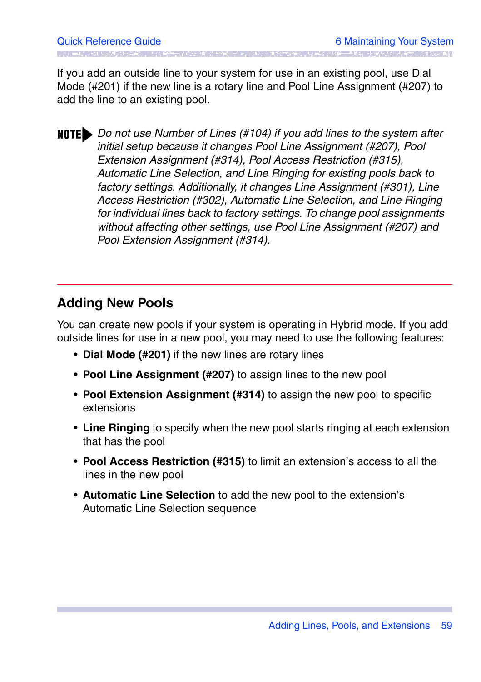If you add an outside line to your system for use in an existing pool, use Dial Mode (#201) if the new line is a rotary line and Pool Line Assignment (#207) to add the line to an existing pool.

*Do not use Number of Lines (#104) if you add lines to the system after initial setup because it changes Pool Line Assignment (#207), Pool Extension Assignment (#314), Pool Access Restriction (#315), Automatic Line Selection, and Line Ringing for existing pools back to factory settings. Additionally, it changes Line Assignment (#301), Line Access Restriction (#302), Automatic Line Selection, and Line Ringing for individual lines back to factory settings. To change pool assignments without affecting other settings, use Pool Line Assignment (#207) and Pool Extension Assignment (#314).*

#### **Adding New Pools**

You can create new pools if your system is operating in Hybrid mode. If you add outside lines for use in a new pool, you may need to use the following features:

- **Dial Mode (#201)** if the new lines are rotary lines
- **Pool Line Assignment (#207)** to assign lines to the new pool
- **Pool Extension Assignment (#314)** to assign the new pool to specific extensions
- **Line Ringing** to specify when the new pool starts ringing at each extension that has the pool
- **Pool Access Restriction (#315)** to limit an extension's access to all the lines in the new pool
- **Automatic Line Selection** to add the new pool to the extension's Automatic Line Selection sequence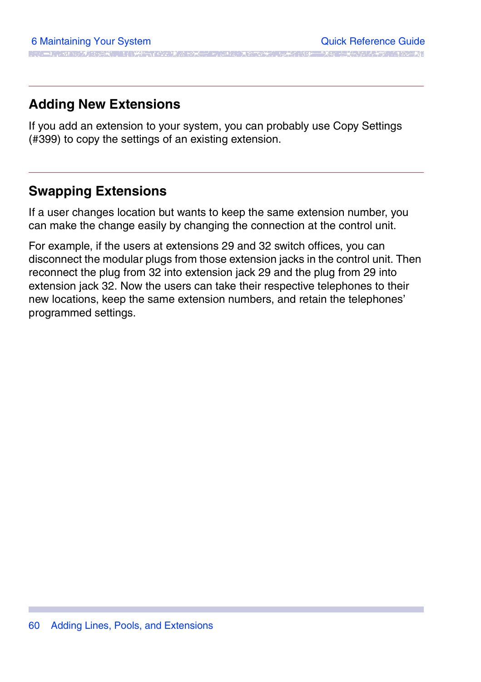#### **Adding New Extensions**

If you add an extension to your system, you can probably use Copy Settings (#399) to copy the settings of an existing extension.

#### **Swapping Extensions**

If a user changes location but wants to keep the same extension number, you can make the change easily by changing the connection at the control unit.

For example, if the users at extensions 29 and 32 switch offices, you can disconnect the modular plugs from those extension jacks in the control unit. Then reconnect the plug from 32 into extension jack 29 and the plug from 29 into extension jack 32. Now the users can take their respective telephones to their new locations, keep the same extension numbers, and retain the telephones' programmed settings.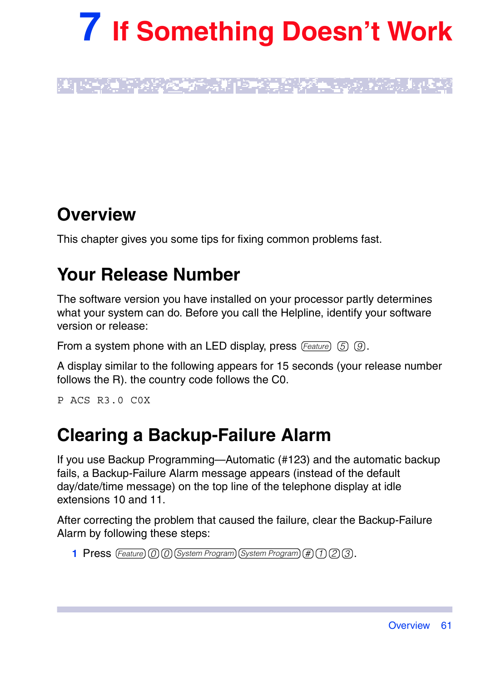# <span id="page-67-0"></span>**7 If Something Doesn't Work**

### **Overview**

This chapter gives you some tips for fixing common problems fast.

### **Your Release Number**

The software version you have installed on your processor partly determines what your system can do. Before you call the Helpline, identify your software version or release:

From a system phone with an LED display, press  $(Feature)$  (5) (9).

A display similar to the following appears for 15 seconds (your release number follows the R). the country code follows the C0.

P ACS R3.0 C0X

#### <span id="page-67-1"></span>**Clearing a Backup-Failure Alarm**

If you use Backup Programming–Automatic (#123) and the automatic backup fails, a Backup-Failure Alarm message appears (instead of the default day/date/time message) on the top line of the telephone display at idle extensions 10 and 11.

After correcting the problem that caused the failure, clear the Backup-Failure Alarm by following these steps:

**1** Press  $[Feature]$   $[0]$   $[0]$   $[System Program]$   $[System Program]$   $[4]$   $[7]$   $[2]$   $[3]$ .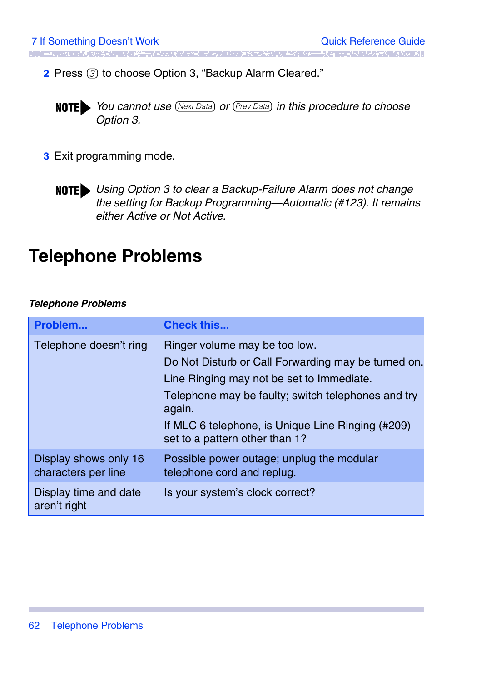**2** Press 3 to choose Option 3, "Backup Alarm Cleared."

**NOTE** You cannot use  $\overline{Next Data}$  or  $\overline{Prev Data}$  in this procedure to choose *Option 3.*

- **3** Exit programming mode.
	- *Using Option 3 to clear a Backup-Failure Alarm does not change the setting for Backup Programming–Automatic (#123). It remains either Active or Not Active.*

#### **Telephone Problems**

#### *Telephone Problems*

| Problem                                      | <b>Check this</b>                                                                   |
|----------------------------------------------|-------------------------------------------------------------------------------------|
| Telephone doesn't ring                       | Ringer volume may be too low.                                                       |
|                                              | Do Not Disturb or Call Forwarding may be turned on.                                 |
|                                              | Line Ringing may not be set to Immediate.                                           |
|                                              | Telephone may be faulty; switch telephones and try<br>again.                        |
|                                              | If MLC 6 telephone, is Unique Line Ringing (#209)<br>set to a pattern other than 1? |
| Display shows only 16<br>characters per line | Possible power outage; unplug the modular<br>telephone cord and replug.             |
| Display time and date<br>aren't right        | Is your system's clock correct?                                                     |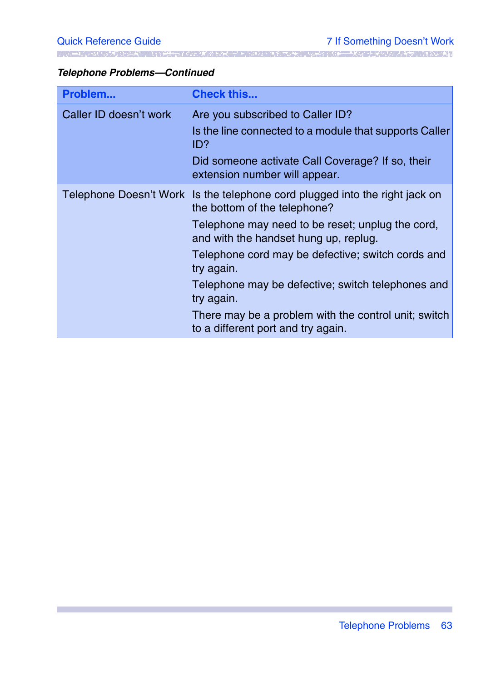了,在一片,不好对方,我会想了,只能会看不好,我*的人子,可以*不过,真在不好, 从某个孩子, 关系, 是*先我对*人在我不能不能

#### *Telephone Problems–Continued*

<span id="page-69-0"></span>

| Problem                | <b>Check this</b>                                                                                           |
|------------------------|-------------------------------------------------------------------------------------------------------------|
| Caller ID doesn't work | Are you subscribed to Caller ID?                                                                            |
|                        | Is the line connected to a module that supports Caller<br>ID?                                               |
|                        | Did someone activate Call Coverage? If so, their<br>extension number will appear.                           |
|                        | Telephone Doesn't Work Is the telephone cord plugged into the right jack on<br>the bottom of the telephone? |
|                        | Telephone may need to be reset; unplug the cord,<br>and with the handset hung up, replug.                   |
|                        | Telephone cord may be defective; switch cords and<br>try again.                                             |
|                        | Telephone may be defective; switch telephones and<br>try again.                                             |
|                        | There may be a problem with the control unit; switch<br>to a different port and try again.                  |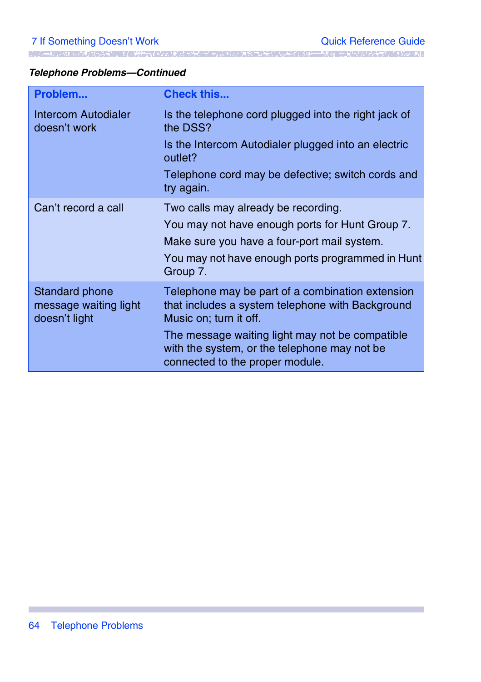7 If Something Doesn't Work<br>The Discrete Guide State of the State of the State of the State of the State of the State of the State of the

#### *Telephone Problems–Continued*

| Problem                                                  | <b>Check this</b>                                                                                                                  |
|----------------------------------------------------------|------------------------------------------------------------------------------------------------------------------------------------|
| Intercom Autodialer<br>doesn't work                      | Is the telephone cord plugged into the right jack of<br>the DSS?                                                                   |
|                                                          | Is the Intercom Autodialer plugged into an electric<br>outlet?                                                                     |
|                                                          | Telephone cord may be defective; switch cords and<br>try again.                                                                    |
| Can't record a call                                      | Two calls may already be recording.                                                                                                |
|                                                          | You may not have enough ports for Hunt Group 7.                                                                                    |
|                                                          | Make sure you have a four-port mail system.                                                                                        |
|                                                          | You may not have enough ports programmed in Hunt<br>Group 7.                                                                       |
| Standard phone<br>message waiting light<br>doesn't light | Telephone may be part of a combination extension<br>that includes a system telephone with Background<br>Music on; turn it off.     |
|                                                          | The message waiting light may not be compatible<br>with the system, or the telephone may not be<br>connected to the proper module. |

r.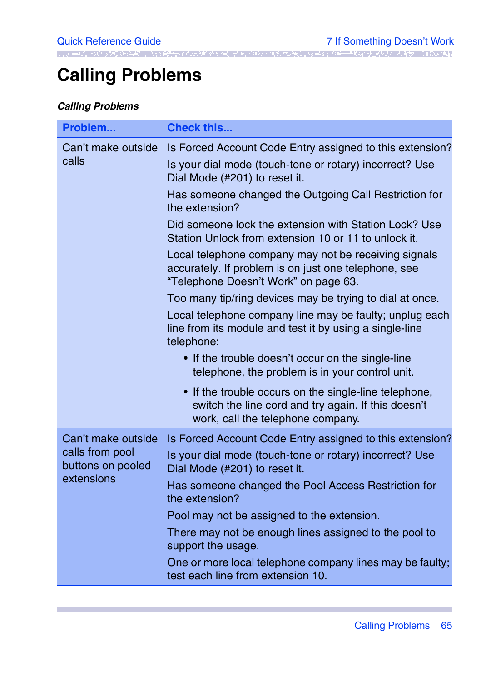**プロホール しゃかい カイバックギャ** (治安)使分,以早分成(病于于关系),也是我们对某种方针(消除)与解剖 **MARKET AND** 

### **Calling Problems**

#### *Calling Problems*

| Problem                                                                  | <b>Check this</b>                                                                                                                                    |
|--------------------------------------------------------------------------|------------------------------------------------------------------------------------------------------------------------------------------------------|
| Can't make outside<br>calls                                              | Is Forced Account Code Entry assigned to this extension?<br>Is your dial mode (touch-tone or rotary) incorrect? Use<br>Dial Mode (#201) to reset it. |
|                                                                          | Has someone changed the Outgoing Call Restriction for<br>the extension?                                                                              |
|                                                                          | Did someone lock the extension with Station Lock? Use<br>Station Unlock from extension 10 or 11 to unlock it.                                        |
|                                                                          | Local telephone company may not be receiving signals<br>accurately. If problem is on just one telephone, see<br>"Telephone Doesn't Work" on page 63. |
|                                                                          | Too many tip/ring devices may be trying to dial at once.                                                                                             |
|                                                                          | Local telephone company line may be faulty; unplug each<br>line from its module and test it by using a single-line<br>telephone:                     |
|                                                                          | • If the trouble doesn't occur on the single-line<br>telephone, the problem is in your control unit.                                                 |
|                                                                          | • If the trouble occurs on the single-line telephone,<br>switch the line cord and try again. If this doesn't<br>work, call the telephone company.    |
| Can't make outside<br>calls from pool<br>buttons on pooled<br>extensions | Is Forced Account Code Entry assigned to this extension?<br>Is your dial mode (touch-tone or rotary) incorrect? Use<br>Dial Mode (#201) to reset it. |
|                                                                          | Has someone changed the Pool Access Restriction for<br>the extension?                                                                                |
|                                                                          | Pool may not be assigned to the extension.                                                                                                           |
|                                                                          | There may not be enough lines assigned to the pool to<br>support the usage.                                                                          |
|                                                                          | One or more local telephone company lines may be faulty;<br>test each line from extension 10.                                                        |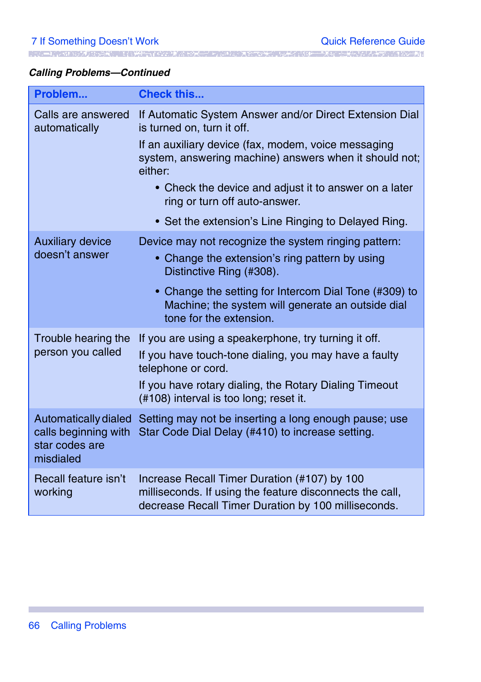7 If Something Doesn't Work<br>The Discrete Guide State of the State of the State of the State of the State of the State of the State of the

#### *Calling Problems–Continued*

| Problem                                             | <b>Check this</b>                                                                                                                                               |
|-----------------------------------------------------|-----------------------------------------------------------------------------------------------------------------------------------------------------------------|
| Calls are answered<br>automatically                 | If Automatic System Answer and/or Direct Extension Dial<br>is turned on, turn it off.                                                                           |
|                                                     | If an auxiliary device (fax, modem, voice messaging<br>system, answering machine) answers when it should not;<br>either:                                        |
|                                                     | • Check the device and adjust it to answer on a later<br>ring or turn off auto-answer.                                                                          |
|                                                     | • Set the extension's Line Ringing to Delayed Ring.                                                                                                             |
| <b>Auxiliary device</b>                             | Device may not recognize the system ringing pattern:                                                                                                            |
| doesn't answer                                      | • Change the extension's ring pattern by using<br>Distinctive Ring (#308).                                                                                      |
|                                                     | • Change the setting for Intercom Dial Tone (#309) to<br>Machine; the system will generate an outside dial<br>tone for the extension.                           |
| Trouble hearing the<br>person you called            | If you are using a speakerphone, try turning it off.<br>If you have touch-tone dialing, you may have a faulty<br>telephone or cord.                             |
|                                                     | If you have rotary dialing, the Rotary Dialing Timeout<br>(#108) interval is too long; reset it.                                                                |
| calls beginning with<br>star codes are<br>misdialed | Automatically dialed Setting may not be inserting a long enough pause; use<br>Star Code Dial Delay (#410) to increase setting.                                  |
| Recall feature isn't<br>working                     | Increase Recall Timer Duration (#107) by 100<br>milliseconds. If using the feature disconnects the call,<br>decrease Recall Timer Duration by 100 milliseconds. |

r.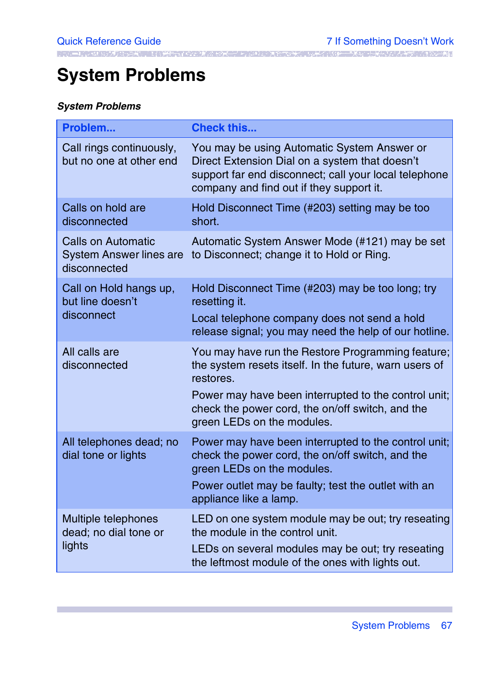■ F.A. ■ F.D. S.I. 5 システムの業績 (台湾安美) 网络爱尔兰人物 古英人的人名英特尔德英德斯 Ma<del>xim</del> o

# **System Problems**

## *System Problems*

| Problem                                                              | <b>Check this</b>                                                                                                                                                                                                                                                  |
|----------------------------------------------------------------------|--------------------------------------------------------------------------------------------------------------------------------------------------------------------------------------------------------------------------------------------------------------------|
| Call rings continuously,<br>but no one at other end                  | You may be using Automatic System Answer or<br>Direct Extension Dial on a system that doesn't<br>support far end disconnect; call your local telephone<br>company and find out if they support it.                                                                 |
| Calls on hold are<br>disconnected                                    | Hold Disconnect Time (#203) setting may be too<br>short.                                                                                                                                                                                                           |
| Calls on Automatic<br><b>System Answer lines are</b><br>disconnected | Automatic System Answer Mode (#121) may be set<br>to Disconnect; change it to Hold or Ring.                                                                                                                                                                        |
| Call on Hold hangs up,<br>but line doesn't<br>disconnect             | Hold Disconnect Time (#203) may be too long; try<br>resetting it.<br>Local telephone company does not send a hold<br>release signal; you may need the help of our hotline.                                                                                         |
| All calls are<br>disconnected                                        | You may have run the Restore Programming feature;<br>the system resets itself. In the future, warn users of<br>restores.<br>Power may have been interrupted to the control unit;<br>check the power cord, the on/off switch, and the<br>green LEDs on the modules. |
| All telephones dead; no<br>dial tone or lights                       | Power may have been interrupted to the control unit;<br>check the power cord, the on/off switch, and the<br>green LEDs on the modules.<br>Power outlet may be faulty; test the outlet with an<br>appliance like a lamp.                                            |
| Multiple telephones<br>dead; no dial tone or<br>lights               | LED on one system module may be out; try reseating<br>the module in the control unit.<br>LEDs on several modules may be out; try reseating<br>the leftmost module of the ones with lights out.                                                                     |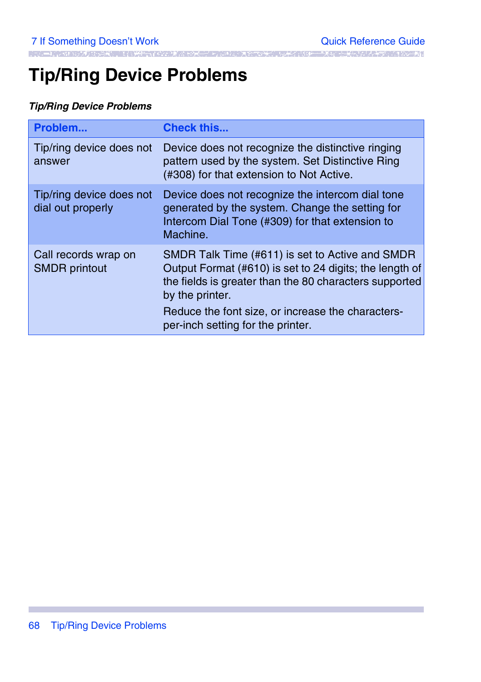# **Tip/Ring Device Problems**

## *Tip/Ring Device Problems*

| Problem                                       | <b>Check this</b>                                                                                                                                                                                                                                                                 |
|-----------------------------------------------|-----------------------------------------------------------------------------------------------------------------------------------------------------------------------------------------------------------------------------------------------------------------------------------|
| Tip/ring device does not<br>answer            | Device does not recognize the distinctive ringing<br>pattern used by the system. Set Distinctive Ring<br>(#308) for that extension to Not Active.                                                                                                                                 |
| Tip/ring device does not<br>dial out properly | Device does not recognize the intercom dial tone<br>generated by the system. Change the setting for<br>Intercom Dial Tone (#309) for that extension to<br>Machine.                                                                                                                |
| Call records wrap on<br><b>SMDR</b> printout  | SMDR Talk Time (#611) is set to Active and SMDR<br>Output Format (#610) is set to 24 digits; the length of<br>the fields is greater than the 80 characters supported<br>by the printer.<br>Reduce the font size, or increase the characters-<br>per-inch setting for the printer. |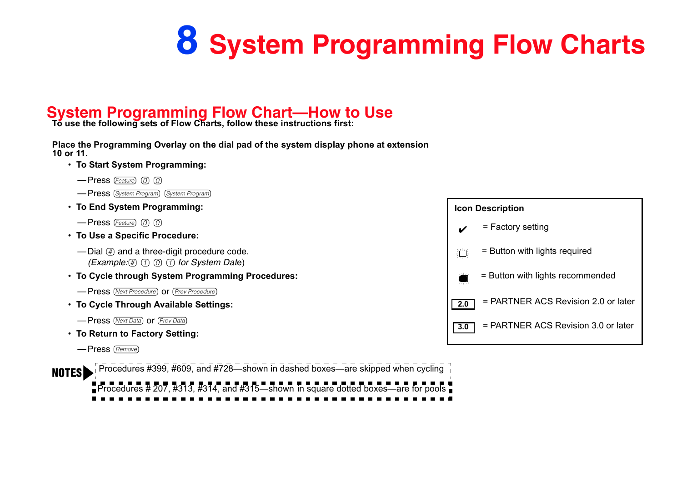# **8 System Programming Flow Charts**

# **System Programming Flow Chart–How to Use To use the following sets of Flow Charts, follow these instructions first:**

**Place the Programming Overlay on the dial pad of the system display phone at extension 10 or 11.**

• **To Start System Programming:**



- -Press (System Program) (System Program)
- **To End System Programming:**
	- $-$ Press (Feature)  $(0, 0)$
- **To Use a Specific Procedure:**
	- $-$  Dial  $\scriptstyle\rm \oplus$  and a three-digit procedure code. *(Example:*  $\textcircled{f}$   $\textcircled{f}$   $\textcircled{f}$  for System Date)
- **To Cycle through System Programming Procedures:**
	- -Press (Next Procedure) or (Prev Procedure)
- **To Cycle Through Available Settings:**
	- -Press (Next Data) or (Prev Data)
- **To Return to Factory Setting:**
	- Press (Remove)

 $\frac{1}{2}$ Procedures #399, #609, and #728—shown in dashed boxes—are skipped when cycling **NOTES**  $#3\overline{14}$ , and  $#315$ —shown in square dotted boxes—

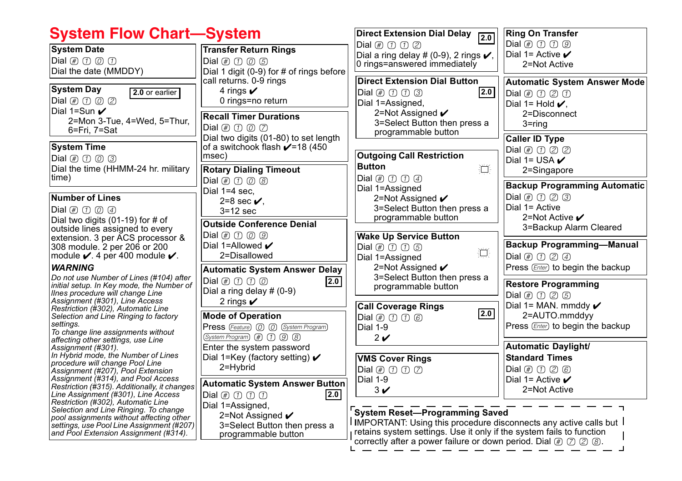| <b>System Flow Chart-System</b>                                                                                                                                         |                                                                                                                              | <b>Direct Extension Dial Delay</b>                                                                                                                                                                                                                                                                          | <b>Ring On Transfer</b>                                                                                                        |
|-------------------------------------------------------------------------------------------------------------------------------------------------------------------------|------------------------------------------------------------------------------------------------------------------------------|-------------------------------------------------------------------------------------------------------------------------------------------------------------------------------------------------------------------------------------------------------------------------------------------------------------|--------------------------------------------------------------------------------------------------------------------------------|
| <b>System Date</b><br>Dial $\oplus$ $\oplus$ $\oplus$ $\oplus$<br>Dial the date (MMDDY)                                                                                 | <b>Transfer Return Rings</b><br>Dial 1 digit (0-9) for # of rings before<br>call returns. 0-9 rings                          | 2.0<br>$Dial \nsubseteq \nsubseteq \nsubseteq$<br>Dial a ring delay # (0-9), 2 rings $\checkmark$ ,<br>0 rings=answered immediately<br><b>Direct Extension Dial Button</b>                                                                                                                                  | $Data \noplus \noplus \noplus \noplus$<br>Dial 1= Active $\boldsymbol{\nu}$<br>2=Not Active                                    |
| <b>System Day</b><br>2.0 or earlier<br>Dial $\oplus$ $\oplus$ $\oplus$ $\otimes$<br>Dial 1=Sun $\checkmark$                                                             | 4 rings $\checkmark$<br>0 rings=no return                                                                                    | 2.0<br>Dial 1=Assigned,<br>2=Not Assigned $\checkmark$                                                                                                                                                                                                                                                      | <b>Automatic System Answer Mode</b><br>Dial 1= Hold $\boldsymbol{v}$ .<br>2=Disconnect                                         |
| 2=Mon 3-Tue, 4=Wed, 5=Thur,<br>6=Fri, 7=Sat                                                                                                                             | <b>Recall Timer Durations</b><br>Dial two digits (01-80) to set length                                                       | 3=Select Button then press a<br>programmable button                                                                                                                                                                                                                                                         | $3 =$ ring<br><b>Caller ID Type</b>                                                                                            |
| <b>System Time</b><br>$Dial \nsubseteq \nsubseteq \nsubseteq \nsubseteq \nsubseteq \nsubseteq$<br>Dial the time (HHMM-24 hr. military                                   | of a switchook flash $\checkmark$ =18 (450<br>msec)<br><b>Rotary Dialing Timeout</b>                                         | <b>Outgoing Call Restriction</b><br><b>Button</b><br>導                                                                                                                                                                                                                                                      | $Dial \nsubseteq \nsubseteq \nsubseteq \nsubseteq \nsubseteq \nsubseteq$<br>Dial 1= USA $\checkmark$<br>2=Singapore            |
| time)<br><b>Number of Lines</b>                                                                                                                                         | Dial 1=4 sec.                                                                                                                | Dial $\textcircled{A}$ $\textcircled{1}$ $\textcircled{1}$ $\textcircled{4}$<br>Dial 1=Assigned<br>2=Not Assigned $\boldsymbol{\nu}$                                                                                                                                                                        | <b>Backup Programming Automatic</b><br>$Data \noplus \n  ① \n  ② \n  ③$                                                        |
| Dial $\textcircled{A}$ $\textcircled{A}$ $\textcircled{A}$<br>Dial two digits $(01-19)$ for # of<br>outside lines assigned to every                                     | 2=8 sec $\checkmark$ .<br>$3=12$ sec<br><b>Outside Conference Denial</b>                                                     | 3=Select Button then press a<br>programmable button                                                                                                                                                                                                                                                         | Dial 1= Active<br>2=Not Active ✔<br>3=Backup Alarm Cleared                                                                     |
| extension. 3 per ACS processor &<br>308 module. 2 per 206 or 200<br>module $\swarrow$ 4 per 400 module $\swarrow$ .                                                     | $Dial \nsubseteq \nsubseteq \nsubseteq \nsubseteq \nsubseteq$<br>Dial 1=Allowed $\boldsymbol{\nu}$<br>2=Disallowed           | <b>Wake Up Service Button</b><br>導<br>Dial 1=Assigned                                                                                                                                                                                                                                                       | Backup Programming-Manual<br>$Data \noplus \noplus \noplus \noplus$                                                            |
| <b>WARNING</b><br>Do not use Number of Lines (#104) after<br>initial setup. In Key mode, the Number of<br>Ilnes procedure will change Line                              | <b>Automatic System Answer Delay</b><br>Dial $\oplus$ $\oplus$ $\oplus$ $\oplus$<br>2.0<br>Dial a ring delay # (0-9)         | 2=Not Assigned $\checkmark$<br>3=Select Button then press a<br>programmable button                                                                                                                                                                                                                          | Press ( <i>Enter</i> ) to begin the backup<br><b>Restore Programming</b><br>$Dial \nsubseteq \nsubseteq \nsubseteq \nsubseteq$ |
| Assignment (#301), Line Access<br>Restriction (#302), Automatic Line<br>Selection and Line Ringing to factory<br>settings.<br>To change line assignments without        | 2 rings $\checkmark$<br><b>Mode of Operation</b><br>Press (Feature) (0) (0) (System Program)                                 | <b>Call Coverage Rings</b><br>2.0<br>Dial 1-9                                                                                                                                                                                                                                                               | Dial 1= MAN. mmddy $\boldsymbol{\nu}$<br>2=AUTO.mmddyy<br>Press ( <i>Enter</i> ) to begin the backup                           |
| affecting other settings, use Line<br>Assignment (#301).<br>In Hybrid mode, the Number of Lines<br>procedure will change Pool Line<br>Assignment (#207), Pool Extension | $(System Program)$ (#) (1) (9) (8)<br>Enter the system password<br>Dial 1=Key (factory setting) $\checkmark$<br>$2 = Hvbrid$ | $2\sqrt{ }$<br><b>VMS Cover Rings</b><br>$Dial \nsubseteq \nsubseteq \nsubseteq \nsubseteq$                                                                                                                                                                                                                 | Automatic Daylight/<br><b>Standard Times</b><br>$Data$ (F) (2) (6)                                                             |
| Assignment (#314), and Pool Access<br>Restriction (#315). Additionally, it changes<br>Line Assignment (#301), Line Access<br>Restriction (#302), Automatic Line         | <b>Automatic System Answer Button</b><br>2.0<br>Dial $\textcircled{H} \textcircled{T} \textcircled{T} \textcircled{T}$       | Dial 1-9<br>$3\vee$                                                                                                                                                                                                                                                                                         | Dial 1= Active $\boldsymbol{\nu}$<br>2=Not Active                                                                              |
| Selection and Line Ringing. To change<br>pool assignments without affecting other<br>settings, use Pool Line Assignment (#207)<br>and Pool Extension Assignment (#314). | Dial 1=Assigned,<br>2=Not Assigned $\checkmark$<br>3=Select Button then press a<br>programmable button                       | System Reset-Programming Saved<br>IMPORTANT: Using this procedure disconnects any active calls but I<br>retains system settings. Use it only if the system fails to function<br>correctly after a power failure or down period. Dial $\mathcal{F} \oslash \oslash \oslash$<br>_ _ _ _ _ _ _ _ _ _ _ _ _ _ _ |                                                                                                                                |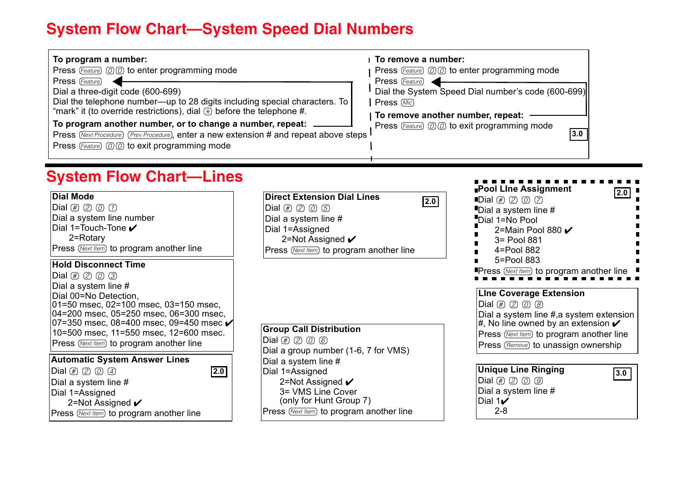## **System Flow Chart–System Speed Dial Numbers**

| To program a number:                                                                             | To remove a number:                                |
|--------------------------------------------------------------------------------------------------|----------------------------------------------------|
| Press (Feature) $(0)$ to enter programming mode                                                  | Press Feature 00 to enter programming mode         |
| Press (Feature)                                                                                  | Press (Feature)                                    |
| Dial a three-digit code (600-699)                                                                | Dial the System Speed Dial number's code (600-699) |
| Dial the telephone number—up to 28 digits including special characters. To                       | Press (Mic)                                        |
| "mark" it (to override restrictions), dial $\circledast$ before the telephone #.                 | To remove another number, repeat:                  |
| To program another number, or to change a number, repeat:                                        | Press Feature) $(0)$ to exit programming mode      |
| <b>Press</b> (Next Procedure) (Prev Procedure), enter a new extension # and repeat above steps I | 3.0                                                |
| Press (Feature) (0) (0) to exit programming mode                                                 |                                                    |

# **System Flow Chart–Lines**

|                                                                                   |                                           | ∎Pool Line Assignment<br>2.0                                             |
|-----------------------------------------------------------------------------------|-------------------------------------------|--------------------------------------------------------------------------|
| <b>Dial Mode</b>                                                                  | <b>Direct Extension Dial Lines</b><br>2.0 | $\blacksquare$ Dial (#) (2) (0) (7)                                      |
|                                                                                   | $Data \times 2005$                        | Dial a system line #                                                     |
| Dial a system line number                                                         | Dial a system line #                      | Dial 1=No Pool                                                           |
| Dial 1=Touch-Tone $\checkmark$                                                    | Dial 1=Assigned                           | 2=Main Pool 880 ✔                                                        |
| $2 = Rotary$                                                                      | 2=Not Assigned $\checkmark$               | $3 =$ Pool 881                                                           |
| Press (Next Item) to program another line                                         | Press (Next Item) to program another line | 4=Pool 882                                                               |
|                                                                                   |                                           | 5=Pool 883                                                               |
| <b>Hold Disconnect Time</b>                                                       |                                           | <b>Press</b> ( <i>Next Item</i> ) to program another line                |
|                                                                                   |                                           |                                                                          |
| Dial a system line #                                                              |                                           |                                                                          |
| Dial 00=No Detection.                                                             |                                           | <b>Line Coverage Extension</b>                                           |
| 01=50 msec, 02=100 msec, 03=150 msec,                                             |                                           | $Dial \ncong (2) (0) (8)$                                                |
| 04=200 msec, 05=250 msec, 06=300 msec,<br>07=350 msec, 08=400 msec, 09=450 msec √ |                                           | Dial a system line #, a system extension                                 |
| 10=500 msec, 11=550 msec, 12=600 msec.                                            | <b>Group Call Distribution</b>            | #, No line owned by an extension $\checkmark$                            |
| Press (Next Item) to program another line                                         | $Data \noplus \n 2 \n 0 \n 6$             | Press (Next Item) to program another line                                |
|                                                                                   | Dial a group number (1-6, 7 for VMS)      | Press (Remove) to unassign ownership                                     |
| <b>Automatic System Answer Lines</b>                                              | Dial a system line #                      |                                                                          |
| 2.0<br>Dial $\mathbb{A}$ 2 $\mathbb{O}$ 4                                         | Dial 1=Assigned                           | <b>Unique Line Ringing</b><br>3.0                                        |
| Dial a system line #                                                              | 2=Not Assigned $\checkmark$               | $Dial \nsubseteq \nsubseteq \nsubseteq \nsubseteq \nsubseteq \nsubseteq$ |
| Dial 1=Assigned                                                                   | 3= VMS Line Cover                         | Dial a system line #                                                     |
| 2=Not Assigned $\checkmark$                                                       | (only for Hunt Group 7)                   | Dial 1 $\boldsymbol{\nu}$                                                |
| Press (Next Item) to program another line                                         | Press (Next Item) to program another line | $2 - 8$                                                                  |
|                                                                                   |                                           |                                                                          |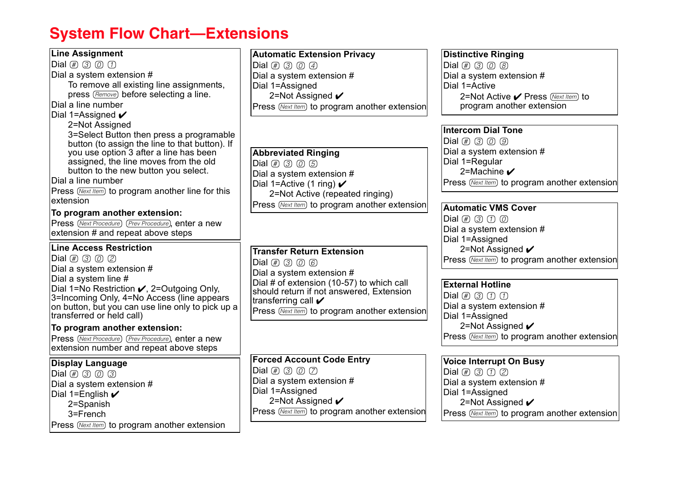# **System Flow Chart–Extensions**

| <b>Line Assignment</b>                                        | <b>Automatic Extension Privacy</b>                                                      | <b>Distinctive Ringing</b>                     |
|---------------------------------------------------------------|-----------------------------------------------------------------------------------------|------------------------------------------------|
| $Dial \nsubseteq \nsubseteq \nsubseteq \nsubseteq \nsubseteq$ | $Dial \ncong (3) (0) (4)$                                                               |                                                |
| Dial a system extension #                                     | Dial a system extension #                                                               | Dial a system extension #                      |
| To remove all existing line assignments,                      | Dial 1=Assigned                                                                         | Dial 1=Active                                  |
| press (Remove) before selecting a line.                       | 2=Not Assigned $\checkmark$                                                             | 2=Not Active ✔ Press (Next Item) to            |
| Dial a line number                                            | Press (Next Item) to program another extension                                          | program another extension                      |
| Dial 1=Assigned $\checkmark$                                  |                                                                                         |                                                |
| 2=Not Assigned                                                |                                                                                         | <b>Intercom Dial Tone</b>                      |
| 3=Select Button then press a programable                      |                                                                                         |                                                |
| button (to assign the line to that button). If                |                                                                                         |                                                |
| you use option 3 after a line has been                        | <b>Abbreviated Ringing</b>                                                              | Dial a system extension #                      |
| assigned, the line moves from the old                         | $Dial \nsubseteq \nsubseteq \nsubseteq$                                                 | Dial 1=Regular                                 |
| button to the new button you select.<br>Dial a line number    | Dial a system extension #                                                               | 2=Machine $\boldsymbol{\nu}$                   |
|                                                               | Dial 1=Active (1 ring) $\checkmark$                                                     | Press (Next Item) to program another extension |
| Press (Next Item) to program another line for this            | 2=Not Active (repeated ringing)                                                         |                                                |
| extension                                                     | Press (Next Item) to program another extension                                          | <b>Automatic VMS Cover</b>                     |
| To program another extension:                                 |                                                                                         |                                                |
| Press (Next Procedure) (Prev Procedure), enter a new          |                                                                                         | Dial a system extension #                      |
| extension # and repeat above steps                            |                                                                                         | Dial 1=Assigned                                |
| <b>Line Access Restriction</b>                                | <b>Transfer Return Extension</b>                                                        | 2=Not Assigned $\boldsymbol{\nu}$              |
| $Dial \nsubseteq \nsubseteq \nsubseteq \nsubseteq \nsubseteq$ |                                                                                         | Press (Next Item) to program another extension |
| Dial a system extension #                                     | $Dial \nsubseteq \nsubseteq \nsubseteq \nsubseteq \nsubseteq$                           |                                                |
| Dial a system line #                                          | Dial a system extension #                                                               |                                                |
| Dial 1=No Restriction ✔, 2=Outgoing Only,                     | Dial # of extension (10-57) to which call                                               | <b>External Hotline</b>                        |
| 3=Incoming Only, 4=No Access (line appears                    | should return if not answered, Extension<br>transferring call $\boldsymbol{\checkmark}$ |                                                |
| on button, but you can use line only to pick up a             |                                                                                         | Dial a system extension #                      |
| transferred or held call)                                     | Press (Next Item) to program another extension                                          | Dial 1=Assigned                                |
| To program another extension:                                 |                                                                                         | 2=Not Assigned $\checkmark$                    |
| Press (Next Procedure) (Prev Procedure), enter a new          |                                                                                         | Press (Next Item) to program another extension |
| extension number and repeat above steps                       |                                                                                         |                                                |
|                                                               | <b>Forced Account Code Entry</b>                                                        | Voice Interrupt On Busy                        |
| <b>Display Language</b>                                       |                                                                                         |                                                |
|                                                               | Dial a system extension #                                                               | Dial $\textcircled{A}$ 3 $\textcircled{1}$ 2   |
| Dial a system extension #                                     | Dial 1=Assigned                                                                         | Dial a system extension #                      |
| Dial 1=English $\checkmark$                                   | 2=Not Assigned $\boldsymbol{\nu}$                                                       | Dial 1=Assigned                                |
| 2=Spanish                                                     |                                                                                         | 2=Not Assigned $\boldsymbol{\nu}$              |
| 3=French                                                      | Press (Next Item) to program another extension                                          | Press (Next Item) to program another extension |
| Press (Next Item) to program another extension                |                                                                                         |                                                |
|                                                               |                                                                                         |                                                |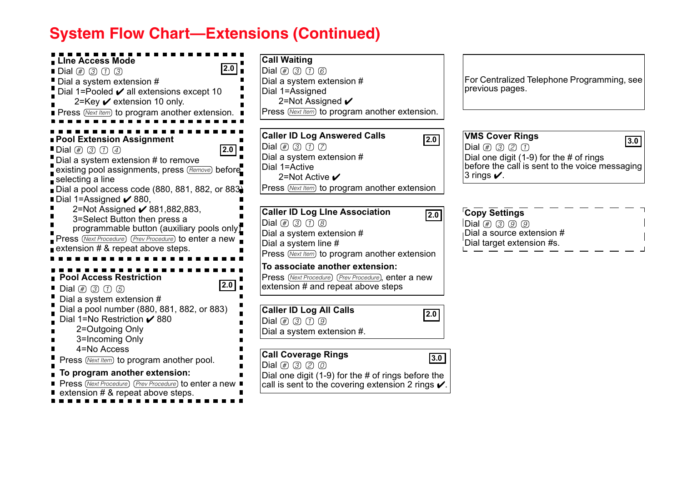# **System Flow Chart–Extensions (Continued)**

| <b>Line Access Mode</b><br>2.0<br>$\blacksquare$ Dial $\lbrack \# \rbrack$ 3 $\lbrack \fbrack$ 3<br>Dial a system extension #<br>Dial 1=Pooled $\checkmark$ all extensions except 10<br>2=Key $\checkmark$ extension 10 only.<br>Press (Next Item) to program another extension.                                                                                                                                                                                                                                                                                                                                   | <b>Call Waiting</b><br>$Data \times 300$<br>Dial a system extension #<br>Dial 1=Assigned<br>2=Not Assigned ✔<br>Press (Next Item) to program another extension.                                                                                                                                                                                                                              | For Centralized Telephone Programming, see<br>previous pages.                                                                                                                                                                                                                                                                                  |
|--------------------------------------------------------------------------------------------------------------------------------------------------------------------------------------------------------------------------------------------------------------------------------------------------------------------------------------------------------------------------------------------------------------------------------------------------------------------------------------------------------------------------------------------------------------------------------------------------------------------|----------------------------------------------------------------------------------------------------------------------------------------------------------------------------------------------------------------------------------------------------------------------------------------------------------------------------------------------------------------------------------------------|------------------------------------------------------------------------------------------------------------------------------------------------------------------------------------------------------------------------------------------------------------------------------------------------------------------------------------------------|
| <b>Pool Extension Assignment</b><br>2.0<br>$\blacksquare$ Dial $\lbrack \# \rbrack$ $\lbrack \mathfrak{D} \rbrack$ $\lbrack \mathfrak{D} \rbrack$ $\lbrack \mathfrak{D} \rbrack$<br>Dial a system extension # to remove<br>existing pool assignments, press $(\textit{Remove})$ before<br>selecting a line<br>Dial a pool access code $(880, 881, 882, or 883)$<br>■ Dial 1=Assigned $\swarrow$ 880,<br>2=Not Assigned ✔ 881,882,883,<br>3=Select Button then press a<br>programmable button (auxiliary pools only)<br>Press (Next Procedure) (Prev Procedure) to enter a new<br>extension # & repeat above steps. | <b>Caller ID Log Answered Calls</b><br>2.0<br>$Data \n$ 3 $\n$ $\n$<br>Dial a system extension #<br>Dial 1=Active<br>2=Not Active $\boldsymbol{\nu}$<br>Press (Next Item) to program another extension<br><b>Caller ID Log Line Association</b><br>2.0<br>$Dial (\#)$ (3) (7) (8)<br>Dial a system extension #<br>Dial a system line #<br>Press (Next Item) to program another extension     | <b>VMS Cover Rings</b><br>3.0<br>$Dial \nsubseteq \nsubseteq \nsubseteq \nsubseteq \nsubseteq$<br>Dial one digit (1-9) for the # of rings<br>before the call is sent to the voice messaging<br>3 rings $\boldsymbol{\nu}$ .<br><b>Copy Settings</b><br>$Data \noplus \n 3 \n 0 \n 0$<br>Dial a source extension #<br>Dial target extension #s. |
| <b>Pool Access Restriction</b><br>$\overline{2.0}$<br>Dial a system extension #<br>Dial a pool number (880, 881, 882, or 883)<br>Dial 1=No Restriction ✔ 880<br>2=Outgoing Only<br>3=Incoming Only<br>4=No Access<br>Press (Next Item) to program another pool.<br>To program another extension:<br>Press (Next Procedure) (Prev Procedure) to enter a new<br>extension # & repeat above steps.                                                                                                                                                                                                                    | To associate another extension:<br>Press (Next Procedure) (Prev Procedure), enter a new<br>extension # and repeat above steps<br>Caller ID Log All Calls<br>2.0<br>$Dial$ $(H)$ $(3)$ $(7)$ $(9)$<br>Dial a system extension #.<br><b>Call Coverage Rings</b><br>3.0<br>Dial one digit (1-9) for the # of rings before the<br>call is sent to the covering extension 2 rings $\mathcal{V}$ . |                                                                                                                                                                                                                                                                                                                                                |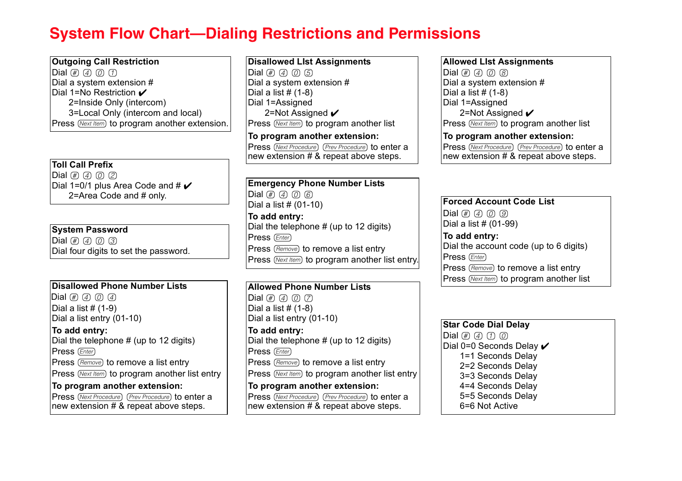## **System Flow Chart–Dialing Restrictions and Permissions**

**Outgoing Call Restriction**  $Dial$   $\oplus$   $\oplus$   $\oplus$   $\oplus$ Dial a system extension # Dial 1=No Restriction  $\boldsymbol{\checkmark}$ 2=Inside Only (intercom) 3=Local Only (intercom and local) Press (Next Item) to program another extension.

#### **Toll Call Prefix**

 $Dial \nsubseteq A \nsubseteq \nsubseteq A$ Dial 1=0/1 plus Area Code and #  $\checkmark$ 2=Area Code and # only.

#### **System Password**

 $Dial \nsubseteq (4)$   $(4)$   $(6)$   $(3)$ Dial four digits to set the password.



**Disallowed LIst Assignments**  $Dial$   $\oplus$   $\oplus$   $\oplus$   $\oplus$ Dial a system extension # Dial a list  $# (1-8)$ Dial 1=Assigned 2=Not Assigned **✔** Press (Next Item) to program another list

**To program another extension:**  Press (Next Procedure) (Prev Procedure) to enter a new extension # & repeat above steps.

**Emergency Phone Number Lists**  $Dial \nsubseteq (4)$   $(4)$   $(6)$   $(6)$ Dial a list # (01-10)

**To add entry:** Dial the telephone # (up to 12 digits) Press (Enter) Press (Remove) to remove a list entry Press (Next Item) to program another list entry.

**Allowed Phone Number Lists** Dial  $\#$   $\emptyset$   $\emptyset$   $\emptyset$ Dial a list # (1-8) Dial a list entry (01-10) **To add entry:** Dial the telephone # (up to 12 digits) Press (Enter) Press (Remove) to remove a list entry Press (Next Item) to program another list entry **To program another extension:**  Press (Next Procedure) (Prev Procedure) to enter a new extension # & repeat above steps.

#### **Allowed LIst Assignments**

Dial # 4 0 8 Dial a system extension # Dial a list # (1-8) Dial 1=Assigned 2=Not Assigned **✔** Press <u>(Next Item</u>) to program another list **To program another extension:**  Press (Next Procedure) (Prev Procedure) to enter a

new extension # & repeat above steps.

**Forced Account Code List**  $Dial \nsubseteq (4)$   $(0)$   $(9)$ Dial a list # (01-99) **To add entry:** Dial the account code (up to 6 digits) Press (Enter) Press (Remove) to remove a list entry Press <u>(Next Item</u>) to program another list

**Star Code Dial Delay** Dial  $\pi$   $\pi$   $\pi$   $\pi$ Dial 0=0 Seconds Delay  $\checkmark$ 1=1 Seconds Delay 2=2 Seconds Delay 3=3 Seconds Delay 4=4 Seconds Delay 5=5 Seconds Delay 6=6 Not Active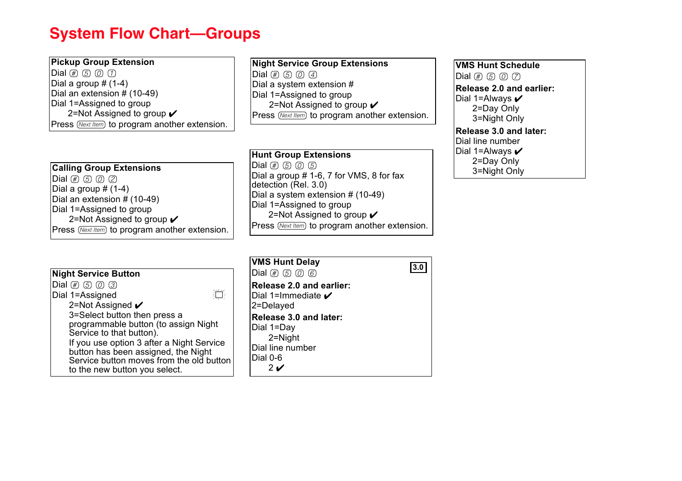## **System Flow Chart–Groups**

**Pickup Group Extension** Dial # 5 0 1 Dial a group  $# (1-4)$ Dial an extension # (10-49) Dial 1=Assigned to group 2=Not Assigned to group  $\checkmark$ 

Press (<del>Next Item</del>) to program another extension.

#### **Calling Group Extensions**

 $Dial$   $(H)$   $(5)$   $(0)$   $(2)$ Dial a group  $# (1-4)$ Dial an extension # (10-49) Dial 1=Assigned to group 2=Not Assigned to group  $\checkmark$ Press (Next Item) to program another extension.

#### **Night Service Button**

 $Dial$   $(H)$   $(5)$   $(0)$   $(3)$ 谱 Dial 1=Assigned 2=Not Assigned **✔** 3=Select button then press a programmable button (to assign Night Service to that button). If you use option 3 after a Night Service button has been assigned, the Night Service button moves from the old button to the new button you select.

**Night Service Group Extensions**  $Dial \nsubseteq (5)$   $(0)$   $(4)$ Dial a system extension # Dial 1=Assigned to group 2=Not Assigned to group  $\boldsymbol{\checkmark}$ Press (Next Item) to program another extension.

### **Hunt Group Extensions**

 $Data \oplus \odot \odot \odot$ Dial a group # 1-6, 7 for VMS, 8 for fax detection (Rel. 3.0) Dial a system extension # (10-49) Dial 1=Assigned to group 2=Not Assigned to group  $\checkmark$ Press (Next Item) to program another extension.

| <b>VMS Hunt Delay</b>                                                                                   |  |
|---------------------------------------------------------------------------------------------------------|--|
| Release 2.0 and earlier:<br>Dial 1=Immediate $\boldsymbol{\checkmark}$<br>2=Delayed                     |  |
| Release 3.0 and later:<br>Dial 1=Day<br>2=Night<br>Dial line number<br>Dial 0-6<br>2 $\boldsymbol{\nu}$ |  |

#### **VMS Hunt Schedule**  $Dial$   $\oplus$   $\odot$   $\odot$   $\odot$ **Release 2.0 and earlier:** Dial 1=Always **✔** 2=Day Only 3=Night Only **Release 3.0 and later:** Dial line number Dial 1=Always **✔** 2=Day Only 3=Night Only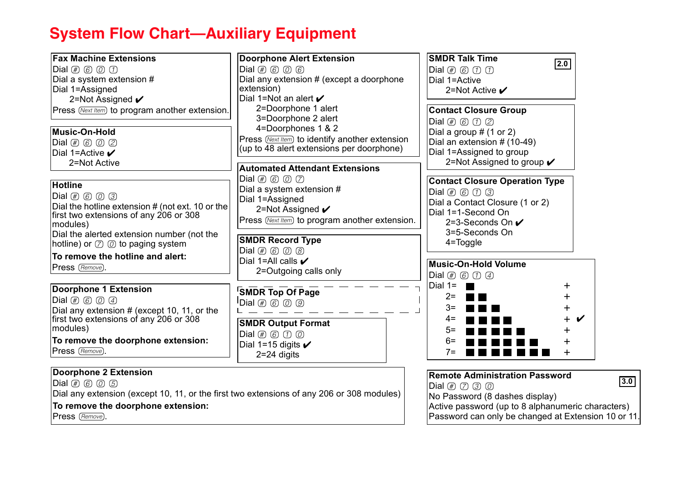## **System Flow Chart–Auxiliary Equipment**

| <b>Fax Machine Extensions</b><br>$Dial \nsubseteq \nsubseteq \nsubseteq \nsubseteq$<br>Dial a system extension #<br>Dial 1=Assigned<br>2=Not Assigned $\checkmark$<br>Press (Next Item) to program another extension.<br>Music-On-Hold<br>$Dial \nsubseteq \nsubseteq \nsubseteq \nsubseteq \nsubseteq \nsubseteq$<br>Dial 1=Active $\boldsymbol{\nu}$ | <b>Doorphone Alert Extension</b><br>$Dial$ $\oplus$ $\odot$ $\odot$ $\odot$<br>Dial any extension # (except a doorphone<br>extension)<br>Dial 1=Not an alert $\checkmark$<br>2=Doorphone 1 alert<br>3=Doorphone 2 alert<br>4=Doorphones 1 & 2<br>Press (Next Item) to identify another extension<br>(up to 48 alert extensions per doorphone)                                         | <b>SMDR Talk Time</b><br>2.0<br>Dial 1=Active<br>2=Not Active $\mathcal V$<br><b>Contact Closure Group</b><br>Dial a group $# (1 \text{ or } 2)$<br>Dial an extension # (10-49)<br>Dial 1=Assigned to group                                            |
|--------------------------------------------------------------------------------------------------------------------------------------------------------------------------------------------------------------------------------------------------------------------------------------------------------------------------------------------------------|---------------------------------------------------------------------------------------------------------------------------------------------------------------------------------------------------------------------------------------------------------------------------------------------------------------------------------------------------------------------------------------|--------------------------------------------------------------------------------------------------------------------------------------------------------------------------------------------------------------------------------------------------------|
| 2=Not Active<br><b>Hotline</b><br>$Dial \nsubseteq R \nsubseteq \nsubseteq R$<br>Dial the hotline extension # (not ext. 10 or the<br>first two extensions of any 206 or 308<br>modules)<br>Dial the alerted extension number (not the<br>hotline) or $\oslash$ $\oslash$ to paging system<br>To remove the hotline and alert:<br>Press (Remove).       | <b>Automated Attendant Extensions</b><br>$Dial \nsubseteq \nsubseteq \nsubseteq \nsubseteq$<br>Dial a system extension #<br>Dial 1=Assigned<br>2=Not Assigned $\checkmark$<br>Press (Next Item) to program another extension.<br><b>SMDR Record Type</b><br>$Dial \nsubseteq \nsubseteq \nsubseteq \nsubseteq$<br>Dial 1=All calls $\boldsymbol{\checkmark}$<br>2=Outgoing calls only | 2=Not Assigned to group $\checkmark$<br><b>Contact Closure Operation Type</b><br>Dial a Contact Closure (1 or 2)<br>Dial 1=1-Second On<br>2=3-Seconds On ✔<br>3=5-Seconds On<br>$4 = Toggle$<br>Music-On-Hold Volume<br>$Data \noplus \n  @ \n  \n  0$ |
| Doorphone 1 Extension<br>$Dial \nsubseteq \nsubseteq \nsubseteq \nsubseteq \nsubseteq \nsubseteq$<br>Dial any extension # (except 10, 11, or the<br>first two extensions of any 206 or 308<br>modules)<br>To remove the doorphone extension:<br>Press (Remove).                                                                                        | <b>SMDR Top Of Page</b><br>$Dial \nsubseteq \nsubseteq \nsubseteq \nsubseteq$<br><b>SMDR Output Format</b><br>$Dial \nsubseteq \nsubseteq \nsubseteq \nsubseteq \nsubseteq$<br>Dial 1=15 digits $\checkmark$<br>$2=24$ digits                                                                                                                                                         | Dial $1=$<br>$2=$<br>+<br>$\ddot{}$<br>$3=$<br>$\boldsymbol{\nu}$<br>$4=$<br>$+$<br>$5=$<br>+<br>$6=$<br>7=                                                                                                                                            |
| Doorphone 2 Extension<br>$Dial \nsubseteq \nsubseteq \nsubseteq \nsubseteq \nsubseteq$<br>Dial any extension (except 10, 11, or the first two extensions of any 206 or 308 modules)<br>To remove the doorphone extension:                                                                                                                              |                                                                                                                                                                                                                                                                                                                                                                                       | <b>Remote Administration Password</b><br>3.<br>No Password (8 dashes display)<br>Active password (up to 8 alphanumeric characters)                                                                                                                     |

Password can only be changed at Extension 10 or 11.

**3.0**

Press (Remove)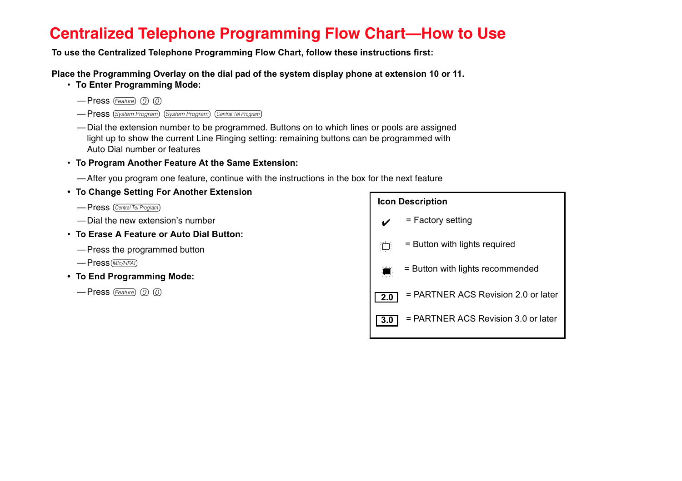## **Centralized Telephone Programming Flow Chart–How to Use**

**To use the Centralized Telephone Programming Flow Chart, follow these instructions first:**

**Place the Programming Overlay on the dial pad of the system display phone at extension 10 or 11.**

• **To Enter Programming Mode:**



- **Press** (System Program) (System Program) (Central Tel Program)
- Dial the extension number to be programmed. Buttons on to which lines or pools are assigned light up to show the current Line Ringing setting: remaining buttons can be programmed with Auto Dial number or features
- **To Program Another Feature At the Same Extension:**

– After you program one feature, continue with the instructions in the box for the next feature

**• To Change Setting For Another Extension**

- Press (Central Tel Program)

- Dial the new extension's number
- **To Erase A Feature or Auto Dial Button:**
	- Press the programmed button
	- Press (Mic/HFAI)
- **• To End Programming Mode:**
	- Press Feature **1 2.0 2.0 2.0 2.0 2.0 2.0 2.0 2.0 2.0 2.0 2.0 2.0 2.0 2.0 2.0 2.0 2.0 2.0 2.0 2.0 2.0 2.0 2.0 2.0 2.0 2.0 2.0 2.0 2.0 2.0 2.0 2.0 2.0 2.0**

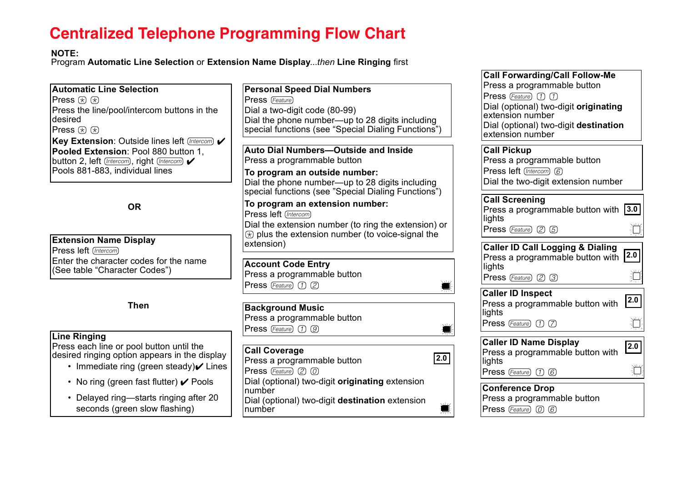# **Centralized Telephone Programming Flow Chart**

#### **NOTE:**

Program **Automatic Line Selection** or **Extension Name Display**...*then* **Line Ringing** first

| <b>Automatic Line Selection</b><br>Press $\mathbb R$ $\mathbb R$<br>Press the line/pool/intercom buttons in the<br>desired<br>Press $\mathbb R$ $\mathbb R$<br>Key Extension: Outside lines left (Intercom) ✔       | <b>Personal Speed Dial Numbers</b><br>Press (Feature)<br>Dial a two-digit code (80-99)<br>Dial the phone number-up to 28 digits including<br>special functions (see "Special Dialing Functions")               | <b>Call Forwarding/Call Follow-Me</b><br>Press a programmable button<br>Press (Feature) (7) (7)<br>Dial (optional) two-digit originating<br>extension number<br>Dial (optional) two-digit destination<br>extension number |
|---------------------------------------------------------------------------------------------------------------------------------------------------------------------------------------------------------------------|----------------------------------------------------------------------------------------------------------------------------------------------------------------------------------------------------------------|---------------------------------------------------------------------------------------------------------------------------------------------------------------------------------------------------------------------------|
| Pooled Extension: Pool 880 button 1,<br>button 2, left (Intercom), right (Intercom) v<br>Pools 881-883, individual lines                                                                                            | Auto Dial Numbers-Outside and Inside<br>Press a programmable button<br>To program an outside number:<br>Dial the phone number-up to 28 digits including<br>special functions (see "Special Dialing Functions") | <b>Call Pickup</b><br>Press a programmable button<br>Press left (Intercom) (6)<br>Dial the two-digit extension number<br><b>Call Screening</b>                                                                            |
| <b>OR</b>                                                                                                                                                                                                           | To program an extension number:<br>Press left (Intercom)<br>Dial the extension number (to ring the extension) or<br>$(F)$ plus the extension number (to voice-signal the                                       | Press a programmable button with<br> 3.0 <br>lights<br>道<br>Press (Feature) (2) (5)                                                                                                                                       |
| <b>Extension Name Display</b><br>Press left (Intercom)<br>Enter the character codes for the name<br>(See table "Character Codes")                                                                                   | extension)<br><b>Account Code Entry</b><br>Press a programmable button<br>Press (Feature) (7) (2)                                                                                                              | <b>Caller ID Call Logging &amp; Dialing</b><br>2.0<br>Press a programmable button with<br>lights<br>溑<br>Press (Feature) (2) (3)                                                                                          |
| <b>Then</b>                                                                                                                                                                                                         | <b>Background Music</b><br>Press a programmable button<br>Press (Feature) (7) (9)                                                                                                                              | <b>Caller ID Inspect</b><br>2.0<br>Press a programmable button with<br>lights<br>導<br>Press (Feature) (1) (7)                                                                                                             |
| <b>Line Ringing</b><br>Press each line or pool button until the<br>desired ringing option appears in the display<br>• Immediate ring (green steady) $\angle$ Lines<br>• No ring (green fast flutter) $\angle$ Pools | <b>Call Coverage</b><br>$\overline{2.0}$<br>Press a programmable button<br>Press (Feature) (2) (0)<br>Dial (optional) two-digit originating extension<br>number                                                | <b>Caller ID Name Display</b><br>2.0<br>Press a programmable button with<br>lights<br>導<br>Press (Feature) (1) (6)<br><b>Conference Drop</b>                                                                              |
| • Delayed ring-starts ringing after 20<br>seconds (green slow flashing)                                                                                                                                             | Dial (optional) two-digit destination extension<br>number                                                                                                                                                      | Press a programmable button<br>Press (Feature) (0) (6)                                                                                                                                                                    |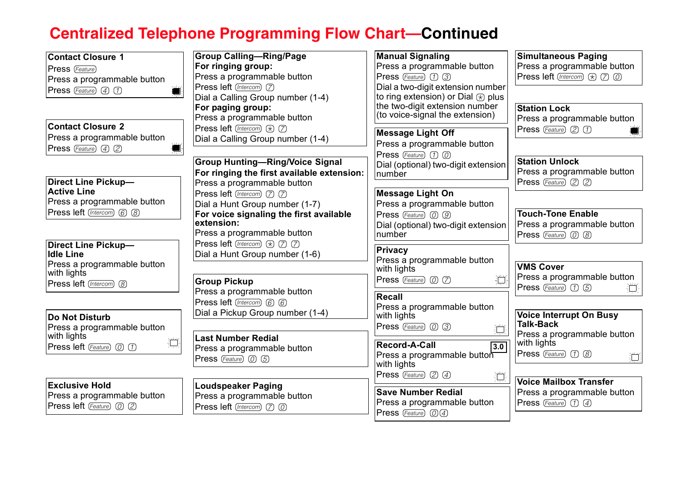## **Centralized Telephone Programming Flow Chart–Continued**

| <b>Contact Closure 1</b><br>Press (Feature) | <b>Group Calling-Ring/Page</b><br>For ringing group: | <b>Manual Signaling</b><br>Press a programmable button | <b>Simultaneous Paging</b><br>Press a programmable button |
|---------------------------------------------|------------------------------------------------------|--------------------------------------------------------|-----------------------------------------------------------|
| Press a programmable button                 | Press a programmable button                          | Press (Feature) (7) (3)                                | <b>Press left</b> ( <i>Intercom</i> ) $(R)$ $(7)$ $(0)$   |
| <b>Press</b> $(Feature)$ $(4)$ $(7)$        | Press left ( <i>Intercom</i> ) (7)                   | Dial a two-digit extension number                      |                                                           |
|                                             | Dial a Calling Group number (1-4)                    | to ring extension) or Dial $\circledast$ plus          |                                                           |
|                                             | For paging group:                                    | the two-digit extension number                         | <b>Station Lock</b>                                       |
|                                             | Press a programmable button                          | (to voice-signal the extension)                        | Press a programmable button                               |
| <b>Contact Closure 2</b>                    | Press left ( <i>Intercom</i> ) $(F)$ $(7)$           |                                                        | Press (Feature) 2 1                                       |
| Press a programmable button                 | Dial a Calling Group number (1-4)                    | <b>Message Light Off</b>                               |                                                           |
| Press (Feature) (4) (2)                     |                                                      | Press a programmable button                            |                                                           |
|                                             | <b>Group Hunting-Ring/Voice Signal</b>               | Press (Feature) (7) (0)                                | <b>Station Unlock</b>                                     |
|                                             |                                                      | Dial (optional) two-digit extension                    | Press a programmable button                               |
| <b>Direct Line Pickup-</b>                  | For ringing the first available extension:           | number                                                 | Press (Feature) (2) (2)                                   |
| <b>Active Line</b>                          | Press a programmable button                          |                                                        |                                                           |
| Press a programmable button                 | Press left (Intercom) (7) (7)                        | <b>Message Light On</b>                                |                                                           |
| Press left ( <i>Intercom</i> ) (6) (8)      | Dial a Hunt Group number (1-7)                       | Press a programmable button                            |                                                           |
|                                             | For voice signaling the first available              | Press (Feature) (0) (9)                                | <b>Touch-Tone Enable</b>                                  |
|                                             | extension:                                           | Dial (optional) two-digit extension                    | Press a programmable button                               |
|                                             | Press a programmable button                          | number                                                 | Press (Feature) (0) (8)                                   |
| <b>Direct Line Pickup-</b>                  | Press left (Intercom) ® 2 2                          | Privacy                                                |                                                           |
| <b>Idle Line</b>                            | Dial a Hunt Group number (1-6)                       | Press a programmable button                            |                                                           |
| Press a programmable button                 |                                                      | with lights                                            | <b>VMS Cover</b>                                          |
| with lights                                 | <b>Group Pickup</b>                                  | 導<br>Press (Feature) (0) (7)                           | Press a programmable button                               |
| Press left (Intercom) (8)                   | Press a programmable button                          |                                                        | 導<br>Press (Feature) (7) (5)                              |
|                                             | Press left ( <i>Intercom</i> ) (6) (6)               | Recall                                                 |                                                           |
|                                             |                                                      | Press a programmable button                            |                                                           |
| Do Not Disturb                              | Dial a Pickup Group number (1-4)                     | with lights                                            | Voice Interrupt On Busy                                   |
| Press a programmable button                 |                                                      | Press (Feature) (0) (3)<br>導                           | <b>Talk-Back</b>                                          |
| with lights                                 | <b>Last Number Redial</b>                            |                                                        | Press a programmable button<br>with lights                |
| 導<br>Press left (Feature) (0) (1)           | Press a programmable button                          | Record-A-Call<br>3.0                                   |                                                           |
|                                             | Press (Feature) (0) (5)                              | Press a programmable button                            | Press Feature) (1) 3<br>逍                                 |
|                                             |                                                      | with lights                                            |                                                           |
|                                             |                                                      | Press (Feature) (2) (4)<br>導                           | Voice Mailbox Transfer                                    |
| <b>Exclusive Hold</b>                       | <b>Loudspeaker Paging</b>                            | Save Number Redial                                     | Press a programmable button                               |
| Press a programmable button                 | Press a programmable button                          | Press a programmable button                            | <b>Press</b> $(Feature)$ $(7)$ $(4)$                      |
| Press left (Feature) (0) (2)                | Press left (Intercom) (2) (0)                        | <b>Press</b> (Feature) $(0)(4)$                        |                                                           |
|                                             |                                                      |                                                        |                                                           |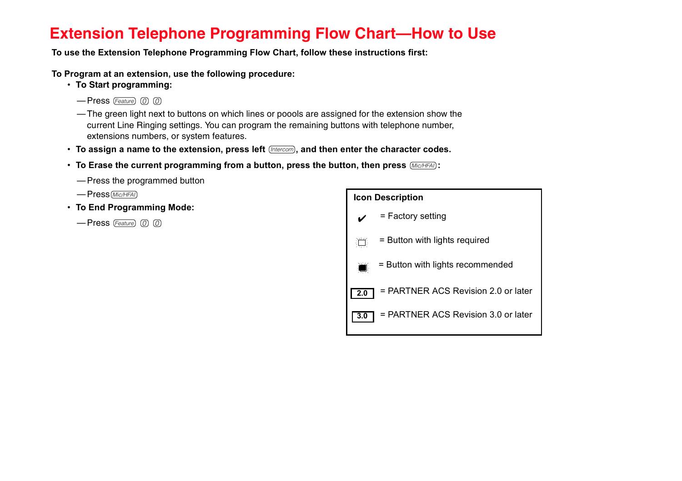## **Extension Telephone Programming Flow Chart–How to Use**

**To use the Extension Telephone Programming Flow Chart, follow these instructions first:**

**To Program at an extension, use the following procedure:**

• **To Start programming:**



- The green light next to buttons on which lines or poools are assigned for the extension show the current Line Ringing settings. You can program the remaining buttons with telephone number, extensions numbers, or system features.
- **To assign a name to the extension, press left** i**, and then enter the character codes.**
- **To Erase the current programming from a button, press the button, then press**  !**:**
	- Press the programmed button
	- Press (Mic/HFAI)
- **To End Programming Mode:**

 $-$ Press (Feature)  $(0, 0)$ 

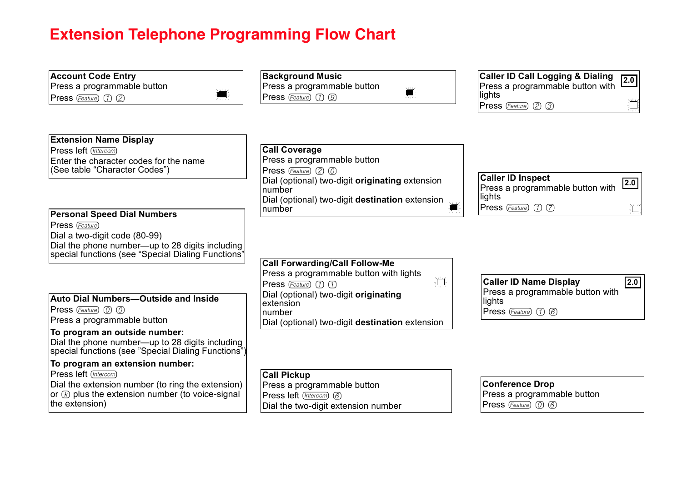## **Extension Telephone Programming Flow Chart**